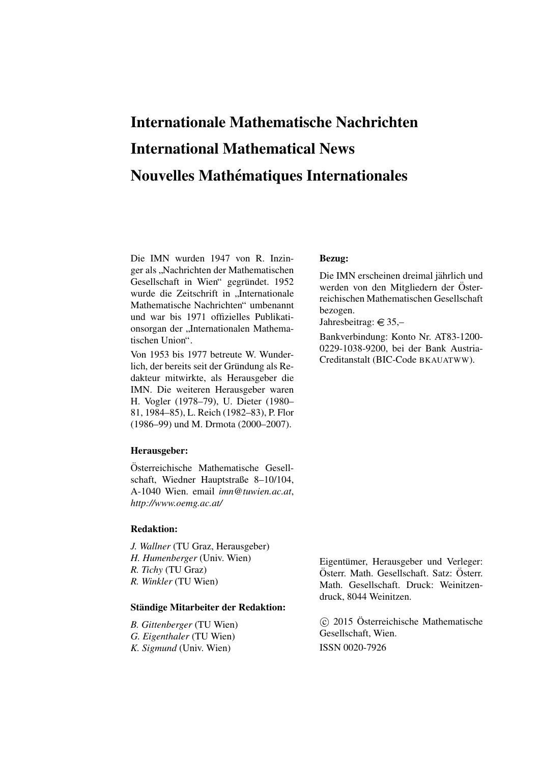# Internationale Mathematische Nachrichten International Mathematical News Nouvelles Mathématiques Internationales

Die IMN wurden 1947 von R. Inzinger als "Nachrichten der Mathematischen<br>Gesellschaft in Wien" gegnündet 1052 Gesellschaft in Wien" gegründet. 1952 wurde die Zeitschrift in "Internationale<br>Mathematische Nachrichten" umbenennt Mathematische Nachrichten" umbenannt und war bis 1971 offizielles Publikationsorgan der "Internationalen Mathematischen Union".

Von 1953 bis 1977 betreute W. Wunderlich, der bereits seit der Gründung als Redakteur mitwirkte, als Herausgeber die IMN. Die weiteren Herausgeber waren H. Vogler (1978–79), U. Dieter (1980– 81, 1984–85), L. Reich (1982–83), P. Flor (1986–99) und M. Drmota (2000–2007).

#### Herausgeber:

Osterreichische Mathematische Gesell- ¨ schaft, Wiedner Hauptstraße 8–10/104, A-1040 Wien. email *imn@tuwien.ac.at*, *http://www.oemg.ac.at/*

#### Redaktion:

*J. Wallner* (TU Graz, Herausgeber) *H. Humenberger* (Univ. Wien) *R. Tichy* (TU Graz) *R. Winkler* (TU Wien)

#### Ständige Mitarbeiter der Redaktion:

*B. Gittenberger* (TU Wien) *G. Eigenthaler* (TU Wien) *K. Sigmund* (Univ. Wien)

#### Bezug:

Die IMN erscheinen dreimal jährlich und werden von den Mitgliedern der Österreichischen Mathematischen Gesellschaft bezogen.

Jahresbeitrag:  $\in$  35,-

Bankverbindung: Konto Nr. AT83-1200- 0229-1038-9200, bei der Bank Austria-Creditanstalt (BIC-Code BKAUATWW).

Eigentümer, Herausgeber und Verleger: Österr. Math. Gesellschaft. Satz: Österr. Math. Gesellschaft. Druck: Weinitzendruck, 8044 Weinitzen.

 c 2015 Osterreichische Mathematische ¨ Gesellschaft, Wien. ISSN 0020-7926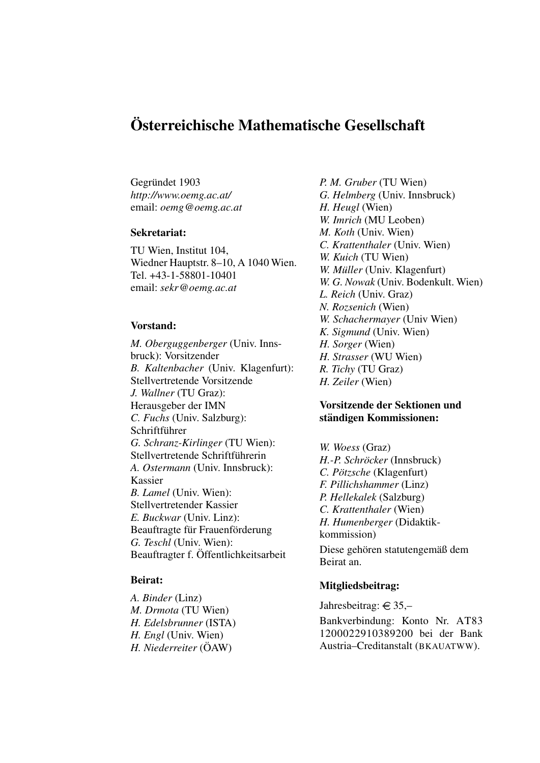### Osterreichische Mathematische Gesellschaft ¨

Gegründet 1903 *http://www.oemg.ac.at/* email: *oemg@oemg.ac.at*

#### Sekretariat:

TU Wien, Institut 104, Wiedner Hauptstr. 8–10, A 1040 Wien. Tel. +43-1-58801-10401 email: *sekr@oemg.ac.at*

#### Vorstand:

*M. Oberguggenberger* (Univ. Innsbruck): Vorsitzender *B. Kaltenbacher* (Univ. Klagenfurt): Stellvertretende Vorsitzende *J. Wallner* (TU Graz): Herausgeber der IMN *C. Fuchs* (Univ. Salzburg): Schriftführer *G. Schranz-Kirlinger* (TU Wien): Stellvertretende Schriftführerin *A. Ostermann* (Univ. Innsbruck): Kassier *B. Lamel* (Univ. Wien): Stellvertretender Kassier *E. Buckwar* (Univ. Linz): Beauftragte für Frauenförderung *G. Teschl* (Univ. Wien): Beauftragter f. Offentlichkeitsarbeit ¨

#### Beirat:

*A. Binder* (Linz) *M. Drmota* (TU Wien) *H. Edelsbrunner* (ISTA) *H. Engl* (Univ. Wien) *H. Niederreiter* ( $\ddot{O}AW$ )

*P. M. Gruber* (TU Wien) *G. Helmberg* (Univ. Innsbruck) *H. Heugl* (Wien) *W. Imrich* (MU Leoben) *M. Koth* (Univ. Wien) *C. Krattenthaler* (Univ. Wien) *W. Kuich* (TU Wien) *W. Müller* (Univ. Klagenfurt) *W. G. Nowak* (Univ. Bodenkult. Wien) *L. Reich* (Univ. Graz) *N. Rozsenich* (Wien) *W. Schachermayer* (Univ Wien) *K. Sigmund* (Univ. Wien) *H. Sorger* (Wien) *H. Strasser* (WU Wien) *R. Tichy* (TU Graz) *H. Zeiler* (Wien)

#### Vorsitzende der Sektionen und ständigen Kommissionen:

*W. Woess* (Graz) *H.-P. Schröcker* (Innsbruck) *C. Pötzsche* (Klagenfurt) *F. Pillichshammer* (Linz) *P. Hellekalek* (Salzburg) *C. Krattenthaler* (Wien) *H. Humenberger* (Didaktikkommission) Diese gehören statutengemäß dem Beirat an.

#### Mitgliedsbeitrag:

Jahresbeitrag:  $\in$  35,-

Bankverbindung: Konto Nr. AT83 1200022910389200 bei der Bank Austria–Creditanstalt (BKAUATWW).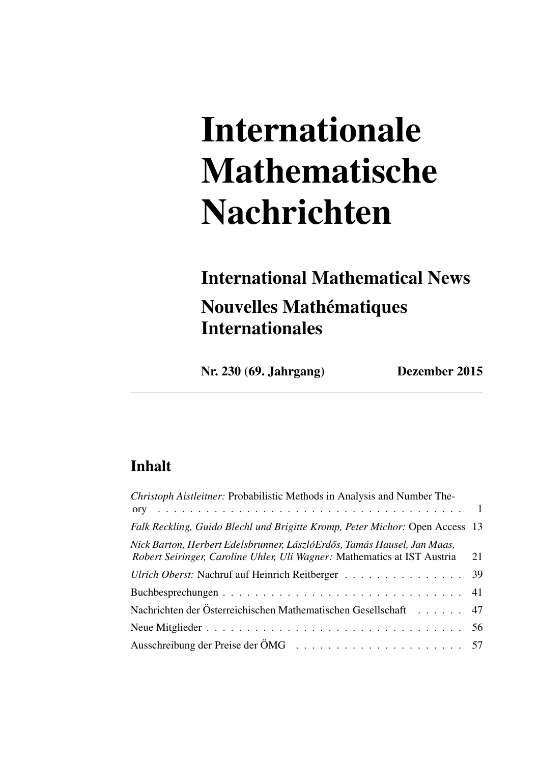# Internationale Mathematische Nachrichten

# International Mathematical News Nouvelles Mathématiques Internationales

Nr. 230 (69. Jahrgang) Dezember 2015

### Inhalt

| Christoph Aistleitner: Probabilistic Methods in Analysis and Number The-                                                                            |    |
|-----------------------------------------------------------------------------------------------------------------------------------------------------|----|
|                                                                                                                                                     |    |
| Falk Reckling, Guido Blechl und Brigitte Kromp, Peter Michor: Open Access 13                                                                        |    |
| Nick Barton, Herbert Edelsbrunner, LászlóErdős, Tamás Hausel, Jan Maas,<br>Robert Seiringer, Caroline Uhler, Uli Wagner: Mathematics at IST Austria | 21 |
| Ulrich Oberst: Nachruf auf Heinrich Reitberger 39                                                                                                   |    |
|                                                                                                                                                     |    |
| Nachrichten der Österreichischen Mathematischen Gesellschaft 47                                                                                     |    |
|                                                                                                                                                     |    |
|                                                                                                                                                     |    |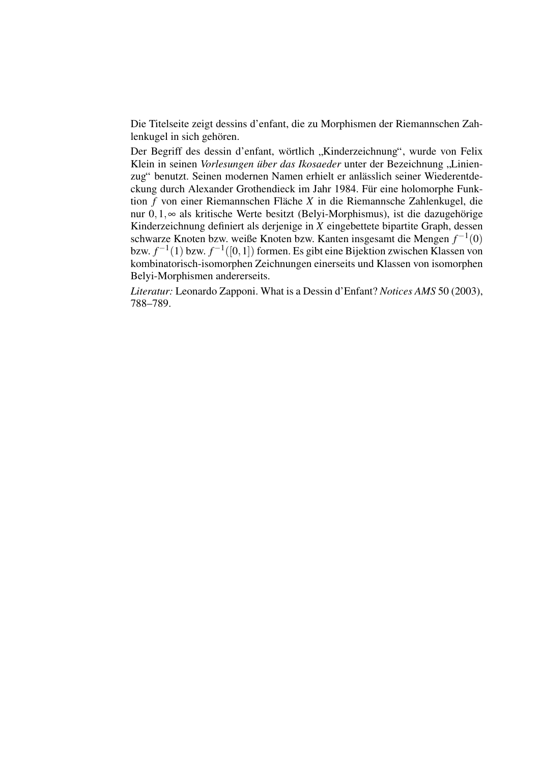Die Titelseite zeigt dessins d'enfant, die zu Morphismen der Riemannschen Zahlenkugel in sich gehören.

Der Begriff des dessin d'enfant, wörtlich "Kinderzeichnung", wurde von Felix Klein in seinen *Vorlesungen über das Ikosaeder* unter der Bezeichnung "Linien-<br>
"Klein in seinen *Vorlesungen über das Ikosaeder* unter der Bezeichnung "Linienzug" benutzt. Seinen modernen Namen erhielt er anlässlich seiner Wiederentdeckung durch Alexander Grothendieck im Jahr 1984. Für eine holomorphe Funktion *f* von einer Riemannschen Fläche *X* in die Riemannsche Zahlenkugel, die nur 0,1,∞ als kritische Werte besitzt (Belyi-Morphismus), ist die dazugehörige Kinderzeichnung definiert als derjenige in *X* eingebettete bipartite Graph, dessen schwarze Knoten bzw. weiße Knoten bzw. Kanten insgesamt die Mengen  $f^{-1}(0)$ bzw.  $f^{-1}(1)$  bzw.  $f^{-1}([0,1])$  formen. Es gibt eine Bijektion zwischen Klassen von kombinatorisch-isomorphen Zeichnungen einerseits und Klassen von isomorphen Belyi-Morphismen andererseits.

*Literatur:* Leonardo Zapponi. What is a Dessin d'Enfant? *Notices AMS* 50 (2003), 788–789.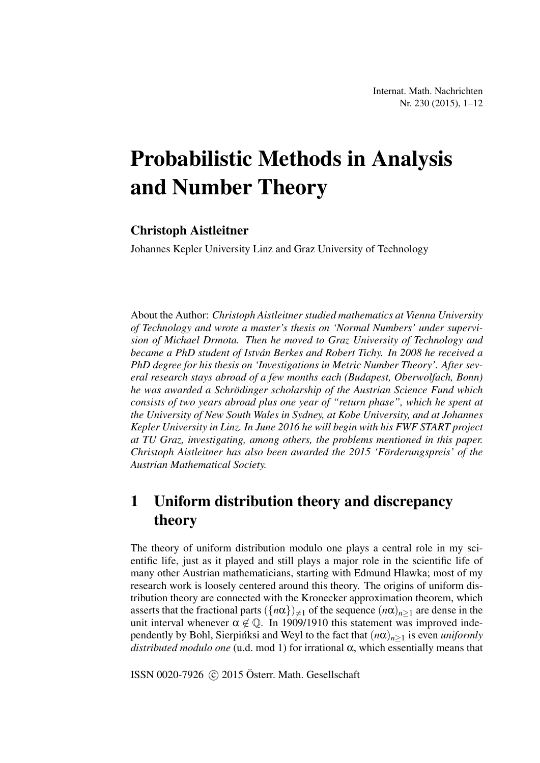# Probabilistic Methods in Analysis and Number Theory

#### Christoph Aistleitner

Johannes Kepler University Linz and Graz University of Technology

About the Author: *Christoph Aistleitner studied mathematics at Vienna University of Technology and wrote a master's thesis on 'Normal Numbers' under supervision of Michael Drmota. Then he moved to Graz University of Technology and became a PhD student of Istvan Berkes and Robert Tichy. In 2008 he received a ´ PhD degree for his thesis on 'Investigations in Metric Number Theory'. After several research stays abroad of a few months each (Budapest, Oberwolfach, Bonn) he was awarded a Schrodinger scholarship of the Austrian Science Fund which ¨ consists of two years abroad plus one year of "return phase", which he spent at the University of New South Wales in Sydney, at Kobe University, and at Johannes Kepler University in Linz. In June 2016 he will begin with his FWF START project at TU Graz, investigating, among others, the problems mentioned in this paper. Christoph Aistleitner has also been awarded the 2015 'Förderungspreis' of the Austrian Mathematical Society.*

### 1 Uniform distribution theory and discrepancy theory

The theory of uniform distribution modulo one plays a central role in my scientific life, just as it played and still plays a major role in the scientific life of many other Austrian mathematicians, starting with Edmund Hlawka; most of my research work is loosely centered around this theory. The origins of uniform distribution theory are connected with the Kronecker approximation theorem, which asserts that the fractional parts  $({n\alpha}\)_{\neq 1}$  of the sequence  $(n\alpha)_{n>1}$  are dense in the unit interval whenever  $\alpha \notin \mathbb{Q}$ . In 1909/1910 this statement was improved independently by Bohl, Sierpinksi and Weyl to the fact that  $(n\alpha)_{n>1}$  is even *uniformly distributed modulo one* (u.d. mod 1) for irrational α, which essentially means that

ISSN 0020-7926  $\odot$  2015 Österr. Math. Gesellschaft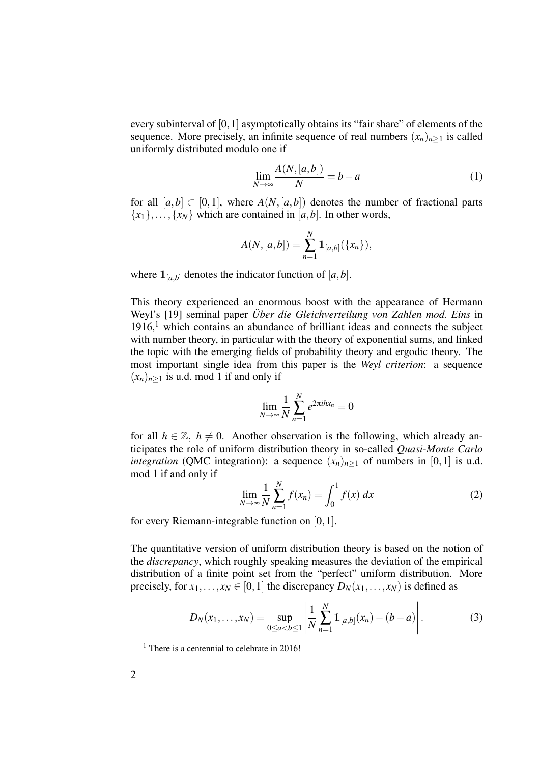every subinterval of  $[0,1]$  asymptotically obtains its "fair share" of elements of the sequence. More precisely, an infinite sequence of real numbers  $(x_n)_{n>1}$  is called uniformly distributed modulo one if

$$
\lim_{N \to \infty} \frac{A(N, [a, b])}{N} = b - a \tag{1}
$$

for all  $[a,b] \subset [0,1]$ , where  $A(N,[a,b])$  denotes the number of fractional parts  ${x_1},..., {x_N}$  which are contained in [*a*,*b*]. In other words,

$$
A(N,[a,b]) = \sum_{n=1}^{N} 1\!\!1_{[a,b]}(\{x_n\}),
$$

where  $\mathbb{1}_{[a,b]}$  denotes the indicator function of  $[a,b]$ .

This theory experienced an enormous boost with the appearance of Hermann Weyl's [19] seminal paper *Über die Gleichverteilung von Zahlen mod. Eins* in  $1916$ ,<sup>1</sup> which contains an abundance of brilliant ideas and connects the subject with number theory, in particular with the theory of exponential sums, and linked the topic with the emerging fields of probability theory and ergodic theory. The most important single idea from this paper is the *Weyl criterion*: a sequence  $(x_n)_{n>1}$  is u.d. mod 1 if and only if

$$
\lim_{N\to\infty}\frac{1}{N}\sum_{n=1}^N e^{2\pi i h x_n}=0
$$

for all  $h \in \mathbb{Z}$ ,  $h \neq 0$ . Another observation is the following, which already anticipates the role of uniform distribution theory in so-called *Quasi-Monte Carlo integration* (QMC integration): a sequence  $(x_n)_{n>1}$  of numbers in [0,1] is u.d. mod 1 if and only if

$$
\lim_{N \to \infty} \frac{1}{N} \sum_{n=1}^{N} f(x_n) = \int_0^1 f(x) \, dx \tag{2}
$$

for every Riemann-integrable function on [0,1].

The quantitative version of uniform distribution theory is based on the notion of the *discrepancy*, which roughly speaking measures the deviation of the empirical distribution of a finite point set from the "perfect" uniform distribution. More precisely, for  $x_1, \ldots, x_N \in [0,1]$  the discrepancy  $D_N(x_1, \ldots, x_N)$  is defined as

$$
D_N(x_1,...,x_N) = \sup_{0 \le a < b \le 1} \left| \frac{1}{N} \sum_{n=1}^N \mathbb{1}_{[a,b]}(x_n) - (b-a) \right|.
$$
 (3)

 $<sup>1</sup>$  There is a centennial to celebrate in 2016!</sup>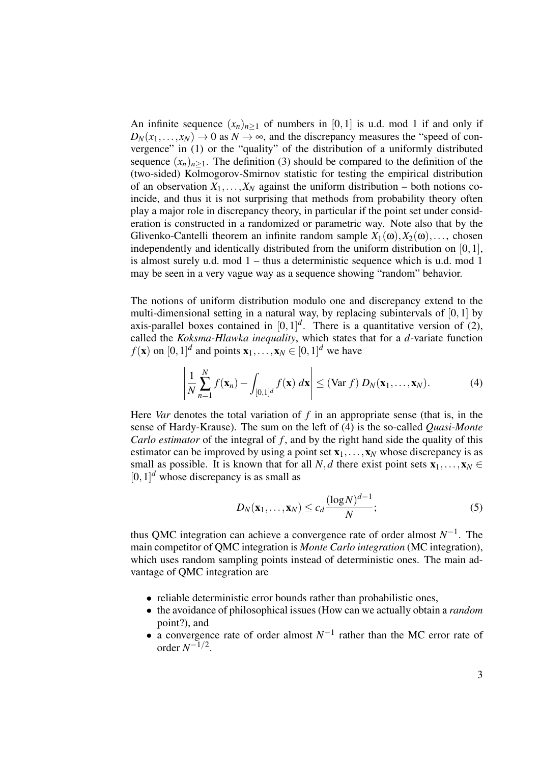An infinite sequence  $(x_n)_{n\geq 1}$  of numbers in [0,1] is u.d. mod 1 if and only if  $D_N(x_1,...,x_N) \to 0$  as  $N \to \infty$ , and the discrepancy measures the "speed of convergence" in (1) or the "quality" of the distribution of a uniformly distributed sequence  $(x_n)_{n\geq 1}$ . The definition (3) should be compared to the definition of the (two-sided) Kolmogorov-Smirnov statistic for testing the empirical distribution of an observation  $X_1, \ldots, X_N$  against the uniform distribution – both notions coincide, and thus it is not surprising that methods from probability theory often play a major role in discrepancy theory, in particular if the point set under consideration is constructed in a randomized or parametric way. Note also that by the Glivenko-Cantelli theorem an infinite random sample  $X_1(\omega), X_2(\omega), \ldots$ , chosen independently and identically distributed from the uniform distribution on [0,1], is almost surely u.d. mod 1 – thus a deterministic sequence which is u.d. mod 1 may be seen in a very vague way as a sequence showing "random" behavior.

The notions of uniform distribution modulo one and discrepancy extend to the multi-dimensional setting in a natural way, by replacing subintervals of [0,1] by axis-parallel boxes contained in  $[0,1]^d$ . There is a quantitative version of (2), called the *Koksma-Hlawka inequality*, which states that for a *d*-variate function  $f(\mathbf{x})$  on  $[0,1]^d$  and points  $\mathbf{x}_1, \ldots, \mathbf{x}_N \in [0,1]^d$  we have

$$
\left|\frac{1}{N}\sum_{n=1}^{N}f(\mathbf{x}_{n})-\int_{[0,1]^{d}}f(\mathbf{x}) d\mathbf{x}\right|\leq (\text{Var }f) D_{N}(\mathbf{x}_{1},\ldots,\mathbf{x}_{N}).
$$
\n(4)

Here *Var* denotes the total variation of *f* in an appropriate sense (that is, in the sense of Hardy-Krause). The sum on the left of (4) is the so-called *Quasi-Monte Carlo estimator* of the integral of f, and by the right hand side the quality of this estimator can be improved by using a point set  $x_1, \ldots, x_N$  whose discrepancy is as small as possible. It is known that for all *N*, *d* there exist point sets  $\mathbf{x}_1, \ldots, \mathbf{x}_N \in$  $[0, 1]$ <sup>d</sup> whose discrepancy is as small as

$$
D_N(\mathbf{x}_1,\ldots,\mathbf{x}_N) \le c_d \frac{(\log N)^{d-1}}{N};\tag{5}
$$

thus QMC integration can achieve a convergence rate of order almost  $N^{-1}$ . The main competitor of QMC integration is *Monte Carlo integration* (MC integration), which uses random sampling points instead of deterministic ones. The main advantage of QMC integration are

- reliable deterministic error bounds rather than probabilistic ones,
- the avoidance of philosophical issues (How can we actually obtain a *random* point?), and
- a convergence rate of order almost  $N^{-1}$  rather than the MC error rate of order  $N^{-1/2}$ .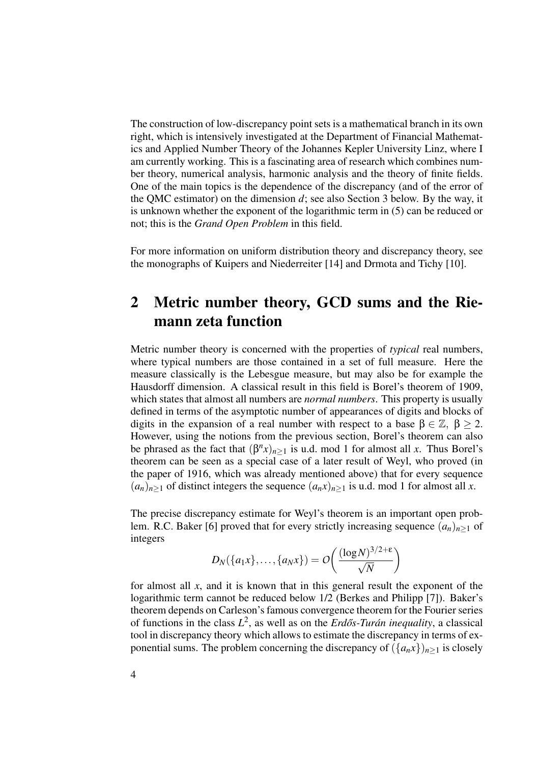The construction of low-discrepancy point sets is a mathematical branch in its own right, which is intensively investigated at the Department of Financial Mathematics and Applied Number Theory of the Johannes Kepler University Linz, where I am currently working. This is a fascinating area of research which combines number theory, numerical analysis, harmonic analysis and the theory of finite fields. One of the main topics is the dependence of the discrepancy (and of the error of the QMC estimator) on the dimension *d*; see also Section 3 below. By the way, it is unknown whether the exponent of the logarithmic term in (5) can be reduced or not; this is the *Grand Open Problem* in this field.

For more information on uniform distribution theory and discrepancy theory, see the monographs of Kuipers and Niederreiter [14] and Drmota and Tichy [10].

### 2 Metric number theory, GCD sums and the Riemann zeta function

Metric number theory is concerned with the properties of *typical* real numbers, where typical numbers are those contained in a set of full measure. Here the measure classically is the Lebesgue measure, but may also be for example the Hausdorff dimension. A classical result in this field is Borel's theorem of 1909, which states that almost all numbers are *normal numbers*. This property is usually defined in terms of the asymptotic number of appearances of digits and blocks of digits in the expansion of a real number with respect to a base  $\beta \in \mathbb{Z}$ ,  $\beta > 2$ . However, using the notions from the previous section, Borel's theorem can also be phrased as the fact that  $(\beta^n x)_{n \geq 1}$  is u.d. mod 1 for almost all *x*. Thus Borel's theorem can be seen as a special case of a later result of Weyl, who proved (in the paper of 1916, which was already mentioned above) that for every sequence  $(a_n)_{n\geq 1}$  of distinct integers the sequence  $(a_n x)_{n\geq 1}$  is u.d. mod 1 for almost all *x*.

The precise discrepancy estimate for Weyl's theorem is an important open problem. R.C. Baker [6] proved that for every strictly increasing sequence  $(a_n)_{n\geq 1}$  of integers

$$
D_N(\{a_1x\},\ldots,\{a_Nx\})=O\bigg(\frac{(\log N)^{3/2+\epsilon}}{\sqrt{N}}\bigg)
$$

for almost all *x*, and it is known that in this general result the exponent of the logarithmic term cannot be reduced below 1/2 (Berkes and Philipp [7]). Baker's theorem depends on Carleson's famous convergence theorem for the Fourier series of functions in the class  $L^2$ , as well as on the *Erdős-Turán inequality*, a classical tool in discrepancy theory which allows to estimate the discrepancy in terms of exponential sums. The problem concerning the discrepancy of  $({a_n x})_{n>1}$  is closely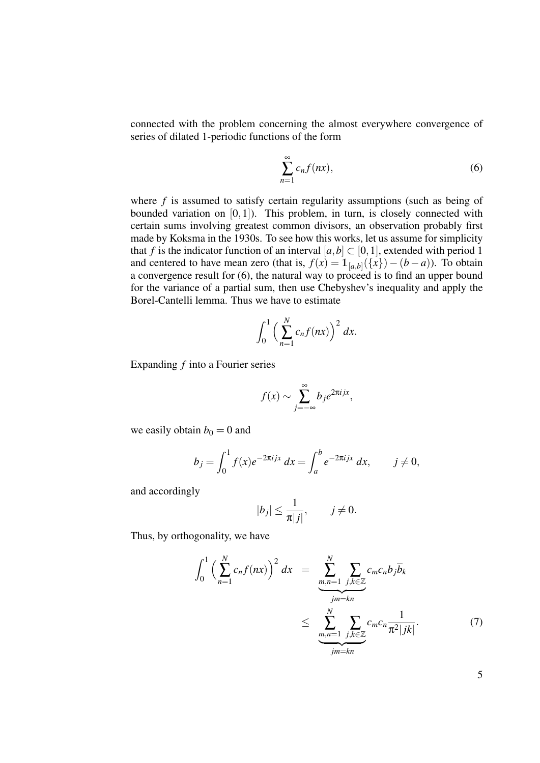connected with the problem concerning the almost everywhere convergence of series of dilated 1-periodic functions of the form

$$
\sum_{n=1}^{\infty} c_n f(nx),\tag{6}
$$

where *f* is assumed to satisfy certain regularity assumptions (such as being of bounded variation on  $[0,1]$ ). This problem, in turn, is closely connected with certain sums involving greatest common divisors, an observation probably first made by Koksma in the 1930s. To see how this works, let us assume for simplicity that *f* is the indicator function of an interval  $[a,b] \subset [0,1]$ , extended with period 1 and centered to have mean zero (that is,  $f(x) = 1_{[a,b]}(\{x\}) - (b - a)$ ). To obtain a convergence result for (6), the natural way to proceed is to find an upper bound for the variance of a partial sum, then use Chebyshev's inequality and apply the Borel-Cantelli lemma. Thus we have to estimate

$$
\int_0^1 \left(\sum_{n=1}^N c_n f(nx)\right)^2 dx.
$$

Expanding *f* into a Fourier series

$$
f(x) \sim \sum_{j=-\infty}^{\infty} b_j e^{2\pi i jx},
$$

we easily obtain  $b_0 = 0$  and

$$
b_j = \int_0^1 f(x)e^{-2\pi i jx} dx = \int_a^b e^{-2\pi i jx} dx, \qquad j \neq 0,
$$

and accordingly

$$
|b_j| \leq \frac{1}{\pi |j|}, \qquad j \neq 0.
$$

Thus, by orthogonality, we have

$$
\int_0^1 \left(\sum_{n=1}^N c_n f(nx)\right)^2 dx = \underbrace{\sum_{m,n=1}^N \sum_{j,k \in \mathbb{Z}} c_m c_n b_j \overline{b}_k}_{jm=kn} \le \underbrace{\sum_{m,n=1}^N \sum_{j,k \in \mathbb{Z}} c_m c_n \frac{1}{\pi^2 |jk|}}_{jm=kn}.
$$
\n(7)

5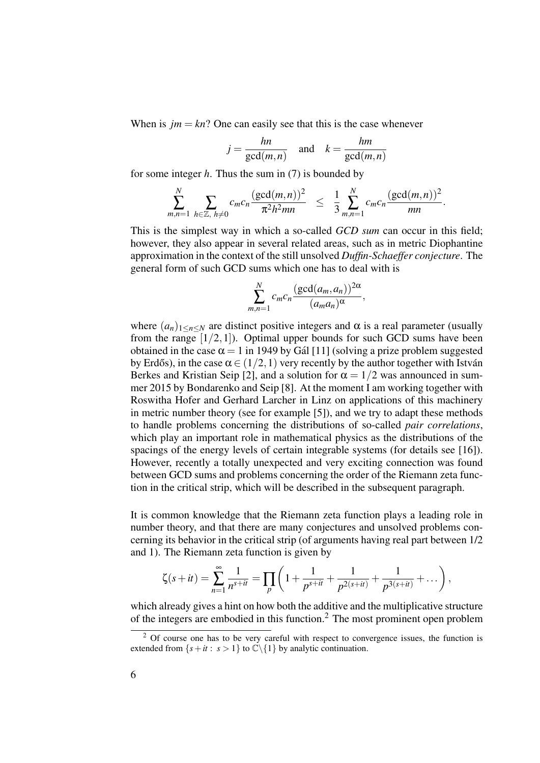When is  $jm = kn$ ? One can easily see that this is the case whenever

$$
j = \frac{hn}{\gcd(m, n)} \quad \text{and} \quad k = \frac{hm}{\gcd(m, n)}
$$

for some integer *h*. Thus the sum in (7) is bounded by

$$
\sum_{m,n=1}^N \sum_{h \in \mathbb{Z}, h \neq 0} c_m c_n \frac{(\gcd(m,n))^2}{\pi^2 h^2 mn} \leq \frac{1}{3} \sum_{m,n=1}^N c_m c_n \frac{(\gcd(m,n))^2}{mn}.
$$

This is the simplest way in which a so-called *GCD sum* can occur in this field; however, they also appear in several related areas, such as in metric Diophantine approximation in the context of the still unsolved *Duffin-Schaeffer conjecture*. The general form of such GCD sums which one has to deal with is

$$
\sum_{m,n=1}^N c_m c_n \frac{(\gcd(a_m,a_n))^{2\alpha}}{(a_ma_n)^\alpha},
$$

where  $(a_n)_{1 \le n \le N}$  are distinct positive integers and  $\alpha$  is a real parameter (usually from the range  $[1/2,1]$ ). Optimal upper bounds for such GCD sums have been obtained in the case  $\alpha = 1$  in 1949 by Gál [11] (solving a prize problem suggested by Erdős), in the case  $\alpha \in (1/2, 1)$  very recently by the author together with István Berkes and Kristian Seip [2], and a solution for  $\alpha = 1/2$  was announced in summer 2015 by Bondarenko and Seip [8]. At the moment I am working together with Roswitha Hofer and Gerhard Larcher in Linz on applications of this machinery in metric number theory (see for example [5]), and we try to adapt these methods to handle problems concerning the distributions of so-called *pair correlations*, which play an important role in mathematical physics as the distributions of the spacings of the energy levels of certain integrable systems (for details see [16]). However, recently a totally unexpected and very exciting connection was found between GCD sums and problems concerning the order of the Riemann zeta function in the critical strip, which will be described in the subsequent paragraph.

It is common knowledge that the Riemann zeta function plays a leading role in number theory, and that there are many conjectures and unsolved problems concerning its behavior in the critical strip (of arguments having real part between 1/2 and 1). The Riemann zeta function is given by

$$
\zeta(s+it) = \sum_{n=1}^{\infty} \frac{1}{n^{s+it}} = \prod_p \left(1 + \frac{1}{p^{s+it}} + \frac{1}{p^{2(s+it)}} + \frac{1}{p^{3(s+it)}} + \dots \right),
$$

which already gives a hint on how both the additive and the multiplicative structure of the integers are embodied in this function.<sup>2</sup> The most prominent open problem

 $2$  Of course one has to be very careful with respect to convergence issues, the function is extended from  $\{s+it : s > 1\}$  to  $\mathbb{C}\backslash\{1\}$  by analytic continuation.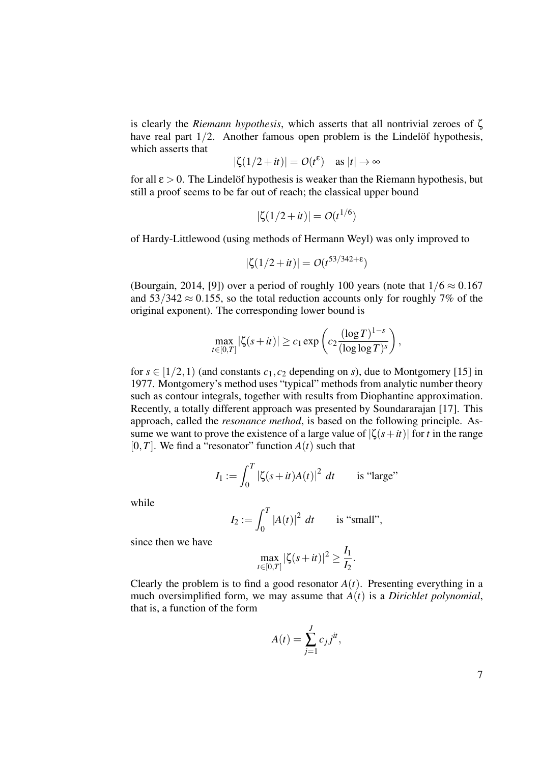is clearly the *Riemann hypothesis*, which asserts that all nontrivial zeroes of ζ have real part  $1/2$ . Another famous open problem is the Lindelöf hypothesis, which asserts that

$$
|\zeta(1/2+it)| = O(t^{\epsilon}) \quad \text{as } |t| \to \infty
$$

for all  $\epsilon > 0$ . The Lindelof hypothesis is weaker than the Riemann hypothesis, but still a proof seems to be far out of reach; the classical upper bound

$$
|\zeta(1/2+it)| = O(t^{1/6})
$$

of Hardy-Littlewood (using methods of Hermann Weyl) was only improved to

$$
|\zeta(1/2+it)| = O(t^{53/342+\epsilon})
$$

(Bourgain, 2014, [9]) over a period of roughly 100 years (note that  $1/6 \approx 0.167$ and  $53/342 \approx 0.155$ , so the total reduction accounts only for roughly 7% of the original exponent). The corresponding lower bound is

$$
\max_{t\in[0,T]}|\zeta(s+it)|\geq c_1\exp\left(c_2\frac{(\log T)^{1-s}}{(\log\log T)^s}\right),
$$

for  $s \in [1/2, 1)$  (and constants  $c_1, c_2$  depending on *s*), due to Montgomery [15] in 1977. Montgomery's method uses "typical" methods from analytic number theory such as contour integrals, together with results from Diophantine approximation. Recently, a totally different approach was presented by Soundararajan [17]. This approach, called the *resonance method*, is based on the following principle. Assume we want to prove the existence of a large value of  $|\zeta(s+it)|$  for *t* in the range  $[0, T]$ . We find a "resonator" function  $A(t)$  such that

$$
I_1 := \int_0^T |\zeta(s+it)A(t)|^2 dt
$$
 is "large"

while

$$
I_2 := \int_0^T |A(t)|^2 \ dt
$$
 is "small",

since then we have

$$
\max_{t \in [0,T]} |\zeta(s+it)|^2 \ge \frac{I_1}{I_2}.
$$

Clearly the problem is to find a good resonator  $A(t)$ . Presenting everything in a much oversimplified form, we may assume that *A*(*t*) is a *Dirichlet polynomial*, that is, a function of the form

$$
A(t) = \sum_{j=1}^{J} c_j j^{it},
$$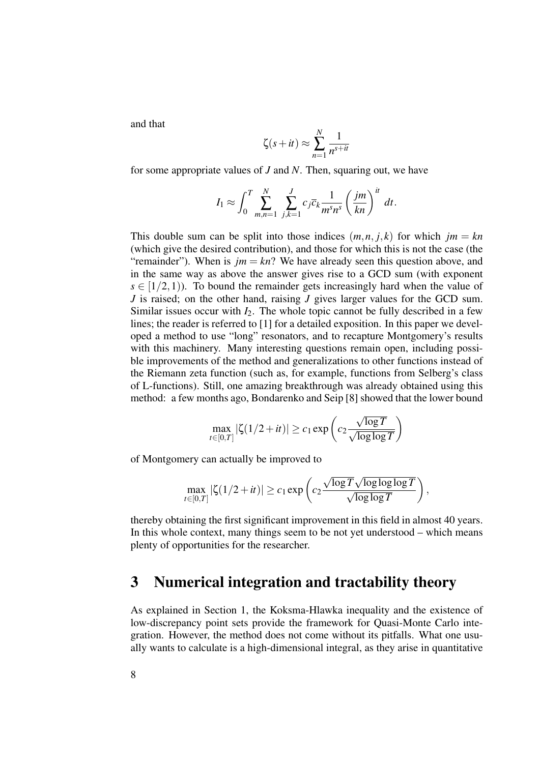and that

$$
\zeta(s+it) \approx \sum_{n=1}^{N} \frac{1}{n^{s+it}}
$$

for some appropriate values of *J* and *N*. Then, squaring out, we have

$$
I_1 \approx \int_0^T \sum_{m,n=1}^N \sum_{j,k=1}^J c_j \overline{c}_k \frac{1}{m^s n^s} \left(\frac{jm}{kn}\right)^{it} dt.
$$

This double sum can be split into those indices  $(m, n, j, k)$  for which  $jm = kn$ (which give the desired contribution), and those for which this is not the case (the "remainder"). When is  $jm = kn$ ? We have already seen this question above, and in the same way as above the answer gives rise to a GCD sum (with exponent  $s \in [1/2, 1)$ . To bound the remainder gets increasingly hard when the value of *J* is raised; on the other hand, raising *J* gives larger values for the GCD sum. Similar issues occur with  $I_2$ . The whole topic cannot be fully described in a few lines; the reader is referred to [1] for a detailed exposition. In this paper we developed a method to use "long" resonators, and to recapture Montgomery's results with this machinery. Many interesting questions remain open, including possible improvements of the method and generalizations to other functions instead of the Riemann zeta function (such as, for example, functions from Selberg's class of L-functions). Still, one amazing breakthrough was already obtained using this method: a few months ago, Bondarenko and Seip [8] showed that the lower bound

$$
\max_{t \in [0,T]} |\zeta(1/2+it)| \ge c_1 \exp\left(c_2 \frac{\sqrt{\log T}}{\sqrt{\log \log T}}\right)
$$

of Montgomery can actually be improved to

$$
\max_{t \in [0,T]} |\zeta(1/2+it)| \geq c_1 \exp\left(c_2 \frac{\sqrt{\log T} \sqrt{\log \log \log T}}{\sqrt{\log \log T}}\right),
$$

thereby obtaining the first significant improvement in this field in almost 40 years. In this whole context, many things seem to be not yet understood – which means plenty of opportunities for the researcher.

### 3 Numerical integration and tractability theory

As explained in Section 1, the Koksma-Hlawka inequality and the existence of low-discrepancy point sets provide the framework for Quasi-Monte Carlo integration. However, the method does not come without its pitfalls. What one usually wants to calculate is a high-dimensional integral, as they arise in quantitative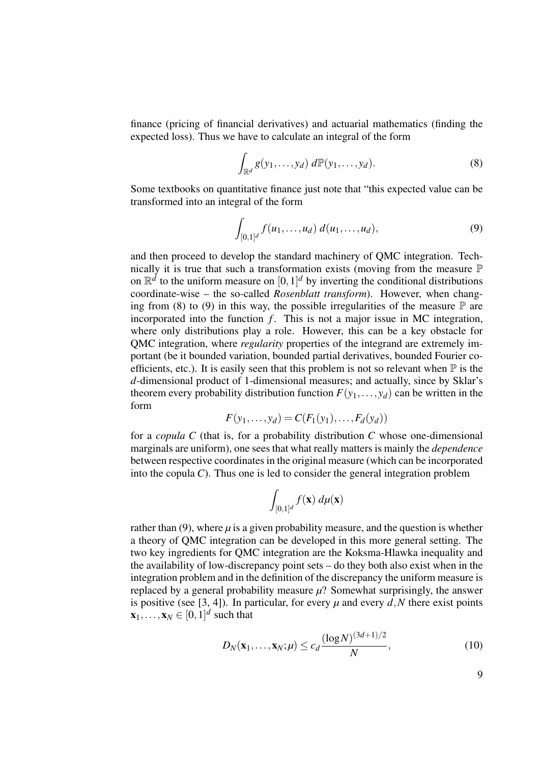finance (pricing of financial derivatives) and actuarial mathematics (finding the expected loss). Thus we have to calculate an integral of the form

$$
\int_{\mathbb{R}^d} g(y_1,\ldots,y_d) \ d\mathbb{P}(y_1,\ldots,y_d). \tag{8}
$$

Some textbooks on quantitative finance just note that "this expected value can be transformed into an integral of the form

$$
\int_{[0,1]^d} f(u_1,\ldots,u_d) \ d(u_1,\ldots,u_d),\tag{9}
$$

and then proceed to develop the standard machinery of QMC integration. Technically it is true that such a transformation exists (moving from the measure  $\mathbb P$ on  $\mathbb{R}^d$  to the uniform measure on  $[0,1]^d$  by inverting the conditional distributions coordinate-wise – the so-called *Rosenblatt transform*). However, when changing from (8) to (9) in this way, the possible irregularities of the measure  $\mathbb P$  are incorporated into the function  $f$ . This is not a major issue in MC integration, where only distributions play a role. However, this can be a key obstacle for QMC integration, where *regularity* properties of the integrand are extremely important (be it bounded variation, bounded partial derivatives, bounded Fourier coefficients, etc.). It is easily seen that this problem is not so relevant when  $\mathbb P$  is the *d*-dimensional product of 1-dimensional measures; and actually, since by Sklar's theorem every probability distribution function  $F(y_1,..., y_d)$  can be written in the form

$$
F(y_1,\ldots,y_d)=C(F_1(y_1),\ldots,F_d(y_d))
$$

for a *copula C* (that is, for a probability distribution *C* whose one-dimensional marginals are uniform), one sees that what really matters is mainly the *dependence* between respective coordinates in the original measure (which can be incorporated into the copula *C*). Thus one is led to consider the general integration problem

$$
\int_{[0,1]^d} f(\mathbf{x}) \ d\mu(\mathbf{x})
$$

rather than  $(9)$ , where  $\mu$  is a given probability measure, and the question is whether a theory of QMC integration can be developed in this more general setting. The two key ingredients for QMC integration are the Koksma-Hlawka inequality and the availability of low-discrepancy point sets – do they both also exist when in the integration problem and in the definition of the discrepancy the uniform measure is replaced by a general probability measure  $\mu$ ? Somewhat surprisingly, the answer is positive (see [3, 4]). In particular, for every  $\mu$  and every  $d$ , N there exist points  $\mathbf{x}_1, \ldots, \mathbf{x}_N \in [0,1]^d$  such that

$$
D_N(\mathbf{x}_1,\ldots,\mathbf{x}_N;\mu) \le c_d \frac{(\log N)^{(3d+1)/2}}{N},\tag{10}
$$

9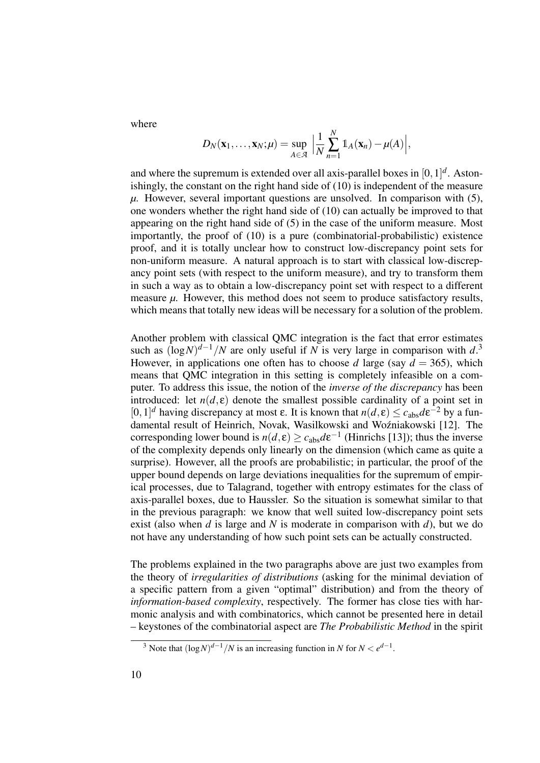where

$$
D_N(\mathbf{x}_1,\ldots,\mathbf{x}_N;\mu)=\sup_{A\in\mathcal{A}}\Big|\frac{1}{N}\sum_{n=1}^N\mathbb{1}_A(\mathbf{x}_n)-\mu(A)\Big|,
$$

and where the supremum is extended over all axis-parallel boxes in  $[0,1]^d$ . Astonishingly, the constant on the right hand side of (10) is independent of the measure *µ*. However, several important questions are unsolved. In comparison with (5), one wonders whether the right hand side of (10) can actually be improved to that appearing on the right hand side of (5) in the case of the uniform measure. Most importantly, the proof of (10) is a pure (combinatorial-probabilistic) existence proof, and it is totally unclear how to construct low-discrepancy point sets for non-uniform measure. A natural approach is to start with classical low-discrepancy point sets (with respect to the uniform measure), and try to transform them in such a way as to obtain a low-discrepancy point set with respect to a different measure  $\mu$ . However, this method does not seem to produce satisfactory results, which means that totally new ideas will be necessary for a solution of the problem.

Another problem with classical QMC integration is the fact that error estimates such as  $(\log N)^{d-1}/N$  are only useful if *N* is very large in comparison with *d*.<sup>3</sup> However, in applications one often has to choose *d* large (say  $d = 365$ ), which means that QMC integration in this setting is completely infeasible on a computer. To address this issue, the notion of the *inverse of the discrepancy* has been introduced: let  $n(d, \varepsilon)$  denote the smallest possible cardinality of a point set in [0, 1]<sup>*d*</sup> having discrepancy at most ε. It is known that *n*(*d*, ε) ≤  $c_{\text{abs}}$ *d*ε<sup>-2</sup> by a fundamental result of Heinrich, Novak, Wasilkowski and Woźniakowski [12]. The corresponding lower bound is  $n(d, \varepsilon) \ge c_{\text{abs}} d \varepsilon^{-1}$  (Hinrichs [13]); thus the inverse of the complexity depends only linearly on the dimension (which came as quite a surprise). However, all the proofs are probabilistic; in particular, the proof of the upper bound depends on large deviations inequalities for the supremum of empirical processes, due to Talagrand, together with entropy estimates for the class of axis-parallel boxes, due to Haussler. So the situation is somewhat similar to that in the previous paragraph: we know that well suited low-discrepancy point sets exist (also when  $d$  is large and  $N$  is moderate in comparison with  $d$ ), but we do not have any understanding of how such point sets can be actually constructed.

The problems explained in the two paragraphs above are just two examples from the theory of *irregularities of distributions* (asking for the minimal deviation of a specific pattern from a given "optimal" distribution) and from the theory of *information-based complexity*, respectively. The former has close ties with harmonic analysis and with combinatorics, which cannot be presented here in detail – keystones of the combinatorial aspect are *The Probabilistic Method* in the spirit

<sup>&</sup>lt;sup>3</sup> Note that  $(\log N)^{d-1}/N$  is an increasing function in *N* for  $N < e^{d-1}$ .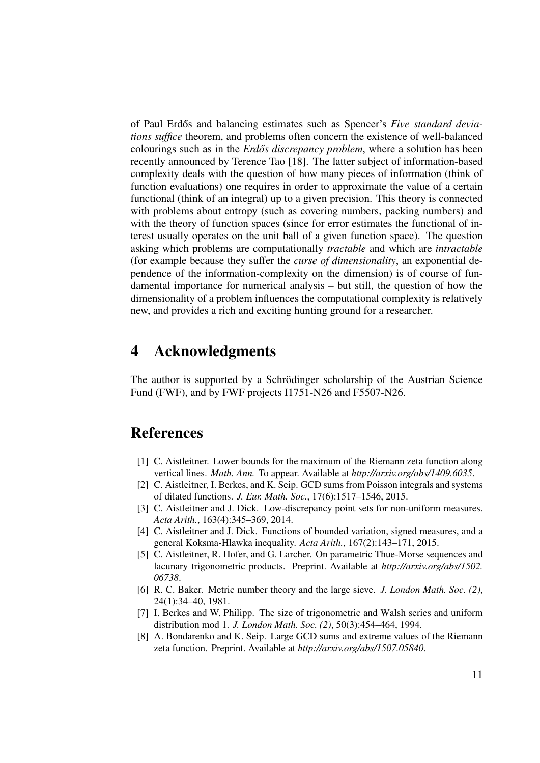of Paul Erdős and balancing estimates such as Spencer's *Five standard deviations suffice* theorem, and problems often concern the existence of well-balanced colourings such as in the *Erdős discrepancy problem*, where a solution has been recently announced by Terence Tao [18]. The latter subject of information-based complexity deals with the question of how many pieces of information (think of function evaluations) one requires in order to approximate the value of a certain functional (think of an integral) up to a given precision. This theory is connected with problems about entropy (such as covering numbers, packing numbers) and with the theory of function spaces (since for error estimates the functional of interest usually operates on the unit ball of a given function space). The question asking which problems are computationally *tractable* and which are *intractable* (for example because they suffer the *curse of dimensionality*, an exponential dependence of the information-complexity on the dimension) is of course of fundamental importance for numerical analysis – but still, the question of how the dimensionality of a problem influences the computational complexity is relatively new, and provides a rich and exciting hunting ground for a researcher.

### 4 Acknowledgments

The author is supported by a Schrödinger scholarship of the Austrian Science Fund (FWF), and by FWF projects I1751-N26 and F5507-N26.

### References

- [1] C. Aistleitner. Lower bounds for the maximum of the Riemann zeta function along vertical lines. *Math. Ann.* To appear. Available at *http://arxiv.org/abs/1409.6035*.
- [2] C. Aistleitner, I. Berkes, and K. Seip. GCD sums from Poisson integrals and systems of dilated functions. *J. Eur. Math. Soc.*, 17(6):1517–1546, 2015.
- [3] C. Aistleitner and J. Dick. Low-discrepancy point sets for non-uniform measures. *Acta Arith.*, 163(4):345–369, 2014.
- [4] C. Aistleitner and J. Dick. Functions of bounded variation, signed measures, and a general Koksma-Hlawka inequality. *Acta Arith.*, 167(2):143–171, 2015.
- [5] C. Aistleitner, R. Hofer, and G. Larcher. On parametric Thue-Morse sequences and lacunary trigonometric products. Preprint. Available at *http://arxiv.org/abs/1502. 06738*.
- [6] R. C. Baker. Metric number theory and the large sieve. *J. London Math. Soc. (2)*, 24(1):34–40, 1981.
- [7] I. Berkes and W. Philipp. The size of trigonometric and Walsh series and uniform distribution mod 1. *J. London Math. Soc. (2)*, 50(3):454–464, 1994.
- [8] A. Bondarenko and K. Seip. Large GCD sums and extreme values of the Riemann zeta function. Preprint. Available at *http://arxiv.org/abs/1507.05840*.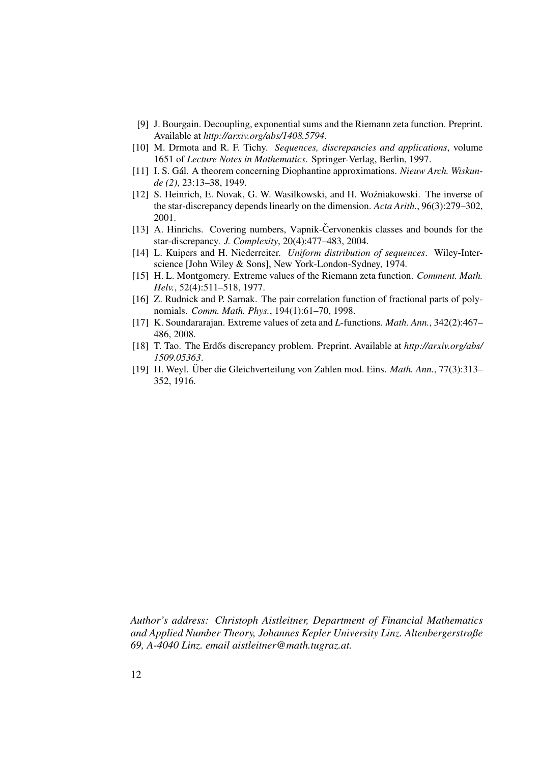- [9] J. Bourgain. Decoupling, exponential sums and the Riemann zeta function. Preprint. Available at *http://arxiv.org/abs/1408.5794*.
- [10] M. Drmota and R. F. Tichy. *Sequences, discrepancies and applications*, volume 1651 of *Lecture Notes in Mathematics*. Springer-Verlag, Berlin, 1997.
- [11] I. S. Gál. A theorem concerning Diophantine approximations. *Nieuw Arch. Wiskunde (2)*, 23:13–38, 1949.
- [12] S. Heinrich, E. Novak, G. W. Wasilkowski, and H. Woźniakowski. The inverse of the star-discrepancy depends linearly on the dimension. *Acta Arith.*, 96(3):279–302, 2001.
- [13] A. Hinrichs. Covering numbers, Vapnik-Cervonenkis classes and bounds for the star-discrepancy. *J. Complexity*, 20(4):477–483, 2004.
- [14] L. Kuipers and H. Niederreiter. *Uniform distribution of sequences*. Wiley-Interscience [John Wiley & Sons], New York-London-Sydney, 1974.
- [15] H. L. Montgomery. Extreme values of the Riemann zeta function. *Comment. Math. Helv.*, 52(4):511–518, 1977.
- [16] Z. Rudnick and P. Sarnak. The pair correlation function of fractional parts of polynomials. *Comm. Math. Phys.*, 194(1):61–70, 1998.
- [17] K. Soundararajan. Extreme values of zeta and *L*-functions. *Math. Ann.*, 342(2):467– 486, 2008.
- [18] T. Tao. The Erdős discrepancy problem. Preprint. Available at *http://arxiv.org/abs/ 1509.05363*.
- [19] H. Weyl. Über die Gleichverteilung von Zahlen mod. Eins. *Math. Ann.*, 77(3):313– 352, 1916.

*Author's address: Christoph Aistleitner, Department of Financial Mathematics and Applied Number Theory, Johannes Kepler University Linz. Altenbergerstraße 69, A-4040 Linz. email aistleitner@math.tugraz.at.*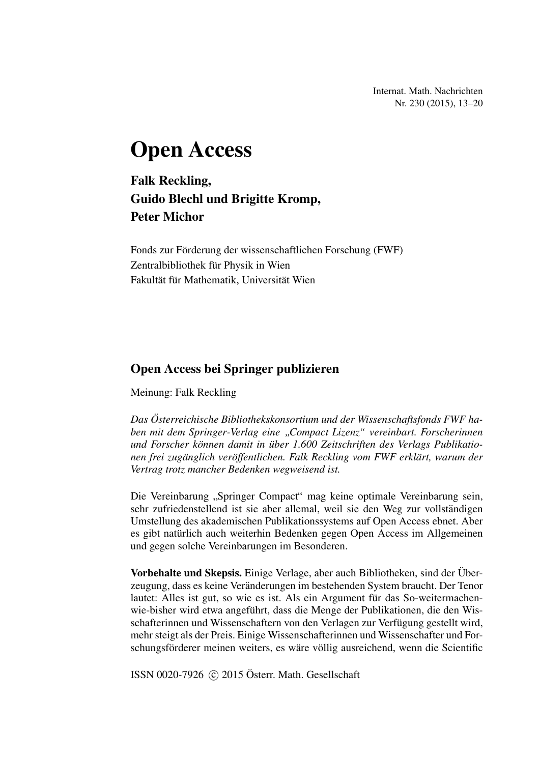Internat. Math. Nachrichten Nr. 230 (2015), 13–20

# Open Access

Falk Reckling, Guido Blechl und Brigitte Kromp, Peter Michor

Fonds zur Förderung der wissenschaftlichen Forschung (FWF) Zentralbibliothek für Physik in Wien Fakultät für Mathematik, Universität Wien

#### Open Access bei Springer publizieren

Meinung: Falk Reckling

*Das Osterreichische Bibliothekskonsortium und der Wissenschaftsfonds FWF ha- ¨ ben mit dem Springer-Verlag eine " Compact Lizenz" vereinbart. Forscherinnen und Forscher konnen damit in ¨ uber 1.600 Zeitschriften des Verlags Publikatio- ¨ nen frei zuganglich ver ¨ offentlichen. Falk Reckling vom FWF erkl ¨ art, warum der ¨ Vertrag trotz mancher Bedenken wegweisend ist.*

Die Vereinbarung "Springer Compact" mag keine optimale Vereinbarung sein,<br>sehr zufriedenstellend ist sie eber ellemel, weil sie den Weg zur vellständigen sehr zufriedenstellend ist sie aber allemal, weil sie den Weg zur vollständigen Umstellung des akademischen Publikationssystems auf Open Access ebnet. Aber es gibt natürlich auch weiterhin Bedenken gegen Open Access im Allgemeinen und gegen solche Vereinbarungen im Besonderen.

Vorbehalte und Skepsis. Einige Verlage, aber auch Bibliotheken, sind der Uber- ¨ zeugung, dass es keine Veränderungen im bestehenden System braucht. Der Tenor lautet: Alles ist gut, so wie es ist. Als ein Argument für das So-weitermachenwie-bisher wird etwa angeführt, dass die Menge der Publikationen, die den Wisschafterinnen und Wissenschaftern von den Verlagen zur Verfugung gestellt wird, ¨ mehr steigt als der Preis. Einige Wissenschafterinnen und Wissenschafter und Forschungsförderer meinen weiters, es wäre völlig ausreichend, wenn die Scientific

ISSN 0020-7926  $\odot$  2015 Österr. Math. Gesellschaft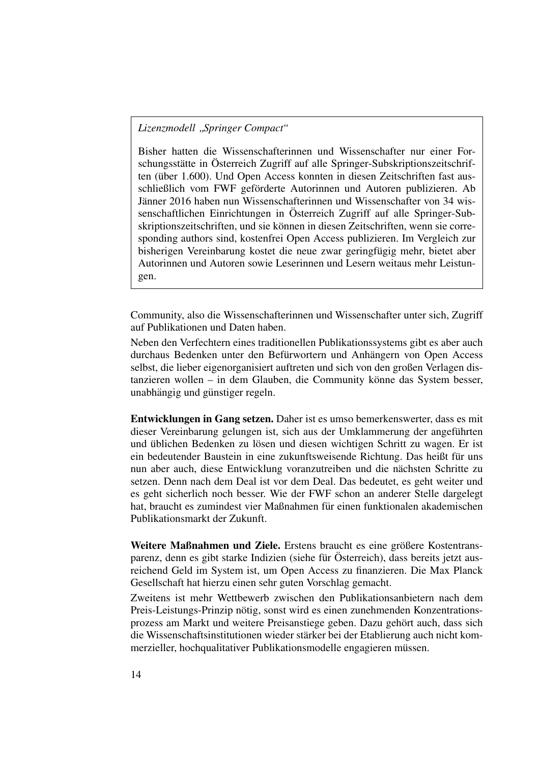### *Lizenzmodell " Springer Compact"*

Bisher hatten die Wissenschafterinnen und Wissenschafter nur einer Forschungsstätte in Österreich Zugriff auf alle Springer-Subskriptionszeitschriften (über 1.600). Und Open Access konnten in diesen Zeitschriften fast ausschließlich vom FWF geförderte Autorinnen und Autoren publizieren. Ab Janner 2016 haben nun Wissenschafterinnen und Wissenschafter von 34 wis- ¨ senschaftlichen Einrichtungen in Österreich Zugriff auf alle Springer-Subskriptionszeitschriften, und sie können in diesen Zeitschriften, wenn sie corresponding authors sind, kostenfrei Open Access publizieren. Im Vergleich zur bisherigen Vereinbarung kostet die neue zwar geringfügig mehr, bietet aber Autorinnen und Autoren sowie Leserinnen und Lesern weitaus mehr Leistungen.

Community, also die Wissenschafterinnen und Wissenschafter unter sich, Zugriff auf Publikationen und Daten haben.

Neben den Verfechtern eines traditionellen Publikationssystems gibt es aber auch durchaus Bedenken unter den Befürwortern und Anhängern von Open Access selbst, die lieber eigenorganisiert auftreten und sich von den großen Verlagen distanzieren wollen – in dem Glauben, die Community könne das System besser, unabhängig und günstiger regeln.

Entwicklungen in Gang setzen. Daher ist es umso bemerkenswerter, dass es mit dieser Vereinbarung gelungen ist, sich aus der Umklammerung der angefuhrten ¨ und üblichen Bedenken zu lösen und diesen wichtigen Schritt zu wagen. Er ist ein bedeutender Baustein in eine zukunftsweisende Richtung. Das heißt fur uns ¨ nun aber auch, diese Entwicklung voranzutreiben und die nächsten Schritte zu setzen. Denn nach dem Deal ist vor dem Deal. Das bedeutet, es geht weiter und es geht sicherlich noch besser. Wie der FWF schon an anderer Stelle dargelegt hat, braucht es zumindest vier Maßnahmen für einen funktionalen akademischen Publikationsmarkt der Zukunft.

Weitere Maßnahmen und Ziele. Erstens braucht es eine größere Kostentransparenz, denn es gibt starke Indizien (siehe für Österreich), dass bereits jetzt ausreichend Geld im System ist, um Open Access zu finanzieren. Die Max Planck Gesellschaft hat hierzu einen sehr guten Vorschlag gemacht.

Zweitens ist mehr Wettbewerb zwischen den Publikationsanbietern nach dem Preis-Leistungs-Prinzip nötig, sonst wird es einen zunehmenden Konzentrationsprozess am Markt und weitere Preisanstiege geben. Dazu gehört auch, dass sich die Wissenschaftsinstitutionen wieder stärker bei der Etablierung auch nicht kommerzieller, hochqualitativer Publikationsmodelle engagieren müssen.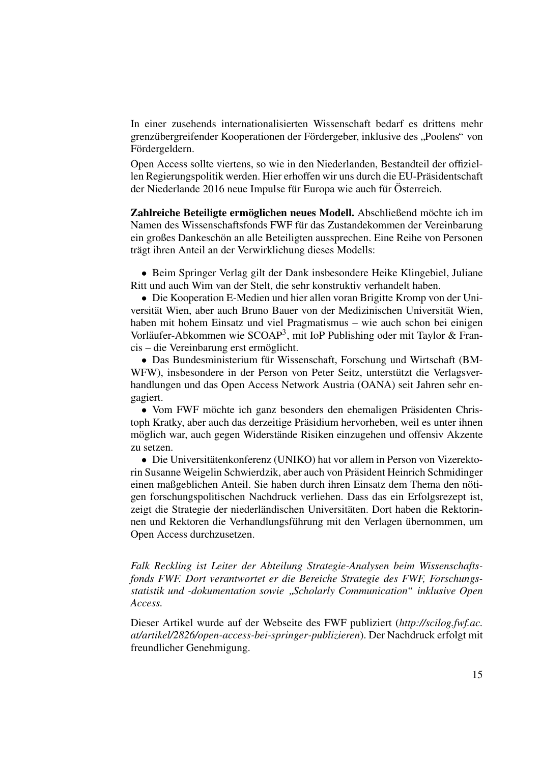In einer zusehends internationalisierten Wissenschaft bedarf es drittens mehr grenzübergreifender Kooperationen der Fördergeber, inklusive des "Poolens" von<br>Eördergeldern Fördergeldern.

Open Access sollte viertens, so wie in den Niederlanden, Bestandteil der offiziellen Regierungspolitik werden. Hier erhoffen wir uns durch die EU-Präsidentschaft der Niederlande 2016 neue Impulse für Europa wie auch für Österreich.

Zahlreiche Beteiligte ermöglichen neues Modell. Abschließend möchte ich im Namen des Wissenschaftsfonds FWF für das Zustandekommen der Vereinbarung ein großes Dankeschön an alle Beteiligten aussprechen. Eine Reihe von Personen trägt ihren Anteil an der Verwirklichung dieses Modells:

• Beim Springer Verlag gilt der Dank insbesondere Heike Klingebiel, Juliane Ritt und auch Wim van der Stelt, die sehr konstruktiv verhandelt haben.

• Die Kooperation E-Medien und hier allen voran Brigitte Kromp von der Universität Wien, aber auch Bruno Bauer von der Medizinischen Universität Wien, haben mit hohem Einsatz und viel Pragmatismus – wie auch schon bei einigen Vorläufer-Abkommen wie SCOAP<sup>3</sup>, mit IoP Publishing oder mit Taylor & Francis – die Vereinbarung erst ermöglicht.

• Das Bundesministerium für Wissenschaft, Forschung und Wirtschaft (BM-WFW), insbesondere in der Person von Peter Seitz, unterstützt die Verlagsverhandlungen und das Open Access Network Austria (OANA) seit Jahren sehr engagiert.

• Vom FWF möchte ich ganz besonders den ehemaligen Präsidenten Christoph Kratky, aber auch das derzeitige Präsidium hervorheben, weil es unter ihnen möglich war, auch gegen Widerstände Risiken einzugehen und offensiv Akzente zu setzen.

• Die Universitätenkonferenz (UNIKO) hat vor allem in Person von Vizerektorin Susanne Weigelin Schwierdzik, aber auch von Prasident Heinrich Schmidinger ¨ einen maßgeblichen Anteil. Sie haben durch ihren Einsatz dem Thema den nötigen forschungspolitischen Nachdruck verliehen. Dass das ein Erfolgsrezept ist, zeigt die Strategie der niederländischen Universitäten. Dort haben die Rektorinnen und Rektoren die Verhandlungsführung mit den Verlagen übernommen, um Open Access durchzusetzen.

*Falk Reckling ist Leiter der Abteilung Strategie-Analysen beim Wissenschaftsfonds FWF. Dort verantwortet er die Bereiche Strategie des FWF, Forschungsstatistik und -dokumentation sowie " Scholarly Communication" inklusive Open Access.*

Dieser Artikel wurde auf der Webseite des FWF publiziert (*http://scilog.fwf.ac. at/artikel/2826/open-access-bei-springer-publizieren*). Der Nachdruck erfolgt mit freundlicher Genehmigung.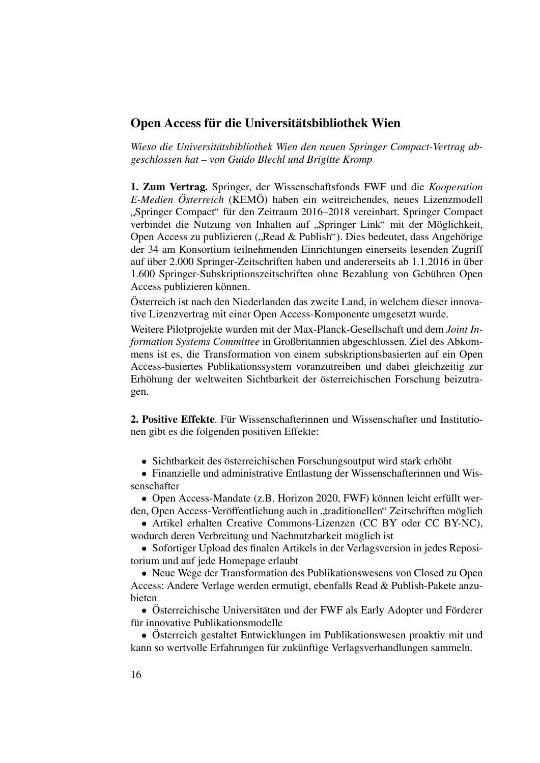#### Open Access für die Universitätsbibliothek Wien

*Wieso die Universitatsbibliothek Wien den neuen Springer Compact-Vertrag ab- ¨ geschlossen hat – von Guido Blechl und Brigitte Kromp*

1. Zum Vertrag. Springer, der Wissenschaftsfonds FWF und die *Kooperation E-Medien Österreich* (KEMÖ) haben ein weitreichendes, neues Lizenzmodell verbindet die Nutzung von Inhalten auf "Springer Link" mit der Möglichkeit,<br>Open Access zu publizieren ("Bood & Publich"). Dies bedeutet dess Angebärige "Springer Compact" für den Zeitraum 2016–2018 vereinbart. Springer Compact Open Access zu publizieren ("Read & Publish"). Dies bedeutet, dass Angehörige<br>dar 34 am Konsertium teilnehmenden Einrichtungen einerseits lesenden Zugriff der 34 am Konsortium teilnehmenden Einrichtungen einerseits lesenden Zugriff auf über 2.000 Springer-Zeitschriften haben und andererseits ab 1.1.2016 in über 1.600 Springer-Subskriptionszeitschriften ohne Bezahlung von Gebuhren Open ¨ Access publizieren können.

Osterreich ist nach den Niederlanden das zweite Land, in welchem dieser innova- ¨ tive Lizenzvertrag mit einer Open Access-Komponente umgesetzt wurde.

Weitere Pilotprojekte wurden mit der Max-Planck-Gesellschaft und dem *Joint Information Systems Committee* in Großbritannien abgeschlossen. Ziel des Abkommens ist es, die Transformation von einem subskriptionsbasierten auf ein Open Access-basiertes Publikationssystem voranzutreiben und dabei gleichzeitig zur Erhöhung der weltweiten Sichtbarkeit der österreichischen Forschung beizutragen.

2. Positive Effekte. Für Wissenschafterinnen und Wissenschafter und Institutionen gibt es die folgenden positiven Effekte:

• Sichtbarkeit des österreichischen Forschungsoutput wird stark erhöht

• Finanzielle und administrative Entlastung der Wissenschafterinnen und Wissenschafter

• Open Access-Mandate (z.B. Horizon 2020, FWF) können leicht erfüllt werden, Open Access-Veröffentlichung auch in "traditionellen" Zeitschriften möglich

• Artikel erhalten Creative Commons-Lizenzen (CC BY oder CC BY-NC), wodurch deren Verbreitung und Nachnutzbarkeit möglich ist

• Sofortiger Upload des finalen Artikels in der Verlagsversion in jedes Repositorium und auf jede Homepage erlaubt

• Neue Wege der Transformation des Publikationswesens von Closed zu Open Access: Andere Verlage werden ermutigt, ebenfalls Read & Publish-Pakete anzubieten

• Österreichische Universitäten und der FWF als Early Adopter und Förderer für innovative Publikationsmodelle

• Österreich gestaltet Entwicklungen im Publikationswesen proaktiv mit und kann so wertvolle Erfahrungen für zukünftige Verlagsverhandlungen sammeln.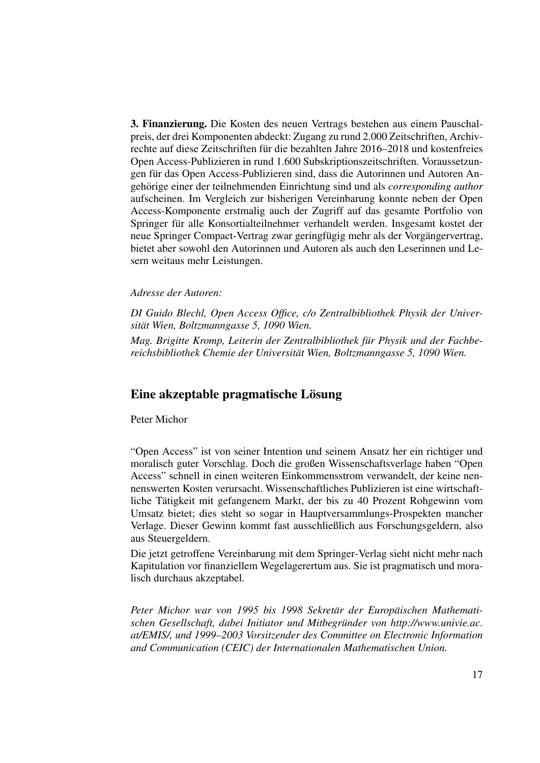3. Finanzierung. Die Kosten des neuen Vertrags bestehen aus einem Pauschalpreis, der drei Komponenten abdeckt: Zugang zu rund 2.000 Zeitschriften, Archivrechte auf diese Zeitschriften für die bezahlten Jahre 2016–2018 und kostenfreies Open Access-Publizieren in rund 1.600 Subskriptionszeitschriften. Voraussetzungen für das Open Access-Publizieren sind, dass die Autorinnen und Autoren Angehörige einer der teilnehmenden Einrichtung sind und als *corresponding author* aufscheinen. Im Vergleich zur bisherigen Vereinbarung konnte neben der Open Access-Komponente erstmalig auch der Zugriff auf das gesamte Portfolio von Springer für alle Konsortialteilnehmer verhandelt werden. Insgesamt kostet der neue Springer Compact-Vertrag zwar geringfügig mehr als der Vorgängervertrag, bietet aber sowohl den Autorinnen und Autoren als auch den Leserinnen und Lesern weitaus mehr Leistungen.

#### *Adresse der Autoren:*

*DI Guido Blechl, Open Access Office, c/o Zentralbibliothek Physik der Universitat Wien, Boltzmanngasse 5, 1090 Wien. ¨*

*Mag. Brigitte Kromp, Leiterin der Zentralbibliothek fur Physik und der Fachbe- ¨ reichsbibliothek Chemie der Universitat Wien, Boltzmanngasse 5, 1090 Wien. ¨*

#### Eine akzeptable pragmatische Lösung

Peter Michor

"Open Access" ist von seiner Intention und seinem Ansatz her ein richtiger und moralisch guter Vorschlag. Doch die großen Wissenschaftsverlage haben "Open Access" schnell in einen weiteren Einkommensstrom verwandelt, der keine nennenswerten Kosten verursacht. Wissenschaftliches Publizieren ist eine wirtschaftliche Tatigkeit mit gefangenem Markt, der bis zu 40 Prozent Rohgewinn vom ¨ Umsatz bietet; dies steht so sogar in Hauptversammlungs-Prospekten mancher Verlage. Dieser Gewinn kommt fast ausschließlich aus Forschungsgeldern, also aus Steuergeldern.

Die jetzt getroffene Vereinbarung mit dem Springer-Verlag sieht nicht mehr nach Kapitulation vor finanziellem Wegelagerertum aus. Sie ist pragmatisch und moralisch durchaus akzeptabel.

*Peter Michor war von 1995 bis 1998 Sekretär der Europäischen Mathematischen Gesellschaft, dabei Initiator und Mitbegrunder von http://www.univie.ac. ¨ at/EMIS/, und 1999–2003 Vorsitzender des Committee on Electronic Information and Communication (CEIC) der Internationalen Mathematischen Union.*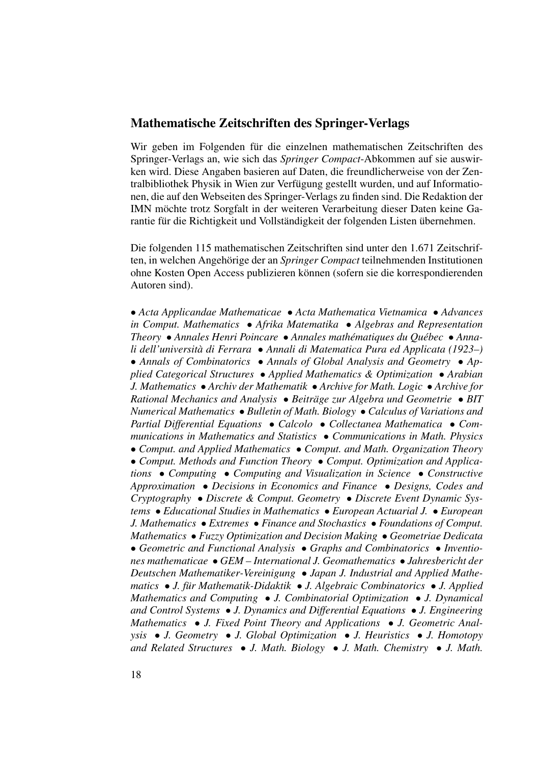#### Mathematische Zeitschriften des Springer-Verlags

Wir geben im Folgenden für die einzelnen mathematischen Zeitschriften des Springer-Verlags an, wie sich das *Springer Compact*-Abkommen auf sie auswirken wird. Diese Angaben basieren auf Daten, die freundlicherweise von der Zentralbibliothek Physik in Wien zur Verfugung gestellt wurden, und auf Informatio- ¨ nen, die auf den Webseiten des Springer-Verlags zu finden sind. Die Redaktion der IMN möchte trotz Sorgfalt in der weiteren Verarbeitung dieser Daten keine Garantie für die Richtigkeit und Vollständigkeit der folgenden Listen übernehmen.

Die folgenden 115 mathematischen Zeitschriften sind unter den 1.671 Zeitschriften, in welchen Angehörige der an *Springer Compact* teilnehmenden Institutionen ohne Kosten Open Access publizieren können (sofern sie die korrespondierenden Autoren sind).

• *Acta Applicandae Mathematicae* • *Acta Mathematica Vietnamica* • *Advances in Comput. Mathematics* • *Afrika Matematika* • *Algebras and Representation Theory* • *Annales Henri Poincare* • *Annales mathématiques du Québec* • *Annali dell'universita di Ferrara `* • *Annali di Matematica Pura ed Applicata (1923–)* • *Annals of Combinatorics* • *Annals of Global Analysis and Geometry* • *Applied Categorical Structures* • *Applied Mathematics & Optimization* • *Arabian J. Mathematics* • *Archiv der Mathematik* • *Archive for Math. Logic* • *Archive for Rational Mechanics and Analysis* • *Beitrage zur Algebra und Geometrie ¨* • *BIT Numerical Mathematics* • *Bulletin of Math. Biology* • *Calculus of Variations and Partial Differential Equations* • *Calcolo* • *Collectanea Mathematica* • *Communications in Mathematics and Statistics* • *Communications in Math. Physics* • *Comput. and Applied Mathematics* • *Comput. and Math. Organization Theory* • *Comput. Methods and Function Theory* • *Comput. Optimization and Applications* • *Computing* • *Computing and Visualization in Science* • *Constructive Approximation* • *Decisions in Economics and Finance* • *Designs, Codes and Cryptography* • *Discrete & Comput. Geometry* • *Discrete Event Dynamic Systems* • *Educational Studies in Mathematics* • *European Actuarial J.* • *European J. Mathematics* • *Extremes* • *Finance and Stochastics* • *Foundations of Comput. Mathematics* • *Fuzzy Optimization and Decision Making* • *Geometriae Dedicata* • *Geometric and Functional Analysis* • *Graphs and Combinatorics* • *Inventiones mathematicae* • *GEM – International J. Geomathematics* • *Jahresbericht der Deutschen Mathematiker-Vereinigung* • *Japan J. Industrial and Applied Mathematics* • *J. fur Mathematik-Didaktik ¨* • *J. Algebraic Combinatorics* • *J. Applied Mathematics and Computing* • *J. Combinatorial Optimization* • *J. Dynamical and Control Systems* • *J. Dynamics and Differential Equations* • *J. Engineering Mathematics* • *J. Fixed Point Theory and Applications* • *J. Geometric Analysis* • *J. Geometry* • *J. Global Optimization* • *J. Heuristics* • *J. Homotopy and Related Structures* • *J. Math. Biology* • *J. Math. Chemistry* • *J. Math.*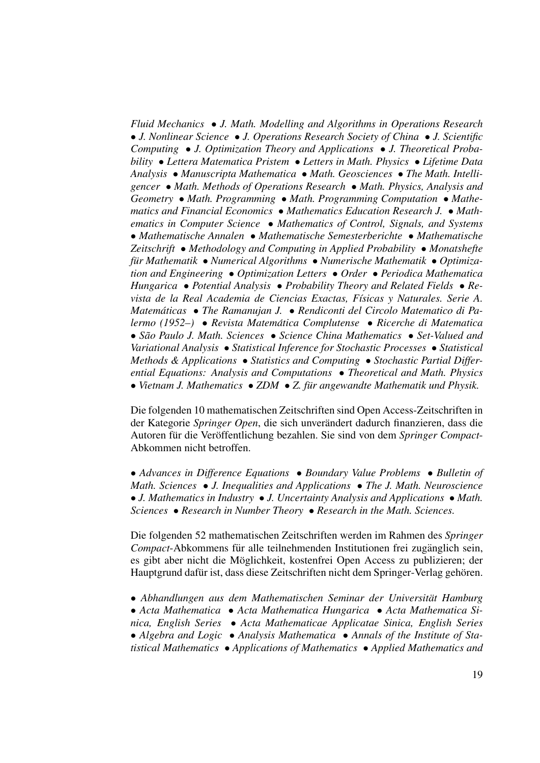*Fluid Mechanics* • *J. Math. Modelling and Algorithms in Operations Research* • *J. Nonlinear Science* • *J. Operations Research Society of China* • *J. Scientific Computing* • *J. Optimization Theory and Applications* • *J. Theoretical Probability* • *Lettera Matematica Pristem* • *Letters in Math. Physics* • *Lifetime Data Analysis* • *Manuscripta Mathematica* • *Math. Geosciences* • *The Math. Intelligencer* • *Math. Methods of Operations Research* • *Math. Physics, Analysis and Geometry* • *Math. Programming* • *Math. Programming Computation* • *Mathematics and Financial Economics* • *Mathematics Education Research J.* • *Mathematics in Computer Science* • *Mathematics of Control, Signals, and Systems* • *Mathematische Annalen* • *Mathematische Semesterberichte* • *Mathematische Zeitschrift* • *Methodology and Computing in Applied Probability* • *Monatshefte fur Mathematik ¨* • *Numerical Algorithms* • *Numerische Mathematik* • *Optimization and Engineering* • *Optimization Letters* • *Order* • *Periodica Mathematica Hungarica* • *Potential Analysis* • *Probability Theory and Related Fields* • *Revista de la Real Academia de Ciencias Exactas, F´ısicas y Naturales. Serie A. Matematicas ´* • *The Ramanujan J.* • *Rendiconti del Circolo Matematico di Palermo (1952–)* • *Revista Matematica Complutense ´* • *Ricerche di Matematica* • *Sao Paulo J. Math. Sciences ˜* • *Science China Mathematics* • *Set-Valued and Variational Analysis* • *Statistical Inference for Stochastic Processes* • *Statistical Methods & Applications* • *Statistics and Computing* • *Stochastic Partial Differential Equations: Analysis and Computations* • *Theoretical and Math. Physics* • *Vietnam J. Mathematics* • *ZDM* • *Z. fur angewandte Mathematik und Physik. ¨*

Die folgenden 10 mathematischen Zeitschriften sind Open Access-Zeitschriften in der Kategorie *Springer Open*, die sich unverandert dadurch finanzieren, dass die ¨ Autoren für die Veröffentlichung bezahlen. Sie sind von dem Springer Compact-Abkommen nicht betroffen.

• *Advances in Difference Equations* • *Boundary Value Problems* • *Bulletin of Math. Sciences* • *J. Inequalities and Applications* • *The J. Math. Neuroscience* • *J. Mathematics in Industry* • *J. Uncertainty Analysis and Applications* • *Math. Sciences* • *Research in Number Theory* • *Research in the Math. Sciences.*

Die folgenden 52 mathematischen Zeitschriften werden im Rahmen des *Springer Compact*-Abkommens für alle teilnehmenden Institutionen frei zugänglich sein, es gibt aber nicht die Möglichkeit, kostenfrei Open Access zu publizieren; der Hauptgrund dafür ist, dass diese Zeitschriften nicht dem Springer-Verlag gehören.

• *Abhandlungen aus dem Mathematischen Seminar der Universitat Hamburg ¨*

• *Acta Mathematica* • *Acta Mathematica Hungarica* • *Acta Mathematica Sinica, English Series* • *Acta Mathematicae Applicatae Sinica, English Series*

• *Algebra and Logic* • *Analysis Mathematica* • *Annals of the Institute of Statistical Mathematics* • *Applications of Mathematics* • *Applied Mathematics and*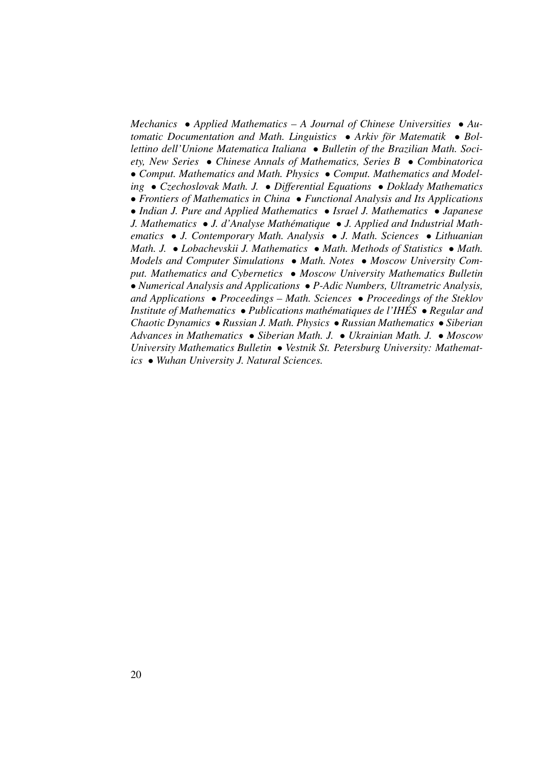*Mechanics* • *Applied Mathematics – A Journal of Chinese Universities* • *Automatic Documentation and Math. Linguistics* • *Arkiv for Matematik ¨* • *Bollettino dell'Unione Matematica Italiana* • *Bulletin of the Brazilian Math. Society, New Series* • *Chinese Annals of Mathematics, Series B* • *Combinatorica* • *Comput. Mathematics and Math. Physics* • *Comput. Mathematics and Modeling* • *Czechoslovak Math. J.* • *Differential Equations* • *Doklady Mathematics* • *Frontiers of Mathematics in China* • *Functional Analysis and Its Applications* • *Indian J. Pure and Applied Mathematics* • *Israel J. Mathematics* • *Japanese J. Mathematics* ● *J. d'Analyse Mathématique* ● *J. Applied and Industrial Mathematics* • *J. Contemporary Math. Analysis* • *J. Math. Sciences* • *Lithuanian Math. J.* • *Lobachevskii J. Mathematics* • *Math. Methods of Statistics* • *Math. Models and Computer Simulations* • *Math. Notes* • *Moscow University Comput. Mathematics and Cybernetics* • *Moscow University Mathematics Bulletin* • *Numerical Analysis and Applications* • *P-Adic Numbers, Ultrametric Analysis, and Applications* • *Proceedings – Math. Sciences* • *Proceedings of the Steklov Institute of Mathematics* • *Publications mathématiques de l'IHÉS* • *Regular and Chaotic Dynamics* • *Russian J. Math. Physics* • *Russian Mathematics* • *Siberian Advances in Mathematics* • *Siberian Math. J.* • *Ukrainian Math. J.* • *Moscow University Mathematics Bulletin* • *Vestnik St. Petersburg University: Mathematics* • *Wuhan University J. Natural Sciences.*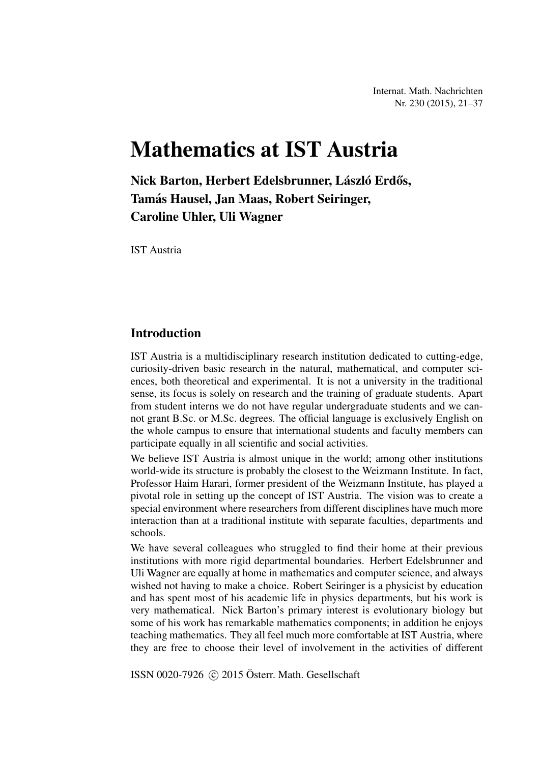Internat. Math. Nachrichten Nr. 230 (2015), 21–37

# Mathematics at IST Austria

Nick Barton, Herbert Edelsbrunner, László Erdős, Tamás Hausel, Jan Maas, Robert Seiringer, Caroline Uhler, Uli Wagner

IST Austria

#### **Introduction**

IST Austria is a multidisciplinary research institution dedicated to cutting-edge, curiosity-driven basic research in the natural, mathematical, and computer sciences, both theoretical and experimental. It is not a university in the traditional sense, its focus is solely on research and the training of graduate students. Apart from student interns we do not have regular undergraduate students and we cannot grant B.Sc. or M.Sc. degrees. The official language is exclusively English on the whole campus to ensure that international students and faculty members can participate equally in all scientific and social activities.

We believe IST Austria is almost unique in the world; among other institutions world-wide its structure is probably the closest to the Weizmann Institute. In fact, Professor Haim Harari, former president of the Weizmann Institute, has played a pivotal role in setting up the concept of IST Austria. The vision was to create a special environment where researchers from different disciplines have much more interaction than at a traditional institute with separate faculties, departments and schools.

We have several colleagues who struggled to find their home at their previous institutions with more rigid departmental boundaries. Herbert Edelsbrunner and Uli Wagner are equally at home in mathematics and computer science, and always wished not having to make a choice. Robert Seiringer is a physicist by education and has spent most of his academic life in physics departments, but his work is very mathematical. Nick Barton's primary interest is evolutionary biology but some of his work has remarkable mathematics components; in addition he enjoys teaching mathematics. They all feel much more comfortable at IST Austria, where they are free to choose their level of involvement in the activities of different

ISSN 0020-7926  $\odot$  2015 Österr. Math. Gesellschaft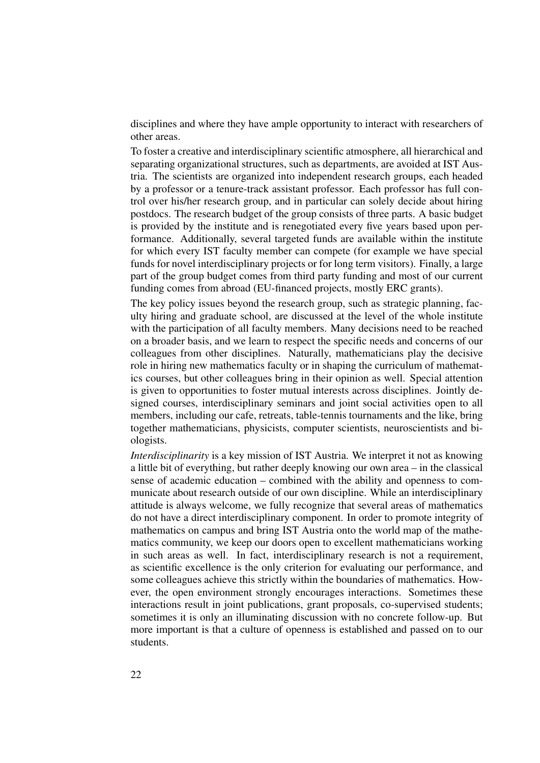disciplines and where they have ample opportunity to interact with researchers of other areas.

To foster a creative and interdisciplinary scientific atmosphere, all hierarchical and separating organizational structures, such as departments, are avoided at IST Austria. The scientists are organized into independent research groups, each headed by a professor or a tenure-track assistant professor. Each professor has full control over his/her research group, and in particular can solely decide about hiring postdocs. The research budget of the group consists of three parts. A basic budget is provided by the institute and is renegotiated every five years based upon performance. Additionally, several targeted funds are available within the institute for which every IST faculty member can compete (for example we have special funds for novel interdisciplinary projects or for long term visitors). Finally, a large part of the group budget comes from third party funding and most of our current funding comes from abroad (EU-financed projects, mostly ERC grants).

The key policy issues beyond the research group, such as strategic planning, faculty hiring and graduate school, are discussed at the level of the whole institute with the participation of all faculty members. Many decisions need to be reached on a broader basis, and we learn to respect the specific needs and concerns of our colleagues from other disciplines. Naturally, mathematicians play the decisive role in hiring new mathematics faculty or in shaping the curriculum of mathematics courses, but other colleagues bring in their opinion as well. Special attention is given to opportunities to foster mutual interests across disciplines. Jointly designed courses, interdisciplinary seminars and joint social activities open to all members, including our cafe, retreats, table-tennis tournaments and the like, bring together mathematicians, physicists, computer scientists, neuroscientists and biologists.

*Interdisciplinarity* is a key mission of IST Austria. We interpret it not as knowing a little bit of everything, but rather deeply knowing our own area – in the classical sense of academic education – combined with the ability and openness to communicate about research outside of our own discipline. While an interdisciplinary attitude is always welcome, we fully recognize that several areas of mathematics do not have a direct interdisciplinary component. In order to promote integrity of mathematics on campus and bring IST Austria onto the world map of the mathematics community, we keep our doors open to excellent mathematicians working in such areas as well. In fact, interdisciplinary research is not a requirement, as scientific excellence is the only criterion for evaluating our performance, and some colleagues achieve this strictly within the boundaries of mathematics. However, the open environment strongly encourages interactions. Sometimes these interactions result in joint publications, grant proposals, co-supervised students; sometimes it is only an illuminating discussion with no concrete follow-up. But more important is that a culture of openness is established and passed on to our students.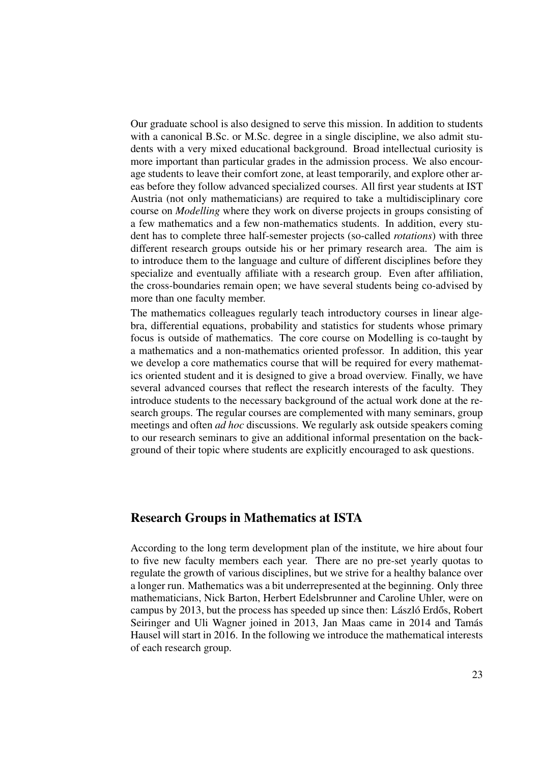Our graduate school is also designed to serve this mission. In addition to students with a canonical B.Sc. or M.Sc. degree in a single discipline, we also admit students with a very mixed educational background. Broad intellectual curiosity is more important than particular grades in the admission process. We also encourage students to leave their comfort zone, at least temporarily, and explore other areas before they follow advanced specialized courses. All first year students at IST Austria (not only mathematicians) are required to take a multidisciplinary core course on *Modelling* where they work on diverse projects in groups consisting of a few mathematics and a few non-mathematics students. In addition, every student has to complete three half-semester projects (so-called *rotations*) with three different research groups outside his or her primary research area. The aim is to introduce them to the language and culture of different disciplines before they specialize and eventually affiliate with a research group. Even after affiliation, the cross-boundaries remain open; we have several students being co-advised by more than one faculty member.

The mathematics colleagues regularly teach introductory courses in linear algebra, differential equations, probability and statistics for students whose primary focus is outside of mathematics. The core course on Modelling is co-taught by a mathematics and a non-mathematics oriented professor. In addition, this year we develop a core mathematics course that will be required for every mathematics oriented student and it is designed to give a broad overview. Finally, we have several advanced courses that reflect the research interests of the faculty. They introduce students to the necessary background of the actual work done at the research groups. The regular courses are complemented with many seminars, group meetings and often *ad hoc* discussions. We regularly ask outside speakers coming to our research seminars to give an additional informal presentation on the background of their topic where students are explicitly encouraged to ask questions.

#### Research Groups in Mathematics at ISTA

According to the long term development plan of the institute, we hire about four to five new faculty members each year. There are no pre-set yearly quotas to regulate the growth of various disciplines, but we strive for a healthy balance over a longer run. Mathematics was a bit underrepresented at the beginning. Only three mathematicians, Nick Barton, Herbert Edelsbrunner and Caroline Uhler, were on campus by 2013, but the process has speeded up since then: László Erdős, Robert Seiringer and Uli Wagner joined in 2013, Jan Maas came in 2014 and Tamás Hausel will start in 2016. In the following we introduce the mathematical interests of each research group.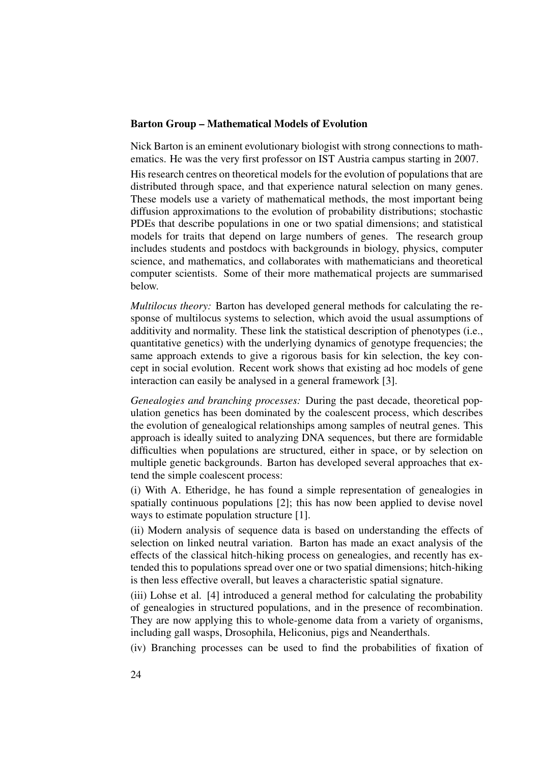#### Barton Group – Mathematical Models of Evolution

Nick Barton is an eminent evolutionary biologist with strong connections to mathematics. He was the very first professor on IST Austria campus starting in 2007. His research centres on theoretical models for the evolution of populations that are distributed through space, and that experience natural selection on many genes. These models use a variety of mathematical methods, the most important being diffusion approximations to the evolution of probability distributions; stochastic PDEs that describe populations in one or two spatial dimensions; and statistical models for traits that depend on large numbers of genes. The research group includes students and postdocs with backgrounds in biology, physics, computer science, and mathematics, and collaborates with mathematicians and theoretical computer scientists. Some of their more mathematical projects are summarised below.

*Multilocus theory:* Barton has developed general methods for calculating the response of multilocus systems to selection, which avoid the usual assumptions of additivity and normality. These link the statistical description of phenotypes (i.e., quantitative genetics) with the underlying dynamics of genotype frequencies; the same approach extends to give a rigorous basis for kin selection, the key concept in social evolution. Recent work shows that existing ad hoc models of gene interaction can easily be analysed in a general framework [3].

*Genealogies and branching processes:* During the past decade, theoretical population genetics has been dominated by the coalescent process, which describes the evolution of genealogical relationships among samples of neutral genes. This approach is ideally suited to analyzing DNA sequences, but there are formidable difficulties when populations are structured, either in space, or by selection on multiple genetic backgrounds. Barton has developed several approaches that extend the simple coalescent process:

(i) With A. Etheridge, he has found a simple representation of genealogies in spatially continuous populations [2]; this has now been applied to devise novel ways to estimate population structure [1].

(ii) Modern analysis of sequence data is based on understanding the effects of selection on linked neutral variation. Barton has made an exact analysis of the effects of the classical hitch-hiking process on genealogies, and recently has extended this to populations spread over one or two spatial dimensions; hitch-hiking is then less effective overall, but leaves a characteristic spatial signature.

(iii) Lohse et al. [4] introduced a general method for calculating the probability of genealogies in structured populations, and in the presence of recombination. They are now applying this to whole-genome data from a variety of organisms, including gall wasps, Drosophila, Heliconius, pigs and Neanderthals.

(iv) Branching processes can be used to find the probabilities of fixation of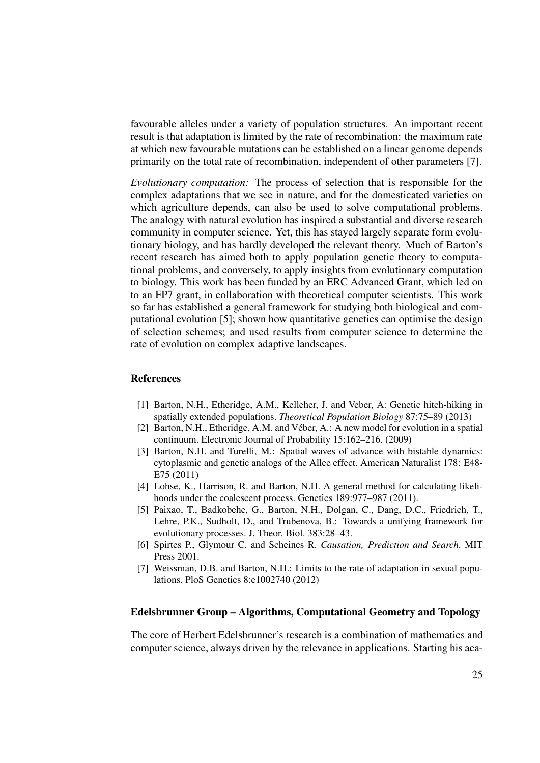favourable alleles under a variety of population structures. An important recent result is that adaptation is limited by the rate of recombination: the maximum rate at which new favourable mutations can be established on a linear genome depends primarily on the total rate of recombination, independent of other parameters [7].

*Evolutionary computation:* The process of selection that is responsible for the complex adaptations that we see in nature, and for the domesticated varieties on which agriculture depends, can also be used to solve computational problems. The analogy with natural evolution has inspired a substantial and diverse research community in computer science. Yet, this has stayed largely separate form evolutionary biology, and has hardly developed the relevant theory. Much of Barton's recent research has aimed both to apply population genetic theory to computational problems, and conversely, to apply insights from evolutionary computation to biology. This work has been funded by an ERC Advanced Grant, which led on to an FP7 grant, in collaboration with theoretical computer scientists. This work so far has established a general framework for studying both biological and computational evolution [5]; shown how quantitative genetics can optimise the design of selection schemes; and used results from computer science to determine the rate of evolution on complex adaptive landscapes.

#### References

- [1] Barton, N.H., Etheridge, A.M., Kelleher, J. and Veber, A: Genetic hitch-hiking in spatially extended populations. *Theoretical Population Biology* 87:75–89 (2013)
- [2] Barton, N.H., Etheridge, A.M. and Véber, A.: A new model for evolution in a spatial continuum. Electronic Journal of Probability 15:162–216. (2009)
- [3] Barton, N.H. and Turelli, M.: Spatial waves of advance with bistable dynamics: cytoplasmic and genetic analogs of the Allee effect. American Naturalist 178: E48- E75 (2011)
- [4] Lohse, K., Harrison, R. and Barton, N.H. A general method for calculating likelihoods under the coalescent process. Genetics 189:977–987 (2011).
- [5] Paixao, T., Badkobehe, G., Barton, N.H., Dolgan, C., Dang, D.C., Friedrich, T., Lehre, P.K., Sudholt, D., and Trubenova, B.: Towards a unifying framework for evolutionary processes. J. Theor. Biol. 383:28–43.
- [6] Spirtes P., Glymour C. and Scheines R. *Causation, Prediction and Search*. MIT Press 2001.
- [7] Weissman, D.B. and Barton, N.H.: Limits to the rate of adaptation in sexual populations. PloS Genetics 8:e1002740 (2012)

#### Edelsbrunner Group – Algorithms, Computational Geometry and Topology

The core of Herbert Edelsbrunner's research is a combination of mathematics and computer science, always driven by the relevance in applications. Starting his aca-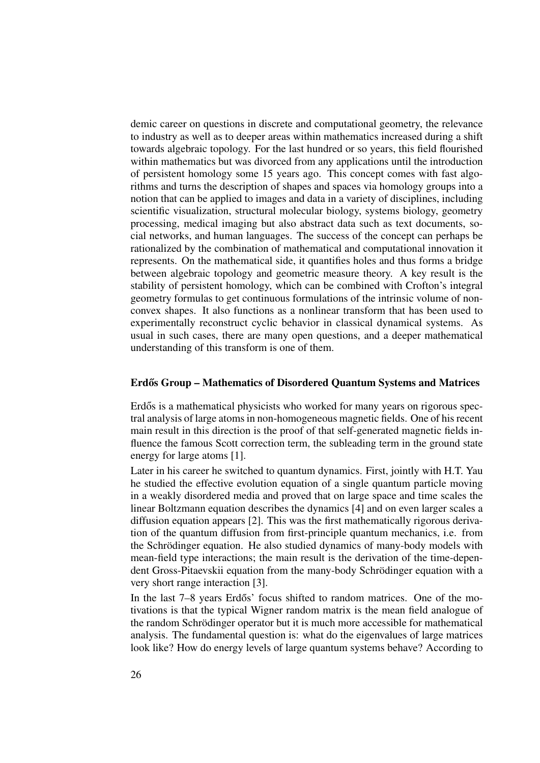demic career on questions in discrete and computational geometry, the relevance to industry as well as to deeper areas within mathematics increased during a shift towards algebraic topology. For the last hundred or so years, this field flourished within mathematics but was divorced from any applications until the introduction of persistent homology some 15 years ago. This concept comes with fast algorithms and turns the description of shapes and spaces via homology groups into a notion that can be applied to images and data in a variety of disciplines, including scientific visualization, structural molecular biology, systems biology, geometry processing, medical imaging but also abstract data such as text documents, social networks, and human languages. The success of the concept can perhaps be rationalized by the combination of mathematical and computational innovation it represents. On the mathematical side, it quantifies holes and thus forms a bridge between algebraic topology and geometric measure theory. A key result is the stability of persistent homology, which can be combined with Crofton's integral geometry formulas to get continuous formulations of the intrinsic volume of nonconvex shapes. It also functions as a nonlinear transform that has been used to experimentally reconstruct cyclic behavior in classical dynamical systems. As usual in such cases, there are many open questions, and a deeper mathematical understanding of this transform is one of them.

#### Erdős Group – Mathematics of Disordered Quantum Systems and Matrices

Erdős is a mathematical physicists who worked for many years on rigorous spectral analysis of large atoms in non-homogeneous magnetic fields. One of his recent main result in this direction is the proof of that self-generated magnetic fields influence the famous Scott correction term, the subleading term in the ground state energy for large atoms [1].

Later in his career he switched to quantum dynamics. First, jointly with H.T. Yau he studied the effective evolution equation of a single quantum particle moving in a weakly disordered media and proved that on large space and time scales the linear Boltzmann equation describes the dynamics [4] and on even larger scales a diffusion equation appears [2]. This was the first mathematically rigorous derivation of the quantum diffusion from first-principle quantum mechanics, i.e. from the Schrödinger equation. He also studied dynamics of many-body models with mean-field type interactions; the main result is the derivation of the time-dependent Gross-Pitaevskii equation from the many-body Schrödinger equation with a very short range interaction [3].

In the last 7–8 years Erdős' focus shifted to random matrices. One of the motivations is that the typical Wigner random matrix is the mean field analogue of the random Schrödinger operator but it is much more accessible for mathematical analysis. The fundamental question is: what do the eigenvalues of large matrices look like? How do energy levels of large quantum systems behave? According to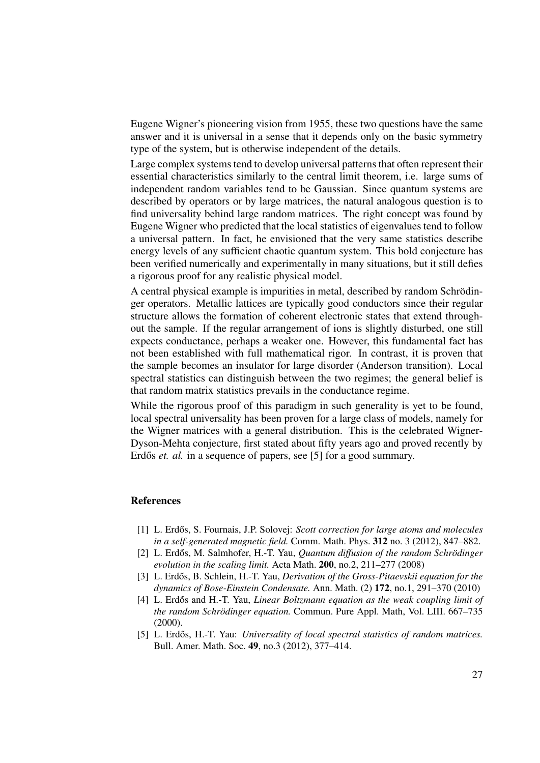Eugene Wigner's pioneering vision from 1955, these two questions have the same answer and it is universal in a sense that it depends only on the basic symmetry type of the system, but is otherwise independent of the details.

Large complex systems tend to develop universal patterns that often represent their essential characteristics similarly to the central limit theorem, i.e. large sums of independent random variables tend to be Gaussian. Since quantum systems are described by operators or by large matrices, the natural analogous question is to find universality behind large random matrices. The right concept was found by Eugene Wigner who predicted that the local statistics of eigenvalues tend to follow a universal pattern. In fact, he envisioned that the very same statistics describe energy levels of any sufficient chaotic quantum system. This bold conjecture has been verified numerically and experimentally in many situations, but it still defies a rigorous proof for any realistic physical model.

A central physical example is impurities in metal, described by random Schrödinger operators. Metallic lattices are typically good conductors since their regular structure allows the formation of coherent electronic states that extend throughout the sample. If the regular arrangement of ions is slightly disturbed, one still expects conductance, perhaps a weaker one. However, this fundamental fact has not been established with full mathematical rigor. In contrast, it is proven that the sample becomes an insulator for large disorder (Anderson transition). Local spectral statistics can distinguish between the two regimes; the general belief is that random matrix statistics prevails in the conductance regime.

While the rigorous proof of this paradigm in such generality is yet to be found, local spectral universality has been proven for a large class of models, namely for the Wigner matrices with a general distribution. This is the celebrated Wigner-Dyson-Mehta conjecture, first stated about fifty years ago and proved recently by Erdős *et. al.* in a sequence of papers, see [5] for a good summary.

#### References

- [1] L. Erdős, S. Fournais, J.P. Solovej: *Scott correction for large atoms and molecules in a self-generated magnetic field.* Comm. Math. Phys. 312 no. 3 (2012), 847–882.
- [2] L. Erdős, M. Salmhofer, H.-T. Yau, *Quantum diffusion of the random Schrödinger evolution in the scaling limit.* Acta Math. 200, no.2, 211–277 (2008)
- [3] L. Erdős, B. Schlein, H.-T. Yau, *Derivation of the Gross-Pitaevskii equation for the dynamics of Bose-Einstein Condensate.* Ann. Math. (2) 172, no.1, 291–370 (2010)
- [4] L. Erdős and H.-T. Yau, *Linear Boltzmann equation as the weak coupling limit of the random Schrödinger equation.* Commun. Pure Appl. Math, Vol. LIII. 667–735 (2000).
- [5] L. Erdős, H.-T. Yau: *Universality of local spectral statistics of random matrices.* Bull. Amer. Math. Soc. 49, no.3 (2012), 377–414.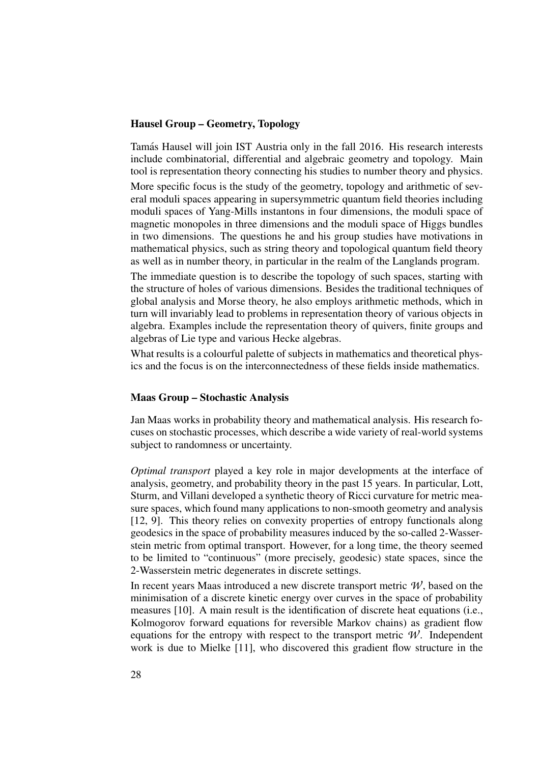#### Hausel Group – Geometry, Topology

Tamas Hausel will join IST Austria only in the fall 2016. His research interests ´ include combinatorial, differential and algebraic geometry and topology. Main tool is representation theory connecting his studies to number theory and physics.

More specific focus is the study of the geometry, topology and arithmetic of several moduli spaces appearing in supersymmetric quantum field theories including moduli spaces of Yang-Mills instantons in four dimensions, the moduli space of magnetic monopoles in three dimensions and the moduli space of Higgs bundles in two dimensions. The questions he and his group studies have motivations in mathematical physics, such as string theory and topological quantum field theory as well as in number theory, in particular in the realm of the Langlands program.

The immediate question is to describe the topology of such spaces, starting with the structure of holes of various dimensions. Besides the traditional techniques of global analysis and Morse theory, he also employs arithmetic methods, which in turn will invariably lead to problems in representation theory of various objects in algebra. Examples include the representation theory of quivers, finite groups and algebras of Lie type and various Hecke algebras.

What results is a colourful palette of subjects in mathematics and theoretical physics and the focus is on the interconnectedness of these fields inside mathematics.

#### Maas Group – Stochastic Analysis

Jan Maas works in probability theory and mathematical analysis. His research focuses on stochastic processes, which describe a wide variety of real-world systems subject to randomness or uncertainty.

*Optimal transport* played a key role in major developments at the interface of analysis, geometry, and probability theory in the past 15 years. In particular, Lott, Sturm, and Villani developed a synthetic theory of Ricci curvature for metric measure spaces, which found many applications to non-smooth geometry and analysis [12, 9]. This theory relies on convexity properties of entropy functionals along geodesics in the space of probability measures induced by the so-called 2-Wasserstein metric from optimal transport. However, for a long time, the theory seemed to be limited to "continuous" (more precisely, geodesic) state spaces, since the 2-Wasserstein metric degenerates in discrete settings.

In recent years Maas introduced a new discrete transport metric  $W$ , based on the minimisation of a discrete kinetic energy over curves in the space of probability measures [10]. A main result is the identification of discrete heat equations (i.e., Kolmogorov forward equations for reversible Markov chains) as gradient flow equations for the entropy with respect to the transport metric  $W$ . Independent work is due to Mielke [11], who discovered this gradient flow structure in the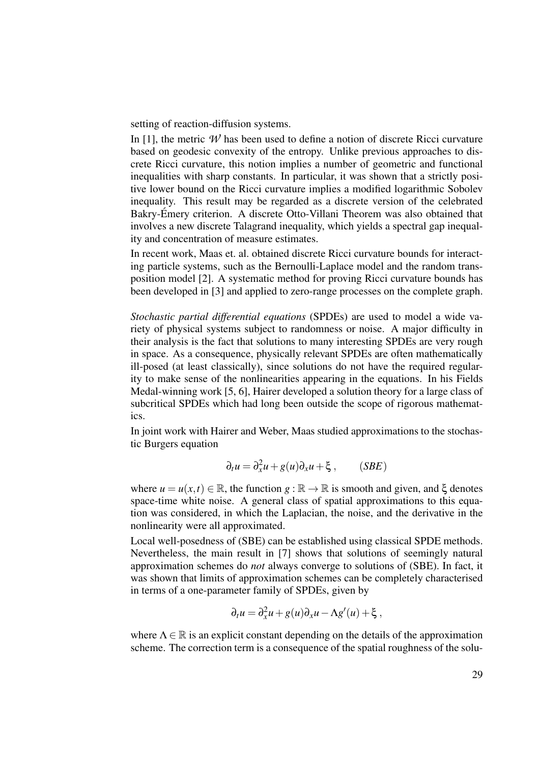setting of reaction-diffusion systems.

In [1], the metric  $W$  has been used to define a notion of discrete Ricci curvature based on geodesic convexity of the entropy. Unlike previous approaches to discrete Ricci curvature, this notion implies a number of geometric and functional inequalities with sharp constants. In particular, it was shown that a strictly positive lower bound on the Ricci curvature implies a modified logarithmic Sobolev inequality. This result may be regarded as a discrete version of the celebrated Bakry-Emery criterion. A discrete Otto-Villani Theorem was also obtained that ´ involves a new discrete Talagrand inequality, which yields a spectral gap inequality and concentration of measure estimates.

In recent work, Maas et. al. obtained discrete Ricci curvature bounds for interacting particle systems, such as the Bernoulli-Laplace model and the random transposition model [2]. A systematic method for proving Ricci curvature bounds has been developed in [3] and applied to zero-range processes on the complete graph.

*Stochastic partial differential equations* (SPDEs) are used to model a wide variety of physical systems subject to randomness or noise. A major difficulty in their analysis is the fact that solutions to many interesting SPDEs are very rough in space. As a consequence, physically relevant SPDEs are often mathematically ill-posed (at least classically), since solutions do not have the required regularity to make sense of the nonlinearities appearing in the equations. In his Fields Medal-winning work [5, 6], Hairer developed a solution theory for a large class of subcritical SPDEs which had long been outside the scope of rigorous mathematics.

In joint work with Hairer and Weber, Maas studied approximations to the stochastic Burgers equation

$$
\partial_t u = \partial_x^2 u + g(u)\partial_x u + \xi , \qquad (SBE)
$$

where  $u = u(x, t) \in \mathbb{R}$ , the function  $g : \mathbb{R} \to \mathbb{R}$  is smooth and given, and  $\xi$  denotes space-time white noise. A general class of spatial approximations to this equation was considered, in which the Laplacian, the noise, and the derivative in the nonlinearity were all approximated.

Local well-posedness of (SBE) can be established using classical SPDE methods. Nevertheless, the main result in [7] shows that solutions of seemingly natural approximation schemes do *not* always converge to solutions of (SBE). In fact, it was shown that limits of approximation schemes can be completely characterised in terms of a one-parameter family of SPDEs, given by

$$
\partial_t u = \partial_x^2 u + g(u)\partial_x u - \Lambda g'(u) + \xi,
$$

where  $\Lambda \in \mathbb{R}$  is an explicit constant depending on the details of the approximation scheme. The correction term is a consequence of the spatial roughness of the solu-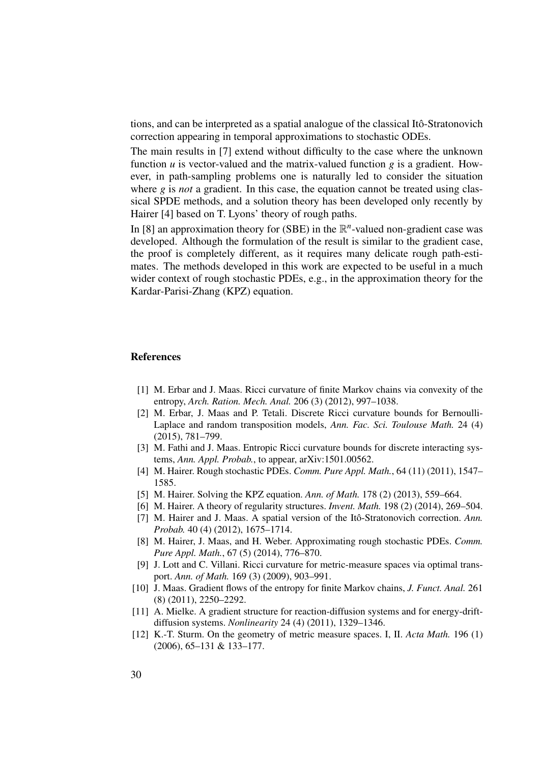tions, and can be interpreted as a spatial analogue of the classical Itô-Stratonovich correction appearing in temporal approximations to stochastic ODEs.

The main results in [7] extend without difficulty to the case where the unknown function *u* is vector-valued and the matrix-valued function *g* is a gradient. However, in path-sampling problems one is naturally led to consider the situation where *g* is *not* a gradient. In this case, the equation cannot be treated using classical SPDE methods, and a solution theory has been developed only recently by Hairer [4] based on T. Lyons' theory of rough paths.

In [8] an approximation theory for (SBE) in the  $\mathbb{R}^n$ -valued non-gradient case was developed. Although the formulation of the result is similar to the gradient case, the proof is completely different, as it requires many delicate rough path-estimates. The methods developed in this work are expected to be useful in a much wider context of rough stochastic PDEs, e.g., in the approximation theory for the Kardar-Parisi-Zhang (KPZ) equation.

#### References

- [1] M. Erbar and J. Maas. Ricci curvature of finite Markov chains via convexity of the entropy, *Arch. Ration. Mech. Anal.* 206 (3) (2012), 997–1038.
- [2] M. Erbar, J. Maas and P. Tetali. Discrete Ricci curvature bounds for Bernoulli-Laplace and random transposition models, *Ann. Fac. Sci. Toulouse Math.* 24 (4) (2015), 781–799.
- [3] M. Fathi and J. Maas. Entropic Ricci curvature bounds for discrete interacting systems, *Ann. Appl. Probab.*, to appear, arXiv:1501.00562.
- [4] M. Hairer. Rough stochastic PDEs. *Comm. Pure Appl. Math.*, 64 (11) (2011), 1547– 1585.
- [5] M. Hairer. Solving the KPZ equation. *Ann. of Math.* 178 (2) (2013), 559–664.
- [6] M. Hairer. A theory of regularity structures. *Invent. Math.* 198 (2) (2014), 269–504.
- [7] M. Hairer and J. Maas. A spatial version of the Itô-Stratonovich correction. Ann. *Probab.* 40 (4) (2012), 1675–1714.
- [8] M. Hairer, J. Maas, and H. Weber. Approximating rough stochastic PDEs. *Comm. Pure Appl. Math.*, 67 (5) (2014), 776–870.
- [9] J. Lott and C. Villani. Ricci curvature for metric-measure spaces via optimal transport. *Ann. of Math.* 169 (3) (2009), 903–991.
- [10] J. Maas. Gradient flows of the entropy for finite Markov chains, *J. Funct. Anal.* 261 (8) (2011), 2250–2292.
- [11] A. Mielke. A gradient structure for reaction-diffusion systems and for energy-driftdiffusion systems. *Nonlinearity* 24 (4) (2011), 1329–1346.
- [12] K.-T. Sturm. On the geometry of metric measure spaces. I, II. *Acta Math.* 196 (1) (2006), 65–131 & 133–177.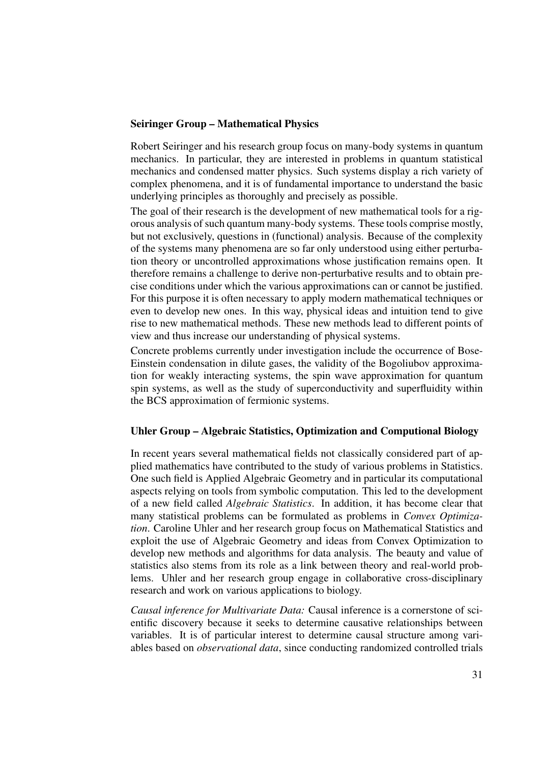#### Seiringer Group – Mathematical Physics

Robert Seiringer and his research group focus on many-body systems in quantum mechanics. In particular, they are interested in problems in quantum statistical mechanics and condensed matter physics. Such systems display a rich variety of complex phenomena, and it is of fundamental importance to understand the basic underlying principles as thoroughly and precisely as possible.

The goal of their research is the development of new mathematical tools for a rigorous analysis of such quantum many-body systems. These tools comprise mostly, but not exclusively, questions in (functional) analysis. Because of the complexity of the systems many phenomena are so far only understood using either perturbation theory or uncontrolled approximations whose justification remains open. It therefore remains a challenge to derive non-perturbative results and to obtain precise conditions under which the various approximations can or cannot be justified. For this purpose it is often necessary to apply modern mathematical techniques or even to develop new ones. In this way, physical ideas and intuition tend to give rise to new mathematical methods. These new methods lead to different points of view and thus increase our understanding of physical systems.

Concrete problems currently under investigation include the occurrence of Bose-Einstein condensation in dilute gases, the validity of the Bogoliubov approximation for weakly interacting systems, the spin wave approximation for quantum spin systems, as well as the study of superconductivity and superfluidity within the BCS approximation of fermionic systems.

#### Uhler Group – Algebraic Statistics, Optimization and Computional Biology

In recent years several mathematical fields not classically considered part of applied mathematics have contributed to the study of various problems in Statistics. One such field is Applied Algebraic Geometry and in particular its computational aspects relying on tools from symbolic computation. This led to the development of a new field called *Algebraic Statistics*. In addition, it has become clear that many statistical problems can be formulated as problems in *Convex Optimization*. Caroline Uhler and her research group focus on Mathematical Statistics and exploit the use of Algebraic Geometry and ideas from Convex Optimization to develop new methods and algorithms for data analysis. The beauty and value of statistics also stems from its role as a link between theory and real-world problems. Uhler and her research group engage in collaborative cross-disciplinary research and work on various applications to biology.

*Causal inference for Multivariate Data:* Causal inference is a cornerstone of scientific discovery because it seeks to determine causative relationships between variables. It is of particular interest to determine causal structure among variables based on *observational data*, since conducting randomized controlled trials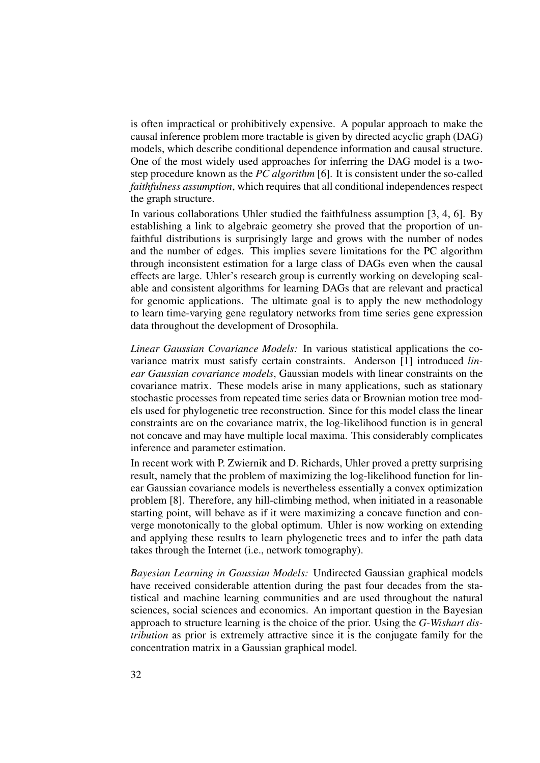is often impractical or prohibitively expensive. A popular approach to make the causal inference problem more tractable is given by directed acyclic graph (DAG) models, which describe conditional dependence information and causal structure. One of the most widely used approaches for inferring the DAG model is a twostep procedure known as the *PC algorithm* [6]. It is consistent under the so-called *faithfulness assumption*, which requires that all conditional independences respect the graph structure.

In various collaborations Uhler studied the faithfulness assumption [3, 4, 6]. By establishing a link to algebraic geometry she proved that the proportion of unfaithful distributions is surprisingly large and grows with the number of nodes and the number of edges. This implies severe limitations for the PC algorithm through inconsistent estimation for a large class of DAGs even when the causal effects are large. Uhler's research group is currently working on developing scalable and consistent algorithms for learning DAGs that are relevant and practical for genomic applications. The ultimate goal is to apply the new methodology to learn time-varying gene regulatory networks from time series gene expression data throughout the development of Drosophila.

*Linear Gaussian Covariance Models:* In various statistical applications the covariance matrix must satisfy certain constraints. Anderson [1] introduced *linear Gaussian covariance models*, Gaussian models with linear constraints on the covariance matrix. These models arise in many applications, such as stationary stochastic processes from repeated time series data or Brownian motion tree models used for phylogenetic tree reconstruction. Since for this model class the linear constraints are on the covariance matrix, the log-likelihood function is in general not concave and may have multiple local maxima. This considerably complicates inference and parameter estimation.

In recent work with P. Zwiernik and D. Richards, Uhler proved a pretty surprising result, namely that the problem of maximizing the log-likelihood function for linear Gaussian covariance models is nevertheless essentially a convex optimization problem [8]. Therefore, any hill-climbing method, when initiated in a reasonable starting point, will behave as if it were maximizing a concave function and converge monotonically to the global optimum. Uhler is now working on extending and applying these results to learn phylogenetic trees and to infer the path data takes through the Internet (i.e., network tomography).

*Bayesian Learning in Gaussian Models:* Undirected Gaussian graphical models have received considerable attention during the past four decades from the statistical and machine learning communities and are used throughout the natural sciences, social sciences and economics. An important question in the Bayesian approach to structure learning is the choice of the prior. Using the *G-Wishart distribution* as prior is extremely attractive since it is the conjugate family for the concentration matrix in a Gaussian graphical model.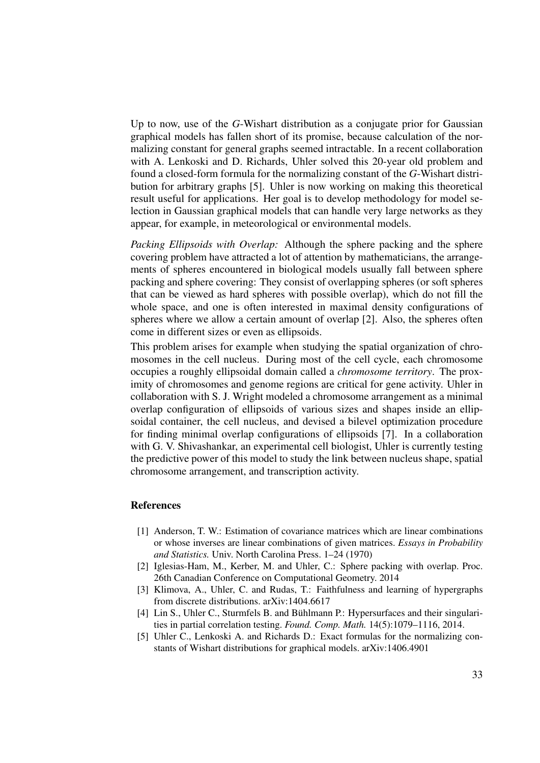Up to now, use of the *G*-Wishart distribution as a conjugate prior for Gaussian graphical models has fallen short of its promise, because calculation of the normalizing constant for general graphs seemed intractable. In a recent collaboration with A. Lenkoski and D. Richards, Uhler solved this 20-year old problem and found a closed-form formula for the normalizing constant of the *G*-Wishart distribution for arbitrary graphs [5]. Uhler is now working on making this theoretical result useful for applications. Her goal is to develop methodology for model selection in Gaussian graphical models that can handle very large networks as they appear, for example, in meteorological or environmental models.

*Packing Ellipsoids with Overlap:* Although the sphere packing and the sphere covering problem have attracted a lot of attention by mathematicians, the arrangements of spheres encountered in biological models usually fall between sphere packing and sphere covering: They consist of overlapping spheres (or soft spheres that can be viewed as hard spheres with possible overlap), which do not fill the whole space, and one is often interested in maximal density configurations of spheres where we allow a certain amount of overlap [2]. Also, the spheres often come in different sizes or even as ellipsoids.

This problem arises for example when studying the spatial organization of chromosomes in the cell nucleus. During most of the cell cycle, each chromosome occupies a roughly ellipsoidal domain called a *chromosome territory*. The proximity of chromosomes and genome regions are critical for gene activity. Uhler in collaboration with S. J. Wright modeled a chromosome arrangement as a minimal overlap configuration of ellipsoids of various sizes and shapes inside an ellipsoidal container, the cell nucleus, and devised a bilevel optimization procedure for finding minimal overlap configurations of ellipsoids [7]. In a collaboration with G. V. Shivashankar, an experimental cell biologist, Uhler is currently testing the predictive power of this model to study the link between nucleus shape, spatial chromosome arrangement, and transcription activity.

#### References

- [1] Anderson, T. W.: Estimation of covariance matrices which are linear combinations or whose inverses are linear combinations of given matrices. *Essays in Probability and Statistics.* Univ. North Carolina Press. 1–24 (1970)
- [2] Iglesias-Ham, M., Kerber, M. and Uhler, C.: Sphere packing with overlap. Proc. 26th Canadian Conference on Computational Geometry. 2014
- [3] Klimova, A., Uhler, C. and Rudas, T.: Faithfulness and learning of hypergraphs from discrete distributions. arXiv:1404.6617
- [4] Lin S., Uhler C., Sturmfels B. and Bühlmann P.: Hypersurfaces and their singularities in partial correlation testing. *Found. Comp. Math.* 14(5):1079–1116, 2014.
- [5] Uhler C., Lenkoski A. and Richards D.: Exact formulas for the normalizing constants of Wishart distributions for graphical models. arXiv:1406.4901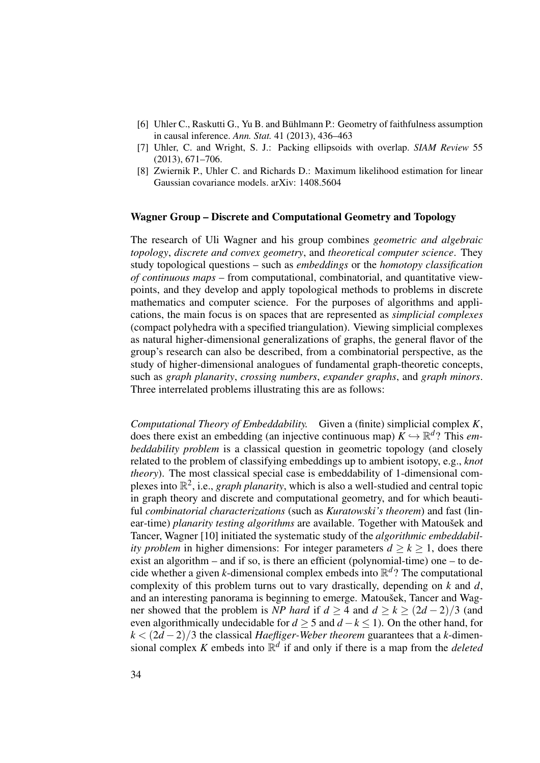- [6] Uhler C., Raskutti G., Yu B. and Bühlmann P.: Geometry of faithfulness assumption in causal inference. *Ann. Stat.* 41 (2013), 436–463
- [7] Uhler, C. and Wright, S. J.: Packing ellipsoids with overlap. *SIAM Review* 55 (2013), 671–706.
- [8] Zwiernik P., Uhler C. and Richards D.: Maximum likelihood estimation for linear Gaussian covariance models. arXiv: 1408.5604

#### Wagner Group – Discrete and Computational Geometry and Topology

The research of Uli Wagner and his group combines *geometric and algebraic topology*, *discrete and convex geometry*, and *theoretical computer science*. They study topological questions – such as *embeddings* or the *homotopy classification of continuous maps* – from computational, combinatorial, and quantitative viewpoints, and they develop and apply topological methods to problems in discrete mathematics and computer science. For the purposes of algorithms and applications, the main focus is on spaces that are represented as *simplicial complexes* (compact polyhedra with a specified triangulation). Viewing simplicial complexes as natural higher-dimensional generalizations of graphs, the general flavor of the group's research can also be described, from a combinatorial perspective, as the study of higher-dimensional analogues of fundamental graph-theoretic concepts, such as *graph planarity*, *crossing numbers*, *expander graphs*, and *graph minors*. Three interrelated problems illustrating this are as follows:

*Computational Theory of Embeddability.* Given a (finite) simplicial complex *K*, does there exist an embedding (an injective continuous map)  $K \hookrightarrow \mathbb{R}^d$ ? This *embeddability problem* is a classical question in geometric topology (and closely related to the problem of classifying embeddings up to ambient isotopy, e.g., *knot theory*). The most classical special case is embeddability of 1-dimensional complexes into  $\mathbb{R}^2$ , i.e., *graph planarity*, which is also a well-studied and central topic in graph theory and discrete and computational geometry, and for which beautiful *combinatorial characterizations* (such as *Kuratowski's theorem*) and fast (linear-time) *planarity testing algorithms* are available. Together with Matousek and Tancer, Wagner [10] initiated the systematic study of the *algorithmic embeddability problem* in higher dimensions: For integer parameters  $d \ge k \ge 1$ , does there exist an algorithm – and if so, is there an efficient (polynomial-time) one – to decide whether a given *k*-dimensional complex embeds into R *d* ? The computational complexity of this problem turns out to vary drastically, depending on *k* and *d*, and an interesting panorama is beginning to emerge. Matoušek, Tancer and Wagner showed that the problem is *NP* hard if  $d \ge 4$  and  $d \ge k \ge (2d - 2)/3$  (and even algorithmically undecidable for *d* ≥ 5 and *d* −*k* ≤ 1). On the other hand, for *k* < (2*d* −2)/3 the classical *Haefliger-Weber theorem* guarantees that a *k*-dimensional complex *K* embeds into  $\mathbb{R}^d$  if and only if there is a map from the *deleted*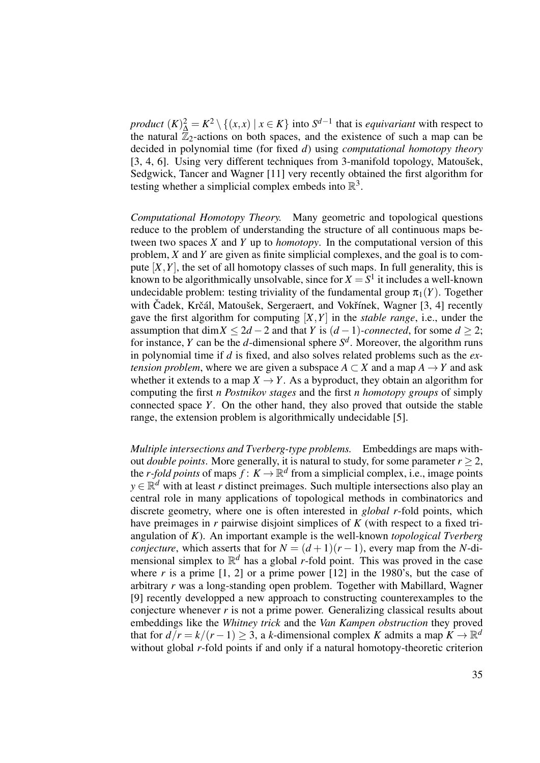*product*  $(K)_{\Delta}^2 = K^2 \setminus \{(x, x) \mid x \in K\}$  into  $S^{d-1}$  that is *equivariant* with respect to the natural  $\mathbb{Z}_2$ -actions on both spaces, and the existence of such a map can be decided in polynomial time (for fixed *d*) using *computational homotopy theory* [3, 4, 6]. Using very different techniques from 3-manifold topology, Matoušek, Sedgwick, Tancer and Wagner [11] very recently obtained the first algorithm for testing whether a simplicial complex embeds into  $\mathbb{R}^3$ .

*Computational Homotopy Theory.* Many geometric and topological questions reduce to the problem of understanding the structure of all continuous maps between two spaces *X* and *Y* up to *homotopy*. In the computational version of this problem, *X* and *Y* are given as finite simplicial complexes, and the goal is to compute  $[X, Y]$ , the set of all homotopy classes of such maps. In full generality, this is known to be algorithmically unsolvable, since for  $X = S^1$  it includes a well-known undecidable problem: testing triviality of the fundamental group  $\pi_1(Y)$ . Together with Cadek, Krčál, Matoušek, Sergeraert, and Vokřínek, Wagner [3, 4] recently gave the first algorithm for computing  $[X, Y]$  in the *stable range*, i.e., under the assumption that dim  $X \leq 2d - 2$  and that *Y* is  $(d - 1)$ *-connected*, for some  $d \geq 2$ ; for instance, *Y* can be the *d*-dimensional sphere  $S<sup>d</sup>$ . Moreover, the algorithm runs in polynomial time if *d* is fixed, and also solves related problems such as the *extension problem,* where we are given a subspace  $A \subset X$  and a map  $A \to Y$  and ask whether it extends to a map  $X \to Y$ . As a byproduct, they obtain an algorithm for computing the first *n Postnikov stages* and the first *n homotopy groups* of simply connected space *Y*. On the other hand, they also proved that outside the stable range, the extension problem is algorithmically undecidable [5].

*Multiple intersections and Tverberg-type problems.* Embeddings are maps without *double points*. More generally, it is natural to study, for some parameter  $r > 2$ , the *r*-fold points of maps  $f: K \to \mathbb{R}^d$  from a simplicial complex, i.e., image points  $y \in \mathbb{R}^d$  with at least *r* distinct preimages. Such multiple intersections also play an central role in many applications of topological methods in combinatorics and discrete geometry, where one is often interested in *global r*-fold points, which have preimages in *r* pairwise disjoint simplices of *K* (with respect to a fixed triangulation of *K*). An important example is the well-known *topological Tverberg conjecture*, which asserts that for  $N = (d+1)(r-1)$ , every map from the *N*-dimensional simplex to  $\mathbb{R}^d$  has a global *r*-fold point. This was proved in the case where  $r$  is a prime  $[1, 2]$  or a prime power  $[12]$  in the 1980's, but the case of arbitrary *r* was a long-standing open problem. Together with Mabillard, Wagner [9] recently developped a new approach to constructing counterexamples to the conjecture whenever *r* is not a prime power. Generalizing classical results about embeddings like the *Whitney trick* and the *Van Kampen obstruction* they proved that for  $d/r = k/(r-1) \geq 3$ , a *k*-dimensional complex *K* admits a map  $K \to \mathbb{R}^d$ without global *r*-fold points if and only if a natural homotopy-theoretic criterion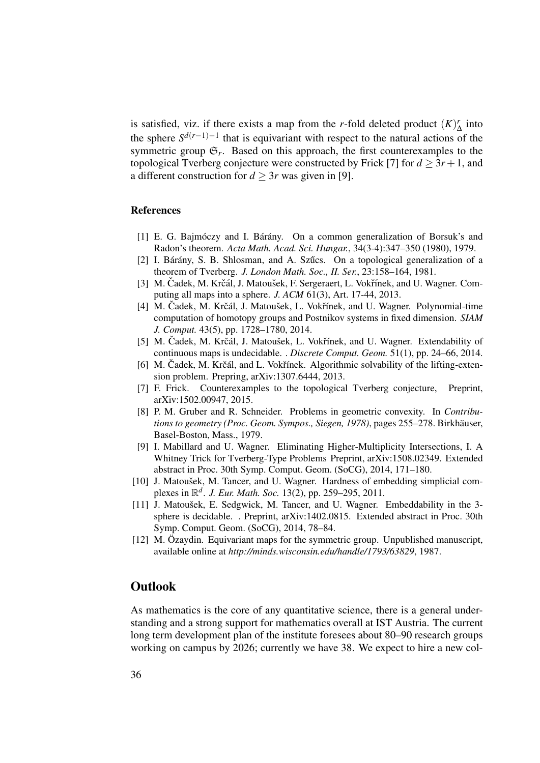is satisfied, viz. if there exists a map from the *r*-fold deleted product  $(K)$  $\int_{\Delta}^{r}$  into the sphere  $S^{d(r-1)-1}$  that is equivariant with respect to the natural actions of the symmetric group  $\mathfrak{S}_r$ . Based on this approach, the first counterexamples to the topological Tverberg conjecture were constructed by Frick [7] for  $d > 3r + 1$ , and a different construction for  $d \geq 3r$  was given in [9].

#### References

- $[1]$  E. G. Bajmóczy and I. Bárány. On a common generalization of Borsuk's and Radon's theorem. *Acta Math. Acad. Sci. Hungar.*, 34(3-4):347–350 (1980), 1979.
- [2] I. Bárány, S. B. Shlosman, and A. Szűcs. On a topological generalization of a theorem of Tverberg. *J. London Math. Soc., II. Ser.*, 23:158–164, 1981.
- [3] M. Čadek, M. Krčál, J. Matoušek, F. Sergeraert, L. Vokřínek, and U. Wagner. Computing all maps into a sphere. *J. ACM* 61(3), Art. 17-44, 2013.
- [4] M. Cadek, M. Krčál, J. Matoušek, L. Vokřínek, and U. Wagner. Polynomial-time computation of homotopy groups and Postnikov systems in fixed dimension. *SIAM J. Comput.* 43(5), pp. 1728–1780, 2014.
- [5] M. Čadek, M. Krčál, J. Matoušek, L. Vokřínek, and U. Wagner. Extendability of continuous maps is undecidable. . *Discrete Comput. Geom.* 51(1), pp. 24–66, 2014.
- [6] M. Cadek, M. Krčál, and L. Vokřínek. Algorithmic solvability of the lifting-extension problem. Prepring, arXiv:1307.6444, 2013.
- [7] F. Frick. Counterexamples to the topological Tverberg conjecture, Preprint, arXiv:1502.00947, 2015.
- [8] P. M. Gruber and R. Schneider. Problems in geometric convexity. In *Contributions to geometry (Proc. Geom. Sympos., Siegen, 1978)*, pages 255–278. Birkhäuser, Basel-Boston, Mass., 1979.
- [9] I. Mabillard and U. Wagner. Eliminating Higher-Multiplicity Intersections, I. A Whitney Trick for Tverberg-Type Problems Preprint, arXiv:1508.02349. Extended abstract in Proc. 30th Symp. Comput. Geom. (SoCG), 2014, 171–180.
- [10] J. Matoušek, M. Tancer, and U. Wagner. Hardness of embedding simplicial complexes in R *d* . *J. Eur. Math. Soc.* 13(2), pp. 259–295, 2011.
- [11] J. Matoušek, E. Sedgwick, M. Tancer, and U. Wagner. Embeddability in the 3sphere is decidable. . Preprint, arXiv:1402.0815. Extended abstract in Proc. 30th Symp. Comput. Geom. (SoCG), 2014, 78–84.
- [12] M. Özaydin. Equivariant maps for the symmetric group. Unpublished manuscript, available online at *http://minds.wisconsin.edu/handle/1793/63829*, 1987.

#### **Outlook**

As mathematics is the core of any quantitative science, there is a general understanding and a strong support for mathematics overall at IST Austria. The current long term development plan of the institute foresees about 80–90 research groups working on campus by 2026; currently we have 38. We expect to hire a new col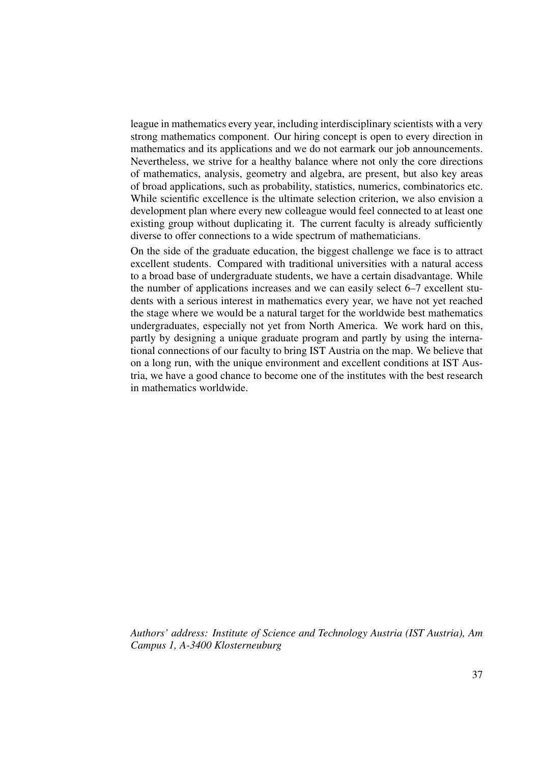league in mathematics every year, including interdisciplinary scientists with a very strong mathematics component. Our hiring concept is open to every direction in mathematics and its applications and we do not earmark our job announcements. Nevertheless, we strive for a healthy balance where not only the core directions of mathematics, analysis, geometry and algebra, are present, but also key areas of broad applications, such as probability, statistics, numerics, combinatorics etc. While scientific excellence is the ultimate selection criterion, we also envision a development plan where every new colleague would feel connected to at least one existing group without duplicating it. The current faculty is already sufficiently diverse to offer connections to a wide spectrum of mathematicians.

On the side of the graduate education, the biggest challenge we face is to attract excellent students. Compared with traditional universities with a natural access to a broad base of undergraduate students, we have a certain disadvantage. While the number of applications increases and we can easily select 6–7 excellent students with a serious interest in mathematics every year, we have not yet reached the stage where we would be a natural target for the worldwide best mathematics undergraduates, especially not yet from North America. We work hard on this, partly by designing a unique graduate program and partly by using the international connections of our faculty to bring IST Austria on the map. We believe that on a long run, with the unique environment and excellent conditions at IST Austria, we have a good chance to become one of the institutes with the best research in mathematics worldwide.

*Authors' address: Institute of Science and Technology Austria (IST Austria), Am Campus 1, A-3400 Klosterneuburg*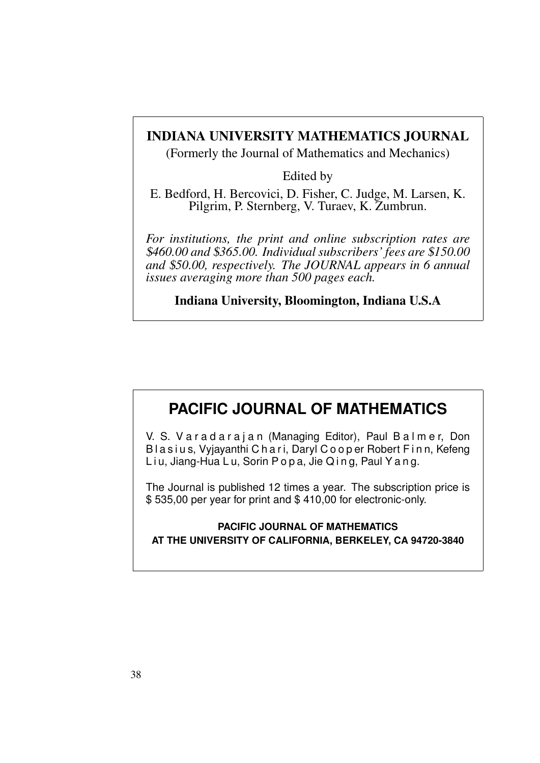### INDIANA UNIVERSITY MATHEMATICS JOURNAL

(Formerly the Journal of Mathematics and Mechanics)

Edited by

E. Bedford, H. Bercovici, D. Fisher, C. Judge, M. Larsen, K. Pilgrim, P. Sternberg, V. Turaev, K. Zumbrun.

*For institutions, the print and online subscription rates are* \$*460.00 and* \$*365.00. Individual subscribers' fees are* \$*150.00 and* \$*50.00, respectively. The JOURNAL appears in 6 annual issues averaging more than 500 pages each.*

Indiana University, Bloomington, Indiana U.S.A

### **PACIFIC JOURNAL OF MATHEMATICS**

V. S. Varadarajan (Managing Editor), Paul Balmer, Don Blasius, Vyjayanthi Chari, Daryl Cooper Robert Finn, Kefeng Liu, Jiang-Hua Lu, Sorin Popa, Jie Qing, Paul Yang.

The Journal is published 12 times a year. The subscription price is \$ 535,00 per year for print and \$ 410,00 for electronic-only.

#### **PACIFIC JOURNAL OF MATHEMATICS AT THE UNIVERSITY OF CALIFORNIA, BERKELEY, CA 94720-3840**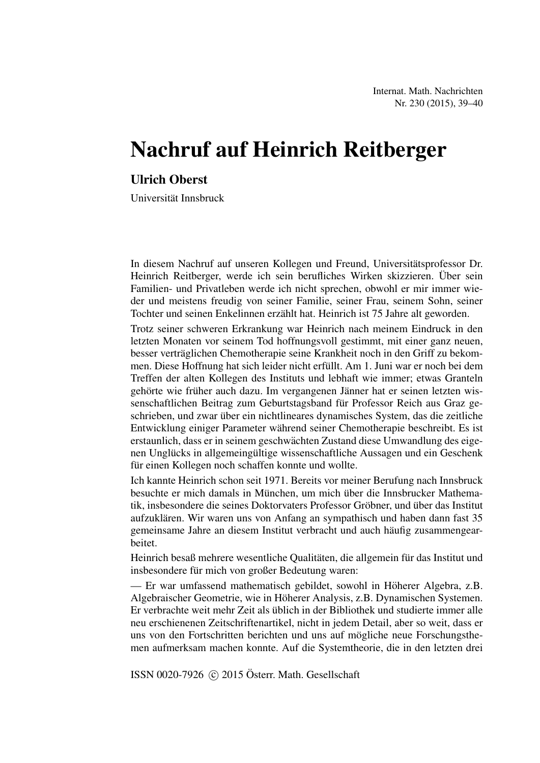Internat. Math. Nachrichten Nr. 230 (2015), 39–40

# Nachruf auf Heinrich Reitberger

#### Ulrich Oberst

Universitat Innsbruck ¨

In diesem Nachruf auf unseren Kollegen und Freund, Universitätsprofessor Dr. Heinrich Reitberger, werde ich sein berufliches Wirken skizzieren. Über sein Familien- und Privatleben werde ich nicht sprechen, obwohl er mir immer wieder und meistens freudig von seiner Familie, seiner Frau, seinem Sohn, seiner Tochter und seinen Enkelinnen erzählt hat. Heinrich ist 75 Jahre alt geworden.

Trotz seiner schweren Erkrankung war Heinrich nach meinem Eindruck in den letzten Monaten vor seinem Tod hoffnungsvoll gestimmt, mit einer ganz neuen, besser verträglichen Chemotherapie seine Krankheit noch in den Griff zu bekommen. Diese Hoffnung hat sich leider nicht erfüllt. Am 1. Juni war er noch bei dem Treffen der alten Kollegen des Instituts und lebhaft wie immer; etwas Granteln gehörte wie früher auch dazu. Im vergangenen Jänner hat er seinen letzten wissenschaftlichen Beitrag zum Geburtstagsband für Professor Reich aus Graz geschrieben, und zwar über ein nichtlineares dynamisches System, das die zeitliche Entwicklung einiger Parameter wahrend seiner Chemotherapie beschreibt. Es ist ¨ erstaunlich, dass er in seinem geschwächten Zustand diese Umwandlung des eigenen Unglücks in allgemeingültige wissenschaftliche Aussagen und ein Geschenk für einen Kollegen noch schaffen konnte und wollte.

Ich kannte Heinrich schon seit 1971. Bereits vor meiner Berufung nach Innsbruck besuchte er mich damals in München, um mich über die Innsbrucker Mathematik, insbesondere die seines Doktorvaters Professor Gröbner, und über das Institut aufzuklaren. Wir waren uns von Anfang an sympathisch und haben dann fast 35 ¨ gemeinsame Jahre an diesem Institut verbracht und auch häufig zusammengearbeitet.

Heinrich besaß mehrere wesentliche Qualitäten, die allgemein für das Institut und insbesondere für mich von großer Bedeutung waren:

— Er war umfassend mathematisch gebildet, sowohl in Höherer Algebra, z.B. Algebraischer Geometrie, wie in Hoherer Analysis, z.B. Dynamischen Systemen. ¨ Er verbrachte weit mehr Zeit als ublich in der Bibliothek und studierte immer alle ¨ neu erschienenen Zeitschriftenartikel, nicht in jedem Detail, aber so weit, dass er uns von den Fortschritten berichten und uns auf mögliche neue Forschungsthemen aufmerksam machen konnte. Auf die Systemtheorie, die in den letzten drei

ISSN 0020-7926  $\odot$  2015 Österr. Math. Gesellschaft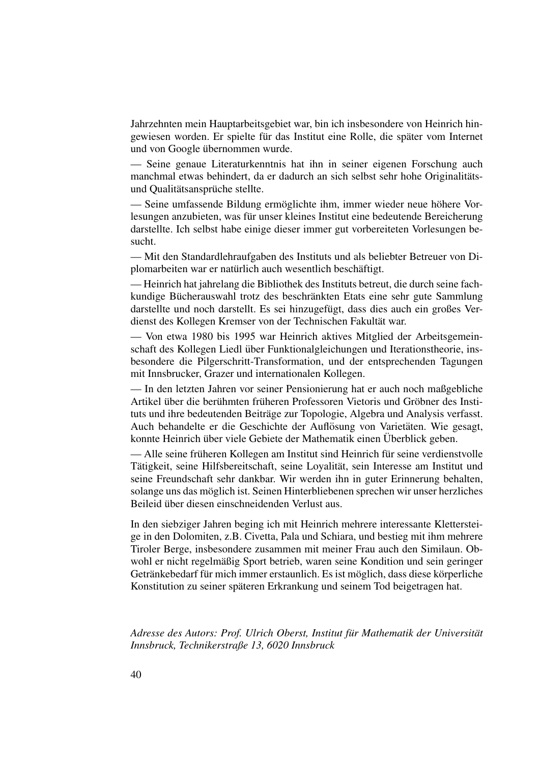Jahrzehnten mein Hauptarbeitsgebiet war, bin ich insbesondere von Heinrich hingewiesen worden. Er spielte für das Institut eine Rolle, die später vom Internet und von Google übernommen wurde.

— Seine genaue Literaturkenntnis hat ihn in seiner eigenen Forschung auch manchmal etwas behindert, da er dadurch an sich selbst sehr hohe Originalitätsund Qualitätsansprüche stellte.

— Seine umfassende Bildung ermöglichte ihm, immer wieder neue höhere Vorlesungen anzubieten, was für unser kleines Institut eine bedeutende Bereicherung darstellte. Ich selbst habe einige dieser immer gut vorbereiteten Vorlesungen besucht.

— Mit den Standardlehraufgaben des Instituts und als beliebter Betreuer von Diplomarbeiten war er natürlich auch wesentlich beschäftigt.

— Heinrich hat jahrelang die Bibliothek des Instituts betreut, die durch seine fachkundige Bücherauswahl trotz des beschränkten Etats eine sehr gute Sammlung darstellte und noch darstellt. Es sei hinzugefügt, dass dies auch ein großes Verdienst des Kollegen Kremser von der Technischen Fakultät war.

— Von etwa 1980 bis 1995 war Heinrich aktives Mitglied der Arbeitsgemeinschaft des Kollegen Liedl über Funktionalgleichungen und Iterationstheorie, insbesondere die Pilgerschritt-Transformation, und der entsprechenden Tagungen mit Innsbrucker, Grazer und internationalen Kollegen.

— In den letzten Jahren vor seiner Pensionierung hat er auch noch maßgebliche Artikel über die berühmten früheren Professoren Vietoris und Gröbner des Instituts und ihre bedeutenden Beiträge zur Topologie, Algebra und Analysis verfasst. Auch behandelte er die Geschichte der Auflösung von Varietäten. Wie gesagt, konnte Heinrich über viele Gebiete der Mathematik einen Überblick geben.

— Alle seine früheren Kollegen am Institut sind Heinrich für seine verdienstvolle Tätigkeit, seine Hilfsbereitschaft, seine Loyalität, sein Interesse am Institut und seine Freundschaft sehr dankbar. Wir werden ihn in guter Erinnerung behalten, solange uns das möglich ist. Seinen Hinterbliebenen sprechen wir unser herzliches Beileid über diesen einschneidenden Verlust aus.

In den siebziger Jahren beging ich mit Heinrich mehrere interessante Klettersteige in den Dolomiten, z.B. Civetta, Pala und Schiara, und bestieg mit ihm mehrere Tiroler Berge, insbesondere zusammen mit meiner Frau auch den Similaun. Obwohl er nicht regelmäßig Sport betrieb, waren seine Kondition und sein geringer Getränkebedarf für mich immer erstaunlich. Es ist möglich, dass diese körperliche Konstitution zu seiner späteren Erkrankung und seinem Tod beigetragen hat.

*Adresse des Autors: Prof. Ulrich Oberst, Institut für Mathematik der Universität Innsbruck, Technikerstraße 13, 6020 Innsbruck*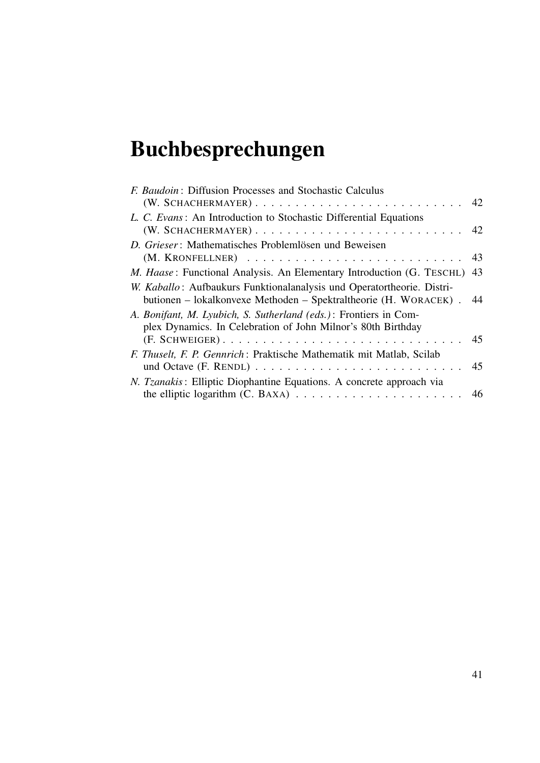# Buchbesprechungen

| F. Baudoin: Diffusion Processes and Stochastic Calculus                          |    |
|----------------------------------------------------------------------------------|----|
|                                                                                  |    |
| L. C. Evans: An Introduction to Stochastic Differential Equations                |    |
|                                                                                  |    |
| D. Grieser: Mathematisches Problemlösen und Beweisen                             |    |
|                                                                                  |    |
| <i>M. Haase</i> : Functional Analysis. An Elementary Introduction (G. TESCHL) 43 |    |
| W. Kaballo: Aufbaukurs Funktionalanalysis und Operatortheorie. Distri-           |    |
| butionen – lokalkonvexe Methoden – Spektraltheorie (H. WORACEK). 44              |    |
| A. Bonifant, M. Lyubich, S. Sutherland (eds.): Frontiers in Com-                 |    |
| plex Dynamics. In Celebration of John Milnor's 80th Birthday                     |    |
|                                                                                  | 45 |
| F. Thuselt, F. P. Gennrich: Praktische Mathematik mit Matlab, Scilab             |    |
|                                                                                  |    |
| N. Tzanakis: Elliptic Diophantine Equations. A concrete approach via             |    |
|                                                                                  |    |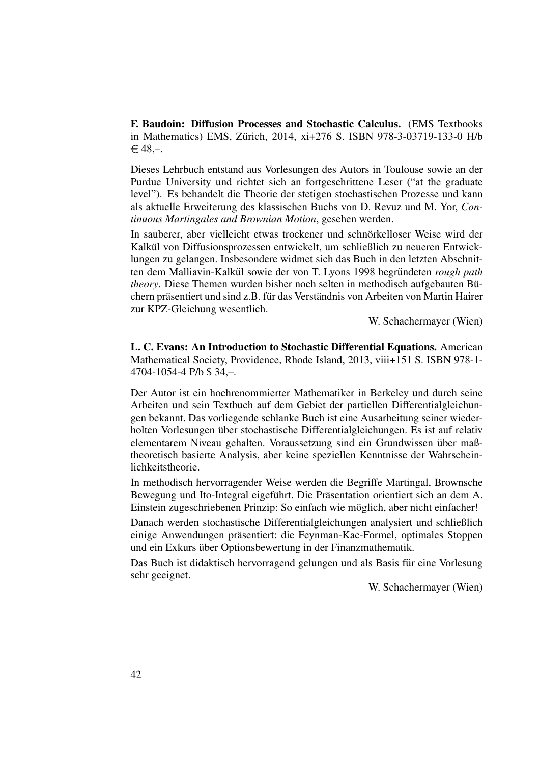F. Baudoin: Diffusion Processes and Stochastic Calculus. (EMS Textbooks in Mathematics) EMS, Zurich, 2014, xi+276 S. ISBN 978-3-03719-133-0 H/b ¨  $€48,-.$ 

Dieses Lehrbuch entstand aus Vorlesungen des Autors in Toulouse sowie an der Purdue University und richtet sich an fortgeschrittene Leser ("at the graduate level"). Es behandelt die Theorie der stetigen stochastischen Prozesse und kann als aktuelle Erweiterung des klassischen Buchs von D. Revuz und M. Yor, *Continuous Martingales and Brownian Motion*, gesehen werden.

In sauberer, aber vielleicht etwas trockener und schnörkelloser Weise wird der Kalkül von Diffusionsprozessen entwickelt, um schließlich zu neueren Entwicklungen zu gelangen. Insbesondere widmet sich das Buch in den letzten Abschnitten dem Malliavin-Kalkül sowie der von T. Lyons 1998 begründeten *rough path theory*. Diese Themen wurden bisher noch selten in methodisch aufgebauten Büchern präsentiert und sind z.B. für das Verständnis von Arbeiten von Martin Hairer zur KPZ-Gleichung wesentlich.

W. Schachermayer (Wien)

L. C. Evans: An Introduction to Stochastic Differential Equations. American Mathematical Society, Providence, Rhode Island, 2013, viii+151 S. ISBN 978-1- 4704-1054-4 P/b \$ 34,–.

Der Autor ist ein hochrenommierter Mathematiker in Berkeley und durch seine Arbeiten und sein Textbuch auf dem Gebiet der partiellen Differentialgleichungen bekannt. Das vorliegende schlanke Buch ist eine Ausarbeitung seiner wiederholten Vorlesungen über stochastische Differentialgleichungen. Es ist auf relativ elementarem Niveau gehalten. Voraussetzung sind ein Grundwissen über maßtheoretisch basierte Analysis, aber keine speziellen Kenntnisse der Wahrscheinlichkeitstheorie.

In methodisch hervorragender Weise werden die Begriffe Martingal, Brownsche Bewegung und Ito-Integral eigeführt. Die Präsentation orientiert sich an dem A. Einstein zugeschriebenen Prinzip: So einfach wie möglich, aber nicht einfacher!

Danach werden stochastische Differentialgleichungen analysiert und schließlich einige Anwendungen präsentiert: die Feynman-Kac-Formel, optimales Stoppen und ein Exkurs über Optionsbewertung in der Finanzmathematik.

Das Buch ist didaktisch hervorragend gelungen und als Basis für eine Vorlesung sehr geeignet.

W. Schachermayer (Wien)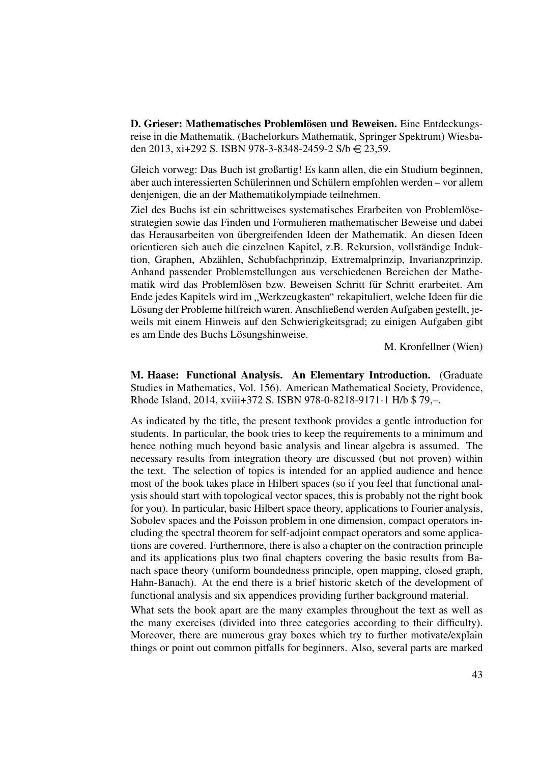D. Grieser: Mathematisches Problemlösen und Beweisen. Eine Entdeckungsreise in die Mathematik. (Bachelorkurs Mathematik, Springer Spektrum) Wiesbaden 2013, xi+292 S. ISBN 978-3-8348-2459-2 S/b  $\in$  23,59.

Gleich vorweg: Das Buch ist großartig! Es kann allen, die ein Studium beginnen, aber auch interessierten Schülerinnen und Schülern empfohlen werden – vor allem denjenigen, die an der Mathematikolympiade teilnehmen.

Ziel des Buchs ist ein schrittweises systematisches Erarbeiten von Problemlösestrategien sowie das Finden und Formulieren mathematischer Beweise und dabei das Herausarbeiten von übergreifenden Ideen der Mathematik. An diesen Ideen orientieren sich auch die einzelnen Kapitel, z.B. Rekursion, vollständige Induktion, Graphen, Abzählen, Schubfachprinzip, Extremalprinzip, Invarianzprinzip. Anhand passender Problemstellungen aus verschiedenen Bereichen der Mathematik wird das Problemlösen bzw. Beweisen Schritt für Schritt erarbeitet. Am Ende jedes Kapitels wird im "Werkzeugkasten" rekapituliert, welche Ideen für die islamische Frehlung der Brohlang bilfraieh weren. Angehließend werden Aufgeben gestellt is Lösung der Probleme hilfreich waren. Anschließend werden Aufgaben gestellt, jeweils mit einem Hinweis auf den Schwierigkeitsgrad; zu einigen Aufgaben gibt es am Ende des Buchs Lösungshinweise.

M. Kronfellner (Wien)

M. Haase: Functional Analysis. An Elementary Introduction. (Graduate Studies in Mathematics, Vol. 156). American Mathematical Society, Providence, Rhode Island, 2014, xviii+372 S. ISBN 978-0-8218-9171-1 H/b \$ 79,–.

As indicated by the title, the present textbook provides a gentle introduction for students. In particular, the book tries to keep the requirements to a minimum and hence nothing much beyond basic analysis and linear algebra is assumed. The necessary results from integration theory are discussed (but not proven) within the text. The selection of topics is intended for an applied audience and hence most of the book takes place in Hilbert spaces (so if you feel that functional analysis should start with topological vector spaces, this is probably not the right book for you). In particular, basic Hilbert space theory, applications to Fourier analysis, Sobolev spaces and the Poisson problem in one dimension, compact operators including the spectral theorem for self-adjoint compact operators and some applications are covered. Furthermore, there is also a chapter on the contraction principle and its applications plus two final chapters covering the basic results from Banach space theory (uniform boundedness principle, open mapping, closed graph, Hahn-Banach). At the end there is a brief historic sketch of the development of functional analysis and six appendices providing further background material.

What sets the book apart are the many examples throughout the text as well as the many exercises (divided into three categories according to their difficulty). Moreover, there are numerous gray boxes which try to further motivate/explain things or point out common pitfalls for beginners. Also, several parts are marked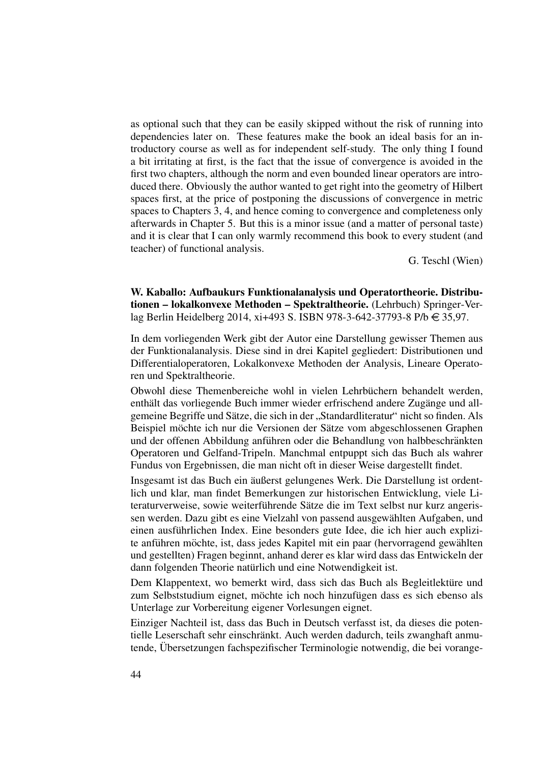as optional such that they can be easily skipped without the risk of running into dependencies later on. These features make the book an ideal basis for an introductory course as well as for independent self-study. The only thing I found a bit irritating at first, is the fact that the issue of convergence is avoided in the first two chapters, although the norm and even bounded linear operators are introduced there. Obviously the author wanted to get right into the geometry of Hilbert spaces first, at the price of postponing the discussions of convergence in metric spaces to Chapters 3, 4, and hence coming to convergence and completeness only afterwards in Chapter 5. But this is a minor issue (and a matter of personal taste) and it is clear that I can only warmly recommend this book to every student (and teacher) of functional analysis.

G. Teschl (Wien)

W. Kaballo: Aufbaukurs Funktionalanalysis und Operatortheorie. Distributionen – lokalkonvexe Methoden – Spektraltheorie. (Lehrbuch) Springer-Verlag Berlin Heidelberg 2014, xi+493 S. ISBN 978-3-642-37793-8 P/b  $\in$  35,97.

In dem vorliegenden Werk gibt der Autor eine Darstellung gewisser Themen aus der Funktionalanalysis. Diese sind in drei Kapitel gegliedert: Distributionen und Differentialoperatoren, Lokalkonvexe Methoden der Analysis, Lineare Operatoren und Spektraltheorie.

Obwohl diese Themenbereiche wohl in vielen Lehrbuchern behandelt werden, ¨ enthält das vorliegende Buch immer wieder erfrischend andere Zugänge und allgemeine Begriffe und Sätze, die sich in der "Standardliteratur" nicht so finden. Als Beispiel möchte ich nur die Versionen der Sätze vom abgeschlossenen Graphen und der offenen Abbildung anführen oder die Behandlung von halbbeschränkten Operatoren und Gelfand-Tripeln. Manchmal entpuppt sich das Buch als wahrer Fundus von Ergebnissen, die man nicht oft in dieser Weise dargestellt findet.

Insgesamt ist das Buch ein äußerst gelungenes Werk. Die Darstellung ist ordentlich und klar, man findet Bemerkungen zur historischen Entwicklung, viele Literaturverweise, sowie weiterführende Sätze die im Text selbst nur kurz angerissen werden. Dazu gibt es eine Vielzahl von passend ausgewählten Aufgaben, und einen ausführlichen Index. Eine besonders gute Idee, die ich hier auch explizite anführen möchte, ist, dass jedes Kapitel mit ein paar (hervorragend gewählten und gestellten) Fragen beginnt, anhand derer es klar wird dass das Entwickeln der dann folgenden Theorie natürlich und eine Notwendigkeit ist.

Dem Klappentext, wo bemerkt wird, dass sich das Buch als Begleitlektüre und zum Selbststudium eignet, möchte ich noch hinzufügen dass es sich ebenso als Unterlage zur Vorbereitung eigener Vorlesungen eignet.

Einziger Nachteil ist, dass das Buch in Deutsch verfasst ist, da dieses die potentielle Leserschaft sehr einschränkt. Auch werden dadurch, teils zwanghaft anmutende, Übersetzungen fachspezifischer Terminologie notwendig, die bei vorange-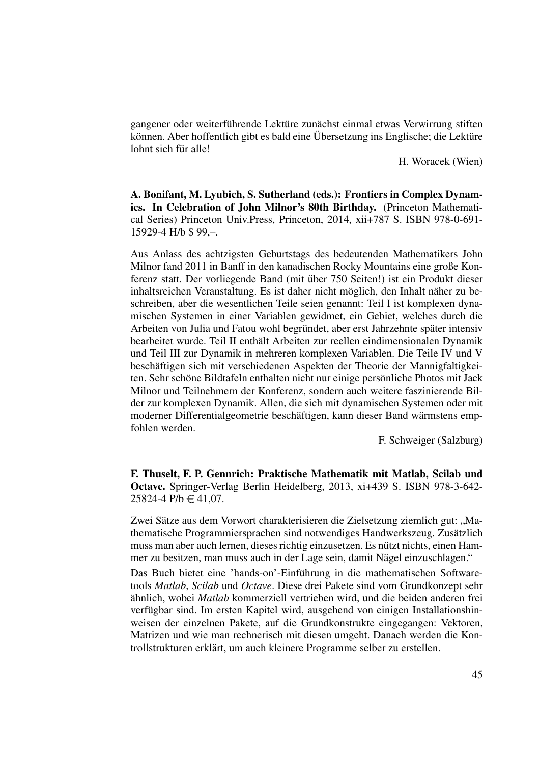gangener oder weiterführende Lektüre zunächst einmal etwas Verwirrung stiften können. Aber hoffentlich gibt es bald eine Übersetzung ins Englische; die Lektüre lohnt sich für alle!

H. Woracek (Wien)

A. Bonifant, M. Lyubich, S. Sutherland (eds.): Frontiers in Complex Dynamics. In Celebration of John Milnor's 80th Birthday. (Princeton Mathematical Series) Princeton Univ.Press, Princeton, 2014, xii+787 S. ISBN 978-0-691- 15929-4 H/b \$ 99,–.

Aus Anlass des achtzigsten Geburtstags des bedeutenden Mathematikers John Milnor fand 2011 in Banff in den kanadischen Rocky Mountains eine große Konferenz statt. Der vorliegende Band (mit uber 750 Seiten!) ist ein Produkt dieser ¨ inhaltsreichen Veranstaltung. Es ist daher nicht möglich, den Inhalt näher zu beschreiben, aber die wesentlichen Teile seien genannt: Teil I ist komplexen dynamischen Systemen in einer Variablen gewidmet, ein Gebiet, welches durch die Arbeiten von Julia und Fatou wohl begründet, aber erst Jahrzehnte später intensiv bearbeitet wurde. Teil II enthält Arbeiten zur reellen eindimensionalen Dynamik und Teil III zur Dynamik in mehreren komplexen Variablen. Die Teile IV und V beschäftigen sich mit verschiedenen Aspekten der Theorie der Mannigfaltigkeiten. Sehr schöne Bildtafeln enthalten nicht nur einige persönliche Photos mit Jack Milnor und Teilnehmern der Konferenz, sondern auch weitere faszinierende Bilder zur komplexen Dynamik. Allen, die sich mit dynamischen Systemen oder mit moderner Differentialgeometrie beschäftigen, kann dieser Band wärmstens empfohlen werden.

F. Schweiger (Salzburg)

F. Thuselt, F. P. Gennrich: Praktische Mathematik mit Matlab, Scilab und Octave. Springer-Verlag Berlin Heidelberg, 2013, xi+439 S. ISBN 978-3-642-  $25824 - 4$  P/b  $\in$  41,07.

Zwei Sätze aus dem Vorwort charakterisieren die Zielsetzung ziemlich gut: "Ma-Ewer Batze aus dem Vorwort enarakterisieren die Eleisetzung Zienmen gut. "Ima<br>thematische Programmiersprachen sind notwendiges Handwerkszeug. Zusätzlich muss man aber auch lernen, dieses richtig einzusetzen. Es nützt nichts, einen Hammer zu besitzen, man muss auch in der Lage sein, damit Nägel einzuschlagen."

Das Buch bietet eine 'hands-on'-Einführung in die mathematischen Softwaretools *Matlab*, *Scilab* und *Octave*. Diese drei Pakete sind vom Grundkonzept sehr ähnlich, wobei *Matlab* kommerziell vertrieben wird, und die beiden anderen frei verfügbar sind. Im ersten Kapitel wird, ausgehend von einigen Installationshinweisen der einzelnen Pakete, auf die Grundkonstrukte eingegangen: Vektoren, Matrizen und wie man rechnerisch mit diesen umgeht. Danach werden die Kontrollstrukturen erklärt, um auch kleinere Programme selber zu erstellen.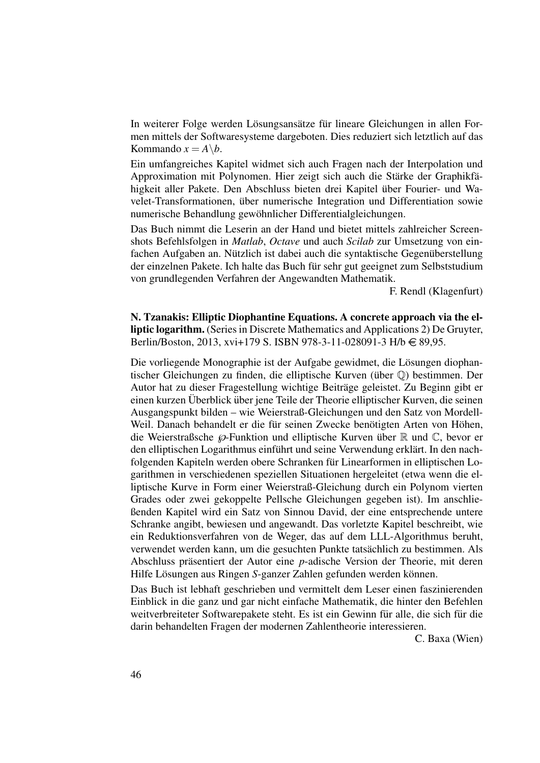In weiterer Folge werden Lösungsansätze für lineare Gleichungen in allen Formen mittels der Softwaresysteme dargeboten. Dies reduziert sich letztlich auf das Kommando  $x = A \backslash b$ .

Ein umfangreiches Kapitel widmet sich auch Fragen nach der Interpolation und Approximation mit Polynomen. Hier zeigt sich auch die Stärke der Graphikfähigkeit aller Pakete. Den Abschluss bieten drei Kapitel über Fourier- und Wavelet-Transformationen, uber numerische Integration und Differentiation sowie ¨ numerische Behandlung gewohnlicher Differentialgleichungen. ¨

Das Buch nimmt die Leserin an der Hand und bietet mittels zahlreicher Screenshots Befehlsfolgen in *Matlab*, *Octave* und auch *Scilab* zur Umsetzung von ein $f$ achen Aufgaben an. Nützlich ist dabei auch die syntaktische Gegenüberstellung der einzelnen Pakete. Ich halte das Buch für sehr gut geeignet zum Selbststudium von grundlegenden Verfahren der Angewandten Mathematik.

F. Rendl (Klagenfurt)

N. Tzanakis: Elliptic Diophantine Equations. A concrete approach via the elliptic logarithm. (Series in Discrete Mathematics and Applications 2) De Gruyter, Berlin/Boston, 2013, xvi+179 S. ISBN 978-3-11-028091-3 H/b  $\in$  89,95.

Die vorliegende Monographie ist der Aufgabe gewidmet, die Lösungen diophantischer Gleichungen zu finden, die elliptische Kurven (über  $\mathbb{O}$ ) bestimmen. Der Autor hat zu dieser Fragestellung wichtige Beitrage geleistet. Zu Beginn gibt er ¨ einen kurzen Überblick über jene Teile der Theorie elliptischer Kurven, die seinen Ausgangspunkt bilden – wie Weierstraß-Gleichungen und den Satz von Mordell-Weil. Danach behandelt er die für seinen Zwecke benötigten Arten von Höhen, die Weierstraßsche  $\wp$ -Funktion und elliptische Kurven über  $\mathbb R$  und  $\mathbb C$ , bevor er den elliptischen Logarithmus einführt und seine Verwendung erklärt. In den nachfolgenden Kapiteln werden obere Schranken für Linearformen in elliptischen Logarithmen in verschiedenen speziellen Situationen hergeleitet (etwa wenn die elliptische Kurve in Form einer Weierstraß-Gleichung durch ein Polynom vierten Grades oder zwei gekoppelte Pellsche Gleichungen gegeben ist). Im anschließenden Kapitel wird ein Satz von Sinnou David, der eine entsprechende untere Schranke angibt, bewiesen und angewandt. Das vorletzte Kapitel beschreibt, wie ein Reduktionsverfahren von de Weger, das auf dem LLL-Algorithmus beruht, verwendet werden kann, um die gesuchten Punkte tatsächlich zu bestimmen. Als Abschluss präsentiert der Autor eine *p*-adische Version der Theorie, mit deren Hilfe Lösungen aus Ringen S-ganzer Zahlen gefunden werden können.

Das Buch ist lebhaft geschrieben und vermittelt dem Leser einen faszinierenden Einblick in die ganz und gar nicht einfache Mathematik, die hinter den Befehlen weitverbreiteter Softwarepakete steht. Es ist ein Gewinn für alle, die sich für die darin behandelten Fragen der modernen Zahlentheorie interessieren.

C. Baxa (Wien)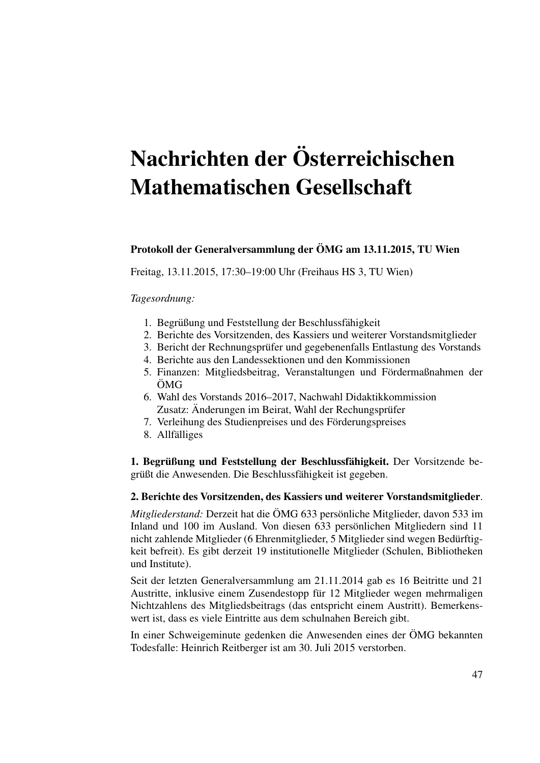# Nachrichten der Osterreichischen ¨ Mathematischen Gesellschaft

#### Protokoll der Generalversammlung der OMG am 13.11.2015, TU Wien ¨

Freitag, 13.11.2015, 17:30–19:00 Uhr (Freihaus HS 3, TU Wien)

#### *Tagesordnung:*

- 1. Begrüßung und Feststellung der Beschlussfähigkeit
- 2. Berichte des Vorsitzenden, des Kassiers und weiterer Vorstandsmitglieder
- 3. Bericht der Rechnungsprufer und gegebenenfalls Entlastung des Vorstands ¨
- 4. Berichte aus den Landessektionen und den Kommissionen
- 5. Finanzen: Mitgliedsbeitrag, Veranstaltungen und Fördermaßnahmen der ÖMG
- 6. Wahl des Vorstands 2016–2017, Nachwahl Didaktikkommission Zusatz: Änderungen im Beirat, Wahl der Rechungsprüfer
- 7. Verleihung des Studienpreises und des Förderungspreises
- 8. Allfälliges

1. Begrüßung und Feststellung der Beschlussfähigkeit. Der Vorsitzende begrüßt die Anwesenden. Die Beschlussfähigkeit ist gegeben.

#### 2. Berichte des Vorsitzenden, des Kassiers und weiterer Vorstandsmitglieder.

*Mitgliederstand:* Derzeit hat die ÖMG 633 persönliche Mitglieder, davon 533 im Inland und 100 im Ausland. Von diesen 633 personlichen Mitgliedern sind 11 ¨ nicht zahlende Mitglieder (6 Ehrenmitglieder, 5 Mitglieder sind wegen Bedürftigkeit befreit). Es gibt derzeit 19 institutionelle Mitglieder (Schulen, Bibliotheken und Institute).

Seit der letzten Generalversammlung am 21.11.2014 gab es 16 Beitritte und 21 Austritte, inklusive einem Zusendestopp für 12 Mitglieder wegen mehrmaligen Nichtzahlens des Mitgliedsbeitrags (das entspricht einem Austritt). Bemerkenswert ist, dass es viele Eintritte aus dem schulnahen Bereich gibt.

In einer Schweigeminute gedenken die Anwesenden eines der ÖMG bekannten Todesfalle: Heinrich Reitberger ist am 30. Juli 2015 verstorben.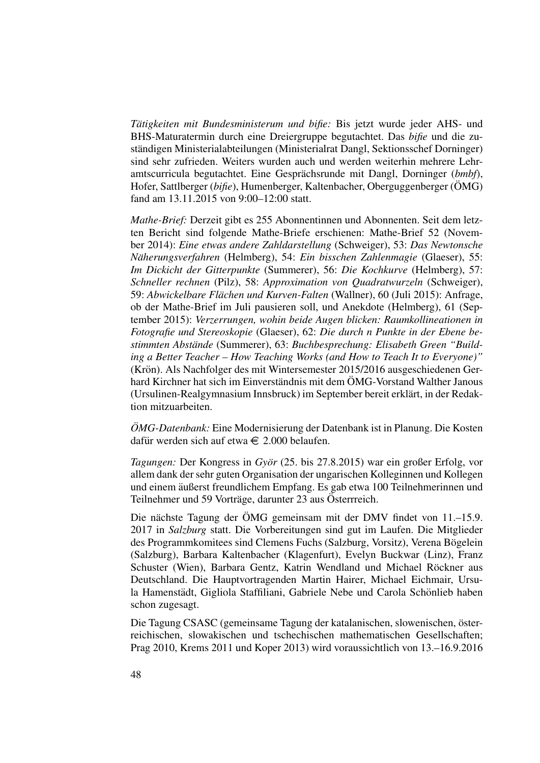*Tätigkeiten mit Bundesministerum und bifie:* Bis jetzt wurde jeder AHS- und BHS-Maturatermin durch eine Dreiergruppe begutachtet. Das *bifie* und die zustandigen Ministerialabteilungen (Ministerialrat Dangl, Sektionsschef Dorninger) ¨ sind sehr zufrieden. Weiters wurden auch und werden weiterhin mehrere Lehramtscurricula begutachtet. Eine Gesprächsrunde mit Dangl, Dorninger (bmbf), Hofer, Sattlberger (*bifie*), Humenberger, Kaltenbacher, Oberguggenberger (ÖMG) fand am 13.11.2015 von 9:00–12:00 statt.

*Mathe-Brief:* Derzeit gibt es 255 Abonnentinnen und Abonnenten. Seit dem letzten Bericht sind folgende Mathe-Briefe erschienen: Mathe-Brief 52 (November 2014): *Eine etwas andere Zahldarstellung* (Schweiger), 53: *Das Newtonsche Naherungsverfahren ¨* (Helmberg), 54: *Ein bisschen Zahlenmagie* (Glaeser), 55: *Im Dickicht der Gitterpunkte* (Summerer), 56: *Die Kochkurve* (Helmberg), 57: *Schneller rechnen* (Pilz), 58: *Approximation von Quadratwurzeln* (Schweiger), 59: *Abwickelbare Flächen und Kurven-Falten* (Wallner), 60 (Juli 2015): Anfrage, ob der Mathe-Brief im Juli pausieren soll, und Anekdote (Helmberg), 61 (September 2015): *Verzerrungen, wohin beide Augen blicken: Raumkollineationen in Fotografie und Stereoskopie* (Glaeser), 62: *Die durch n Punkte in der Ebene bestimmten Abstande ¨* (Summerer), 63: *Buchbesprechung: Elisabeth Green "Building a Better Teacher – How Teaching Works (and How to Teach It to Everyone)"* (Krön). Als Nachfolger des mit Wintersemester 2015/2016 ausgeschiedenen Gerhard Kirchner hat sich im Einverständnis mit dem ÖMG-Vorstand Walther Janous (Ursulinen-Realgymnasium Innsbruck) im September bereit erklart, in der Redak- ¨ tion mitzuarbeiten.

*OMG-Datenbank:* Eine Modernisierung der Datenbank ist in Planung. Die Kosten dafür werden sich auf etwa  $\in$  2.000 belaufen.

*Tagungen:* Der Kongress in *Györ* (25. bis 27.8.2015) war ein großer Erfolg, vor allem dank der sehr guten Organisation der ungarischen Kolleginnen und Kollegen und einem äußerst freundlichem Empfang. Es gab etwa 100 Teilnehmerinnen und Teilnehmer und 59 Vorträge, darunter 23 aus Österrreich.

Die nächste Tagung der ÖMG gemeinsam mit der DMV findet von 11.–15.9. 2017 in *Salzburg* statt. Die Vorbereitungen sind gut im Laufen. Die Mitglieder des Programmkomitees sind Clemens Fuchs (Salzburg, Vorsitz), Verena Bögelein (Salzburg), Barbara Kaltenbacher (Klagenfurt), Evelyn Buckwar (Linz), Franz Schuster (Wien), Barbara Gentz, Katrin Wendland und Michael Röckner aus Deutschland. Die Hauptvortragenden Martin Hairer, Michael Eichmair, Ursula Hamenstädt, Gigliola Staffiliani, Gabriele Nebe und Carola Schönlieb haben schon zugesagt.

Die Tagung CSASC (gemeinsame Tagung der katalanischen, slowenischen, österreichischen, slowakischen und tschechischen mathematischen Gesellschaften; Prag 2010, Krems 2011 und Koper 2013) wird voraussichtlich von 13.–16.9.2016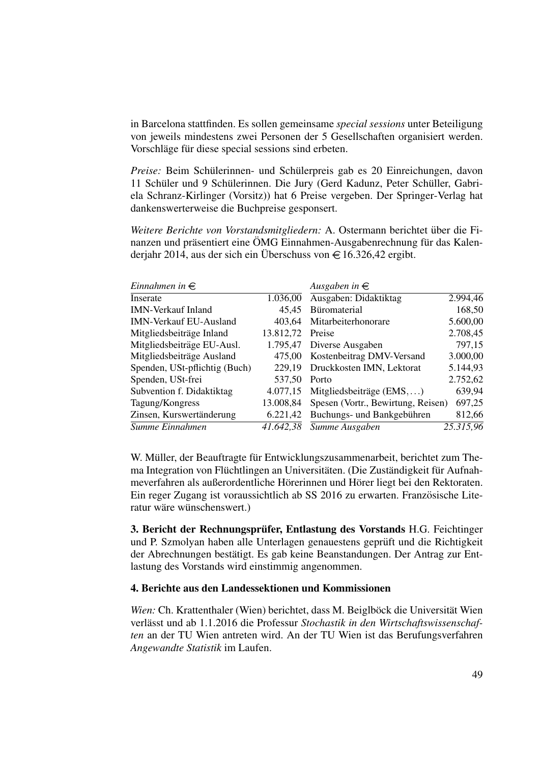in Barcelona stattfinden. Es sollen gemeinsame *special sessions* unter Beteiligung von jeweils mindestens zwei Personen der 5 Gesellschaften organisiert werden. Vorschläge für diese special sessions sind erbeten.

*Preise:* Beim Schülerinnen- und Schülerpreis gab es 20 Einreichungen, davon 11 Schüler und 9 Schülerinnen. Die Jury (Gerd Kadunz, Peter Schüller, Gabriela Schranz-Kirlinger (Vorsitz)) hat 6 Preise vergeben. Der Springer-Verlag hat dankenswerterweise die Buchpreise gesponsert.

*Weitere Berichte von Vorstandsmitgliedern:* A. Ostermann berichtet uber die Fi- ¨ nanzen und präsentiert eine ÖMG Einnahmen-Ausgabenrechnung für das Kalenderjahr 2014, aus der sich ein Überschuss von  $\in$  16.326,42 ergibt.

| Einnahmen in $\in$            |           | Ausgaben in $\in$                  |           |
|-------------------------------|-----------|------------------------------------|-----------|
| Inserate                      | 1.036,00  | Ausgaben: Didaktiktag              | 2.994,46  |
| <b>IMN-Verkauf Inland</b>     | 45.45     | Büromaterial                       | 168,50    |
| <b>IMN-Verkauf EU-Ausland</b> | 403.64    | Mitarbeiterhonorare                | 5.600,00  |
| Mitgliedsbeiträge Inland      | 13.812,72 | Preise                             | 2.708,45  |
| Mitgliedsbeiträge EU-Ausl.    | 1.795,47  | Diverse Ausgaben                   | 797,15    |
| Mitgliedsbeiträge Ausland     | 475,00    | Kostenbeitrag DMV-Versand          | 3.000,00  |
| Spenden, USt-pflichtig (Buch) | 229,19    | Druckkosten IMN, Lektorat          | 5.144,93  |
| Spenden, USt-frei             | 537.50    | Porto                              | 2.752,62  |
| Subvention f. Didaktiktag     | 4.077,15  | Mitgliedsbeiträge $(EMS,)$         | 639,94    |
| Tagung/Kongress               | 13.008,84 | Spesen (Vortr., Bewirtung, Reisen) | 697,25    |
| Zinsen, Kurswertänderung      | 6.221,42  | Buchungs- und Bankgebühren         | 812,66    |
| Summe Einnahmen               | 41.642,38 | Summe Ausgaben                     | 25.315,96 |

W. Müller, der Beauftragte für Entwicklungszusammenarbeit, berichtet zum Thema Integration von Flüchtlingen an Universitäten. (Die Zuständigkeit für Aufnahmeverfahren als außerordentliche Hörerinnen und Hörer liegt bei den Rektoraten. Ein reger Zugang ist voraussichtlich ab SS 2016 zu erwarten. Französische Literatur wäre wünschenswert.)

3. Bericht der Rechnungsprüfer, Entlastung des Vorstands H.G. Feichtinger und P. Szmolyan haben alle Unterlagen genauestens geprüft und die Richtigkeit der Abrechnungen bestätigt. Es gab keine Beanstandungen. Der Antrag zur Entlastung des Vorstands wird einstimmig angenommen.

#### 4. Berichte aus den Landessektionen und Kommissionen

*Wien:* Ch. Krattenthaler (Wien) berichtet, dass M. Beiglböck die Universität Wien verlässt und ab 1.1.2016 die Professur Stochastik in den Wirtschaftswissenschaf*ten* an der TU Wien antreten wird. An der TU Wien ist das Berufungsverfahren *Angewandte Statistik* im Laufen.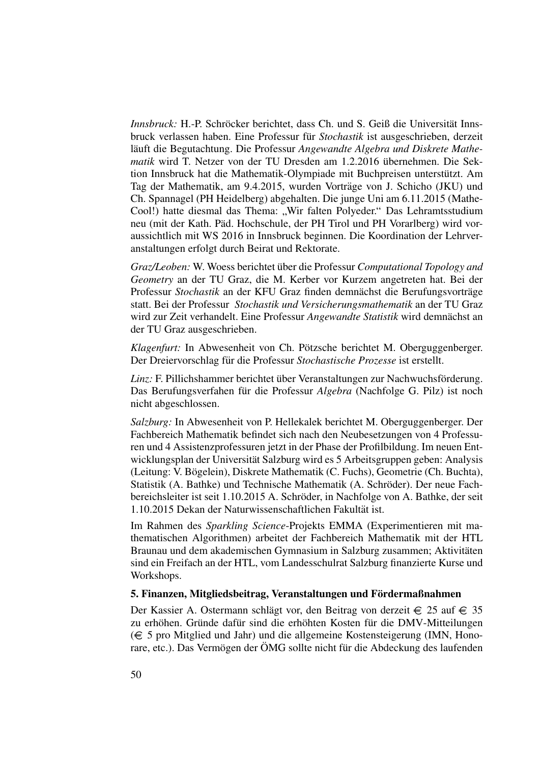*Innsbruck:* H.-P. Schröcker berichtet, dass Ch. und S. Geiß die Universität Innsbruck verlassen haben. Eine Professur fur¨ *Stochastik* ist ausgeschrieben, derzeit läuft die Begutachtung. Die Professur *Angewandte Algebra und Diskrete Mathematik* wird T. Netzer von der TU Dresden am 1.2.2016 übernehmen. Die Sektion Innsbruck hat die Mathematik-Olympiade mit Buchpreisen unterstützt. Am Tag der Mathematik, am 9.4.2015, wurden Vorträge von J. Schicho (JKU) und Ch. Spannagel (PH Heidelberg) abgehalten. Die junge Uni am 6.11.2015 (Mathe-Cool!) hatte diesmal das Thema: "Wir falten Polyeder." Das Lehramtsstudium<br>nou (mit der Koth, Böd, Hockschulo, der PH Tirol und PH Vererlberg) wird vor neu (mit der Kath. Päd. Hochschule, der PH Tirol und PH Vorarlberg) wird voraussichtlich mit WS 2016 in Innsbruck beginnen. Die Koordination der Lehrveranstaltungen erfolgt durch Beirat und Rektorate.

*Graz/Leoben:* W. Woess berichtet über die Professur *Computational Topology and Geometry* an der TU Graz, die M. Kerber vor Kurzem angetreten hat. Bei der Professur *Stochastik* an der KFU Graz finden demnächst die Berufungsvorträge statt. Bei der Professur *Stochastik und Versicherungsmathematik* an der TU Graz wird zur Zeit verhandelt. Eine Professur *Angewandte Statistik* wird demnächst an der TU Graz ausgeschrieben.

*Klagenfurt:* In Abwesenheit von Ch. Pötzsche berichtet M. Oberguggenberger. Der Dreiervorschlag für die Professur Stochastische Prozesse ist erstellt.

*Linz:* F. Pillichshammer berichtet über Veranstaltungen zur Nachwuchsförderung. Das Berufungsverfahen für die Professur *Algebra* (Nachfolge G. Pilz) ist noch nicht abgeschlossen.

*Salzburg:* In Abwesenheit von P. Hellekalek berichtet M. Oberguggenberger. Der Fachbereich Mathematik befindet sich nach den Neubesetzungen von 4 Professuren und 4 Assistenzprofessuren jetzt in der Phase der Profilbildung. Im neuen Entwicklungsplan der Universität Salzburg wird es 5 Arbeitsgruppen geben: Analysis (Leitung: V. Bögelein), Diskrete Mathematik (C. Fuchs), Geometrie (Ch. Buchta), Statistik (A. Bathke) und Technische Mathematik (A. Schröder). Der neue Fachbereichsleiter ist seit 1.10.2015 A. Schröder, in Nachfolge von A. Bathke, der seit 1.10.2015 Dekan der Naturwissenschaftlichen Fakultat ist. ¨

Im Rahmen des *Sparkling Science*-Projekts EMMA (Experimentieren mit mathematischen Algorithmen) arbeitet der Fachbereich Mathematik mit der HTL Braunau und dem akademischen Gymnasium in Salzburg zusammen; Aktivitäten sind ein Freifach an der HTL, vom Landesschulrat Salzburg finanzierte Kurse und Workshops.

#### 5. Finanzen, Mitgliedsbeitrag, Veranstaltungen und Fördermaßnahmen

Der Kassier A. Ostermann schlägt vor, den Beitrag von derzeit  $\in$  25 auf  $\in$  35 zu erhöhen. Gründe dafür sind die erhöhten Kosten für die DMV-Mitteilungen ( 5 pro Mitglied und Jahr) und die allgemeine Kostensteigerung (IMN, Honorare, etc.). Das Vermögen der ÖMG sollte nicht für die Abdeckung des laufenden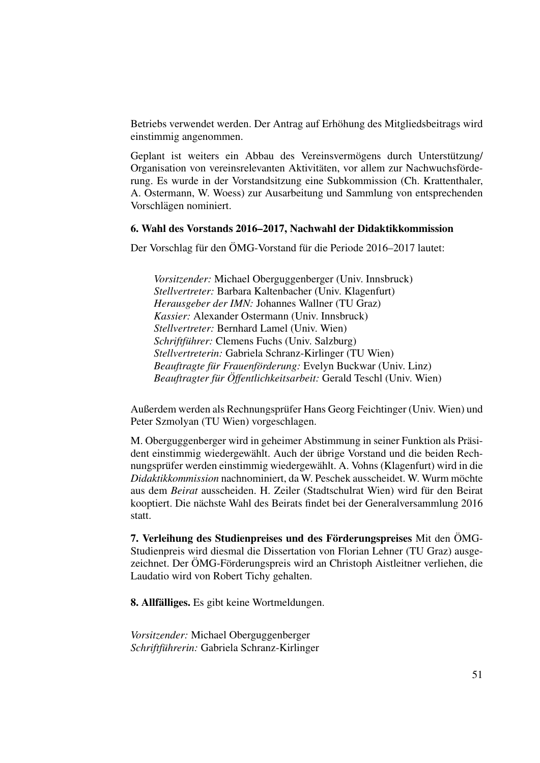Betriebs verwendet werden. Der Antrag auf Erhohung des Mitgliedsbeitrags wird ¨ einstimmig angenommen.

Geplant ist weiters ein Abbau des Vereinsvermögens durch Unterstützung/ Organisation von vereinsrelevanten Aktivitäten, vor allem zur Nachwuchsförderung. Es wurde in der Vorstandsitzung eine Subkommission (Ch. Krattenthaler, A. Ostermann, W. Woess) zur Ausarbeitung und Sammlung von entsprechenden Vorschlägen nominiert.

#### 6. Wahl des Vorstands 2016–2017, Nachwahl der Didaktikkommission

Der Vorschlag für den ÖMG-Vorstand für die Periode 2016–2017 lautet:

*Vorsitzender:* Michael Oberguggenberger (Univ. Innsbruck) *Stellvertreter:* Barbara Kaltenbacher (Univ. Klagenfurt) *Herausgeber der IMN:* Johannes Wallner (TU Graz) *Kassier:* Alexander Ostermann (Univ. Innsbruck) *Stellvertreter:* Bernhard Lamel (Univ. Wien) *Schriftführer:* Clemens Fuchs (Univ. Salzburg) *Stellvertreterin:* Gabriela Schranz-Kirlinger (TU Wien) *Beauftragte für Frauenförderung: Evelyn Buckwar (Univ. Linz) Beauftragter fur¨ Offentlichkeitsarbeit: ¨* Gerald Teschl (Univ. Wien)

Außerdem werden als Rechnungsprufer Hans Georg Feichtinger (Univ. Wien) und ¨ Peter Szmolyan (TU Wien) vorgeschlagen.

M. Oberguggenberger wird in geheimer Abstimmung in seiner Funktion als Präsident einstimmig wiedergewählt. Auch der übrige Vorstand und die beiden Rechnungsprüfer werden einstimmig wiedergewählt. A. Vohns (Klagenfurt) wird in die *Didaktikkommission* nachnominiert, da W. Peschek ausscheidet. W. Wurm mochte ¨ aus dem *Beirat* ausscheiden. H. Zeiler (Stadtschulrat Wien) wird fur den Beirat ¨ kooptiert. Die nächste Wahl des Beirats findet bei der Generalversammlung 2016 statt.

7. Verleihung des Studienpreises und des Förderungspreises Mit den ÖMG-Studienpreis wird diesmal die Dissertation von Florian Lehner (TU Graz) ausgezeichnet. Der ÖMG-Förderungspreis wird an Christoph Aistleitner verliehen, die Laudatio wird von Robert Tichy gehalten.

8. Allfälliges. Es gibt keine Wortmeldungen.

*Vorsitzender:* Michael Oberguggenberger *Schriftfuhrerin: ¨* Gabriela Schranz-Kirlinger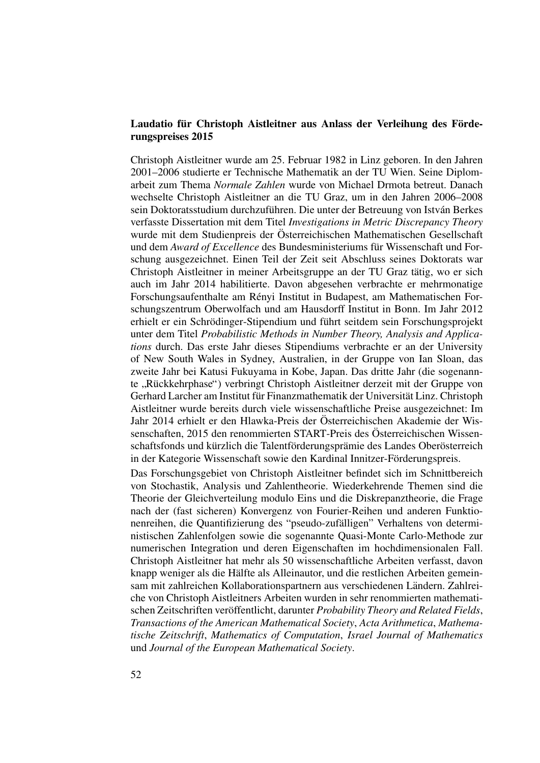#### Laudatio für Christoph Aistleitner aus Anlass der Verleihung des Förderungspreises 2015

Christoph Aistleitner wurde am 25. Februar 1982 in Linz geboren. In den Jahren 2001–2006 studierte er Technische Mathematik an der TU Wien. Seine Diplomarbeit zum Thema *Normale Zahlen* wurde von Michael Drmota betreut. Danach wechselte Christoph Aistleitner an die TU Graz, um in den Jahren 2006–2008 sein Doktoratsstudium durchzuführen. Die unter der Betreuung von István Berkes verfasste Dissertation mit dem Titel *Investigations in Metric Discrepancy Theory* wurde mit dem Studienpreis der Osterreichischen Mathematischen Gesellschaft ¨ und dem *Award of Excellence* des Bundesministeriums für Wissenschaft und Forschung ausgezeichnet. Einen Teil der Zeit seit Abschluss seines Doktorats war Christoph Aistleitner in meiner Arbeitsgruppe an der TU Graz tatig, wo er sich ¨ auch im Jahr 2014 habilitierte. Davon abgesehen verbrachte er mehrmonatige Forschungsaufenthalte am Rényi Institut in Budapest, am Mathematischen Forschungszentrum Oberwolfach und am Hausdorff Institut in Bonn. Im Jahr 2012 erhielt er ein Schrödinger-Stipendium und führt seitdem sein Forschungsprojekt unter dem Titel *Probabilistic Methods in Number Theory, Analysis and Applications* durch. Das erste Jahr dieses Stipendiums verbrachte er an der University of New South Wales in Sydney, Australien, in der Gruppe von Ian Sloan, das zweite Jahr bei Katusi Fukuyama in Kobe, Japan. Das dritte Jahr (die sogenannte "Rückkehrphase") verbringt Christoph Aistleitner derzeit mit der Gruppe von<br>Gerhard Larabar am Institut für Einanzmathamatik der Universität Linz. Christoph Gerhard Larcher am Institut für Finanzmathematik der Universität Linz. Christoph Aistleitner wurde bereits durch viele wissenschaftliche Preise ausgezeichnet: Im Jahr 2014 erhielt er den Hlawka-Preis der Österreichischen Akademie der Wissenschaften, 2015 den renommierten START-Preis des Österreichischen Wissenschaftsfonds und kürzlich die Talentförderungsprämie des Landes Oberösterreich in der Kategorie Wissenschaft sowie den Kardinal Innitzer-Förderungspreis.

Das Forschungsgebiet von Christoph Aistleitner befindet sich im Schnittbereich von Stochastik, Analysis und Zahlentheorie. Wiederkehrende Themen sind die Theorie der Gleichverteilung modulo Eins und die Diskrepanztheorie, die Frage nach der (fast sicheren) Konvergenz von Fourier-Reihen und anderen Funktionenreihen, die Quantifizierung des "pseudo-zufälligen" Verhaltens von deterministischen Zahlenfolgen sowie die sogenannte Quasi-Monte Carlo-Methode zur numerischen Integration und deren Eigenschaften im hochdimensionalen Fall. Christoph Aistleitner hat mehr als 50 wissenschaftliche Arbeiten verfasst, davon knapp weniger als die Hälfte als Alleinautor, und die restlichen Arbeiten gemeinsam mit zahlreichen Kollaborationspartnern aus verschiedenen Ländern. Zahlreiche von Christoph Aistleitners Arbeiten wurden in sehr renommierten mathematischen Zeitschriften veröffentlicht, darunter Probability Theory and Related Fields, *Transactions of the American Mathematical Society*, *Acta Arithmetica*, *Mathematische Zeitschrift*, *Mathematics of Computation*, *Israel Journal of Mathematics* und *Journal of the European Mathematical Society*.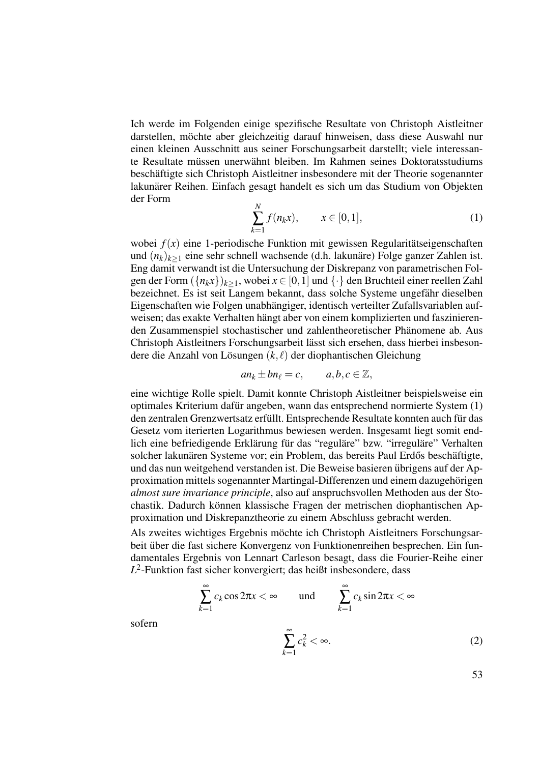Ich werde im Folgenden einige spezifische Resultate von Christoph Aistleitner darstellen, mochte aber gleichzeitig darauf hinweisen, dass diese Auswahl nur ¨ einen kleinen Ausschnitt aus seiner Forschungsarbeit darstellt; viele interessante Resultate müssen unerwähnt bleiben. Im Rahmen seines Doktoratsstudiums beschäftigte sich Christoph Aistleitner insbesondere mit der Theorie sogenannter lakunarer Reihen. Einfach gesagt handelt es sich um das Studium von Objekten ¨ der Form

$$
\sum_{k=1}^{N} f(n_k x), \qquad x \in [0, 1], \tag{1}
$$

wobei  $f(x)$  eine 1-periodische Funktion mit gewissen Regularitätseigenschaften und  $(n_k)_{k>1}$  eine sehr schnell wachsende (d.h. lakunäre) Folge ganzer Zahlen ist. Eng damit verwandt ist die Untersuchung der Diskrepanz von parametrischen Folgen der Form  $({n_kx})_{k>1}$ , wobei  $x \in [0,1]$  und  $\{\cdot\}$  den Bruchteil einer reellen Zahl bezeichnet. Es ist seit Langem bekannt, dass solche Systeme ungefähr dieselben Eigenschaften wie Folgen unabhängiger, identisch verteilter Zufallsvariablen aufweisen; das exakte Verhalten hängt aber von einem komplizierten und faszinierenden Zusammenspiel stochastischer und zahlentheoretischer Phanomene ab. Aus ¨ Christoph Aistleitners Forschungsarbeit lässt sich ersehen, dass hierbei insbesondere die Anzahl von Lösungen  $(k, \ell)$  der diophantischen Gleichung

$$
an_k \pm bn_\ell = c, \qquad a, b, c \in \mathbb{Z},
$$

eine wichtige Rolle spielt. Damit konnte Christoph Aistleitner beispielsweise ein optimales Kriterium dafur angeben, wann das entsprechend normierte System (1) ¨ den zentralen Grenzwertsatz erfüllt. Entsprechende Resultate konnten auch für das Gesetz vom iterierten Logarithmus bewiesen werden. Insgesamt liegt somit endlich eine befriedigende Erklärung für das "reguläre" bzw. "irreguläre" Verhalten solcher lakunären Systeme vor; ein Problem, das bereits Paul Erdős beschäftigte, und das nun weitgehend verstanden ist. Die Beweise basieren übrigens auf der Approximation mittels sogenannter Martingal-Differenzen und einem dazugehörigen *almost sure invariance principle*, also auf anspruchsvollen Methoden aus der Stochastik. Dadurch können klassische Fragen der metrischen diophantischen Approximation und Diskrepanztheorie zu einem Abschluss gebracht werden.

Als zweites wichtiges Ergebnis mochte ich Christoph Aistleitners Forschungsar- ¨ beit über die fast sichere Konvergenz von Funktionenreihen besprechen. Ein fundamentales Ergebnis von Lennart Carleson besagt, dass die Fourier-Reihe einer *L* 2 -Funktion fast sicher konvergiert; das heißt insbesondere, dass

$$
\sum_{k=1}^{\infty} c_k \cos 2\pi x < \infty \qquad \text{und} \qquad \sum_{k=1}^{\infty} c_k \sin 2\pi x < \infty
$$
\n
$$
\sum_{k=1}^{\infty} c_k^2 < \infty. \tag{2}
$$

sofern

$$
\sum_{k=1}^{\infty} c_k^2 < \infty. \tag{2}
$$

53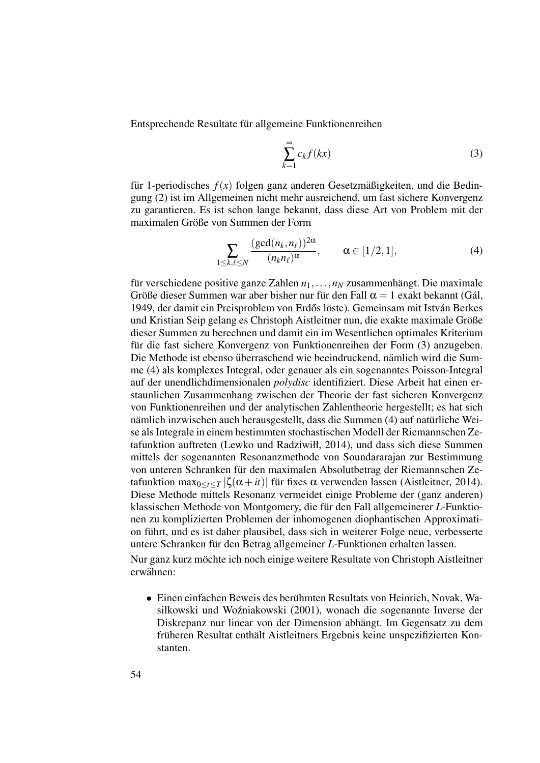Entsprechende Resultate für allgemeine Funktionenreihen

$$
\sum_{k=1}^{\infty} c_k f(kx) \tag{3}
$$

für 1-periodisches  $f(x)$  folgen ganz anderen Gesetzmäßigkeiten, und die Bedingung (2) ist im Allgemeinen nicht mehr ausreichend, um fast sichere Konvergenz zu garantieren. Es ist schon lange bekannt, dass diese Art von Problem mit der maximalen Größe von Summen der Form

$$
\sum_{1 \le k,\ell \le N} \frac{(\gcd(n_k, n_\ell))^{2\alpha}}{(n_k n_\ell)^\alpha}, \qquad \alpha \in [1/2, 1],
$$
 (4)

für verschiedene positive ganze Zahlen  $n_1, \ldots, n_N$  zusammenhängt. Die maximale Größe dieser Summen war aber bisher nur für den Fall  $\alpha = 1$  exakt bekannt (Gál, 1949, der damit ein Preisproblem von Erdős löste). Gemeinsam mit István Berkes und Kristian Seip gelang es Christoph Aistleitner nun, die exakte maximale Große ¨ dieser Summen zu berechnen und damit ein im Wesentlichen optimales Kriterium für die fast sichere Konvergenz von Funktionenreihen der Form (3) anzugeben. Die Methode ist ebenso überraschend wie beeindruckend, nämlich wird die Summe (4) als komplexes Integral, oder genauer als ein sogenanntes Poisson-Integral auf der unendlichdimensionalen *polydisc* identifiziert. Diese Arbeit hat einen erstaunlichen Zusammenhang zwischen der Theorie der fast sicheren Konvergenz von Funktionenreihen und der analytischen Zahlentheorie hergestellt; es hat sich nämlich inzwischen auch herausgestellt, dass die Summen (4) auf natürliche Weise als Integrale in einem bestimmten stochastischen Modell der Riemannschen Zetafunktion auftreten (Lewko und Radziwiłł, 2014), und dass sich diese Summen mittels der sogenannten Resonanzmethode von Soundararajan zur Bestimmung von unteren Schranken für den maximalen Absolutbetrag der Riemannschen Zetafunktion max<sub>0</sub>< $t$  < *T* | $\zeta(\alpha + it)$ | für fixes  $\alpha$  verwenden lassen (Aistleitner, 2014). Diese Methode mittels Resonanz vermeidet einige Probleme der (ganz anderen) klassischen Methode von Montgomery, die für den Fall allgemeinerer *L*-Funktionen zu komplizierten Problemen der inhomogenen diophantischen Approximation führt, und es ist daher plausibel, dass sich in weiterer Folge neue, verbesserte untere Schranken für den Betrag allgemeiner *L*-Funktionen erhalten lassen.

Nur ganz kurz möchte ich noch einige weitere Resultate von Christoph Aistleitner erwähnen:

• Einen einfachen Beweis des berühmten Resultats von Heinrich, Novak, Wasilkowski und Wozniakowski (2001), wonach die sogenannte Inverse der ´ Diskrepanz nur linear von der Dimension abhängt. Im Gegensatz zu dem früheren Resultat enthält Aistleitners Ergebnis keine unspezifizierten Konstanten.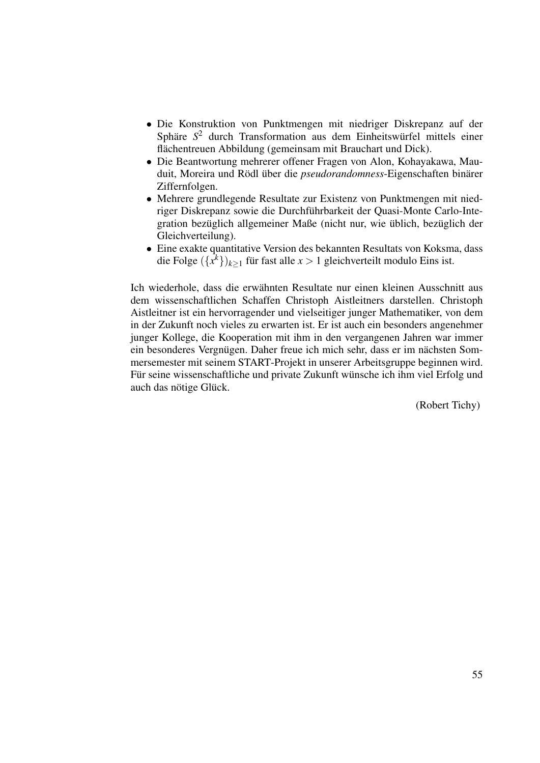- Die Konstruktion von Punktmengen mit niedriger Diskrepanz auf der Sphäre  $S<sup>2</sup>$  durch Transformation aus dem Einheitswürfel mittels einer flächentreuen Abbildung (gemeinsam mit Brauchart und Dick).
- Die Beantwortung mehrerer offener Fragen von Alon, Kohayakawa, Mauduit, Moreira und Rödl über die *pseudorandomness*-Eigenschaften binärer Ziffernfolgen.
- Mehrere grundlegende Resultate zur Existenz von Punktmengen mit niedriger Diskrepanz sowie die Durchführbarkeit der Quasi-Monte Carlo-Integration bezüglich allgemeiner Maße (nicht nur, wie üblich, bezüglich der Gleichverteilung).
- Eine exakte quantitative Version des bekannten Resultats von Koksma, dass die Folge  $({x^k})_{k \geq 1}$  für fast alle  $x > 1$  gleichverteilt modulo Eins ist.

Ich wiederhole, dass die erwähnten Resultate nur einen kleinen Ausschnitt aus dem wissenschaftlichen Schaffen Christoph Aistleitners darstellen. Christoph Aistleitner ist ein hervorragender und vielseitiger junger Mathematiker, von dem in der Zukunft noch vieles zu erwarten ist. Er ist auch ein besonders angenehmer junger Kollege, die Kooperation mit ihm in den vergangenen Jahren war immer ein besonderes Vergnügen. Daher freue ich mich sehr, dass er im nächsten Sommersemester mit seinem START-Projekt in unserer Arbeitsgruppe beginnen wird. Für seine wissenschaftliche und private Zukunft wünsche ich ihm viel Erfolg und auch das nötige Glück.

(Robert Tichy)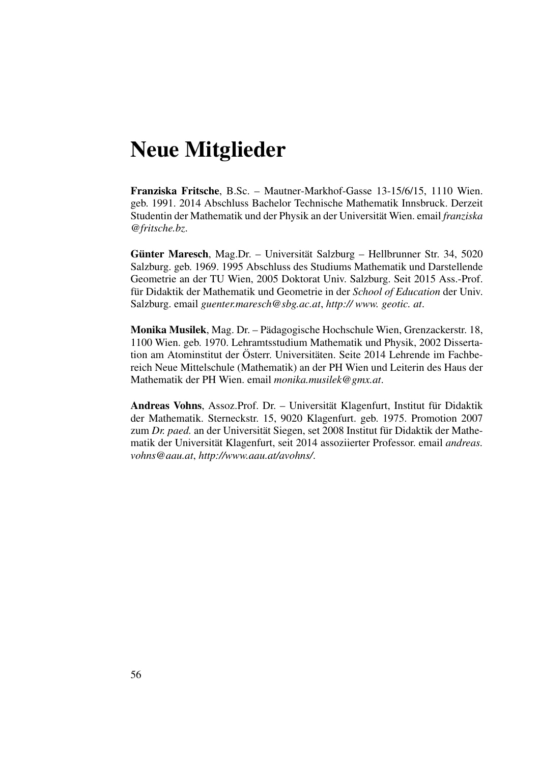# Neue Mitglieder

Franziska Fritsche, B.Sc. – Mautner-Markhof-Gasse 13-15/6/15, 1110 Wien. geb. 1991. 2014 Abschluss Bachelor Technische Mathematik Innsbruck. Derzeit Studentin der Mathematik und der Physik an der Universität Wien. email *franziska @fritsche.bz*.

Günter Maresch, Mag.Dr. – Universität Salzburg – Hellbrunner Str. 34, 5020 Salzburg. geb. 1969. 1995 Abschluss des Studiums Mathematik und Darstellende Geometrie an der TU Wien, 2005 Doktorat Univ. Salzburg. Seit 2015 Ass.-Prof. für Didaktik der Mathematik und Geometrie in der School of Education der Univ. Salzburg. email *guenter.maresch@sbg.ac.at*, *http:// www. geotic. at*.

Monika Musilek, Mag. Dr. – Padagogische Hochschule Wien, Grenzackerstr. 18, ¨ 1100 Wien. geb. 1970. Lehramtsstudium Mathematik und Physik, 2002 Dissertation am Atominstitut der Österr. Universitäten. Seite 2014 Lehrende im Fachbereich Neue Mittelschule (Mathematik) an der PH Wien und Leiterin des Haus der Mathematik der PH Wien. email *monika.musilek@gmx.at*.

Andreas Vohns, Assoz.Prof. Dr. – Universität Klagenfurt, Institut für Didaktik der Mathematik. Sterneckstr. 15, 9020 Klagenfurt. geb. 1975. Promotion 2007 zum *Dr. paed.* an der Universität Siegen, set 2008 Institut für Didaktik der Mathematik der Universität Klagenfurt, seit 2014 assoziierter Professor. email *andreas*. *vohns@aau.at*, *http://www.aau.at/avohns/*.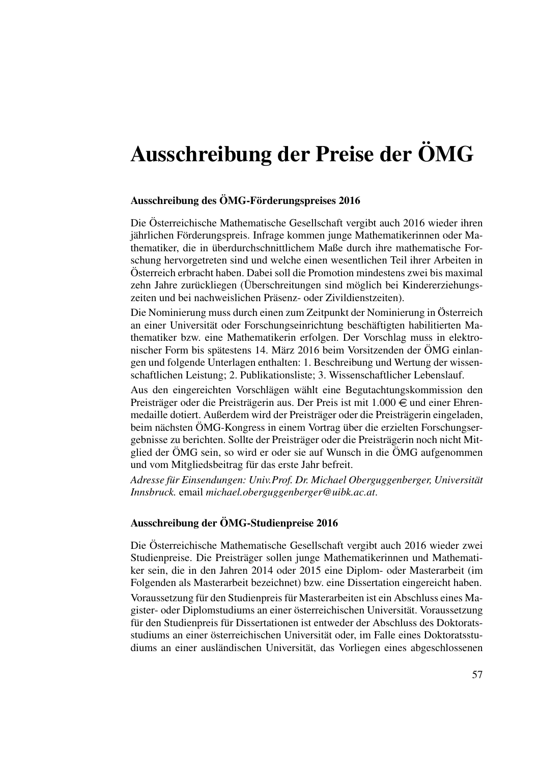# Ausschreibung der Preise der ÖMG

#### Ausschreibung des ÖMG-Förderungspreises 2016

Die Österreichische Mathematische Gesellschaft vergibt auch 2016 wieder ihren jährlichen Förderungspreis. Infrage kommen junge Mathematikerinnen oder Mathematiker, die in überdurchschnittlichem Maße durch ihre mathematische Forschung hervorgetreten sind und welche einen wesentlichen Teil ihrer Arbeiten in Osterreich erbracht haben. Dabei soll die Promotion mindestens zwei bis maximal ¨ zehn Jahre zurückliegen (Überschreitungen sind möglich bei Kindererziehungszeiten und bei nachweislichen Präsenz- oder Zivildienstzeiten).

Die Nominierung muss durch einen zum Zeitpunkt der Nominierung in Österreich an einer Universität oder Forschungseinrichtung beschäftigten habilitierten Mathematiker bzw. eine Mathematikerin erfolgen. Der Vorschlag muss in elektronischer Form bis spätestens 14. März 2016 beim Vorsitzenden der ÖMG einlangen und folgende Unterlagen enthalten: 1. Beschreibung und Wertung der wissenschaftlichen Leistung; 2. Publikationsliste; 3. Wissenschaftlicher Lebenslauf.

Aus den eingereichten Vorschlägen wählt eine Begutachtungskommission den Preisträger oder die Preisträgerin aus. Der Preis ist mit  $1.000 \in \text{und einer Ehren-}$ medaille dotiert. Außerdem wird der Preisträger oder die Preisträgerin eingeladen, beim nächsten ÖMG-Kongress in einem Vortrag über die erzielten Forschungsergebnisse zu berichten. Sollte der Preisträger oder die Preisträgerin noch nicht Mitglied der ÖMG sein, so wird er oder sie auf Wunsch in die ÖMG aufgenommen und vom Mitgliedsbeitrag für das erste Jahr befreit.

*Adresse für Einsendungen: Univ.Prof. Dr. Michael Oberguggenberger, Universität Innsbruck.* email *michael.oberguggenberger@uibk.ac.at*.

#### Ausschreibung der ÖMG-Studienpreise 2016

Die Österreichische Mathematische Gesellschaft vergibt auch 2016 wieder zwei Studienpreise. Die Preisträger sollen junge Mathematikerinnen und Mathematiker sein, die in den Jahren 2014 oder 2015 eine Diplom- oder Masterarbeit (im Folgenden als Masterarbeit bezeichnet) bzw. eine Dissertation eingereicht haben.

Voraussetzung für den Studienpreis für Masterarbeiten ist ein Abschluss eines Magister- oder Diplomstudiums an einer österreichischen Universität. Voraussetzung für den Studienpreis für Dissertationen ist entweder der Abschluss des Doktoratsstudiums an einer österreichischen Universität oder, im Falle eines Doktoratsstudiums an einer ausländischen Universität, das Vorliegen eines abgeschlossenen